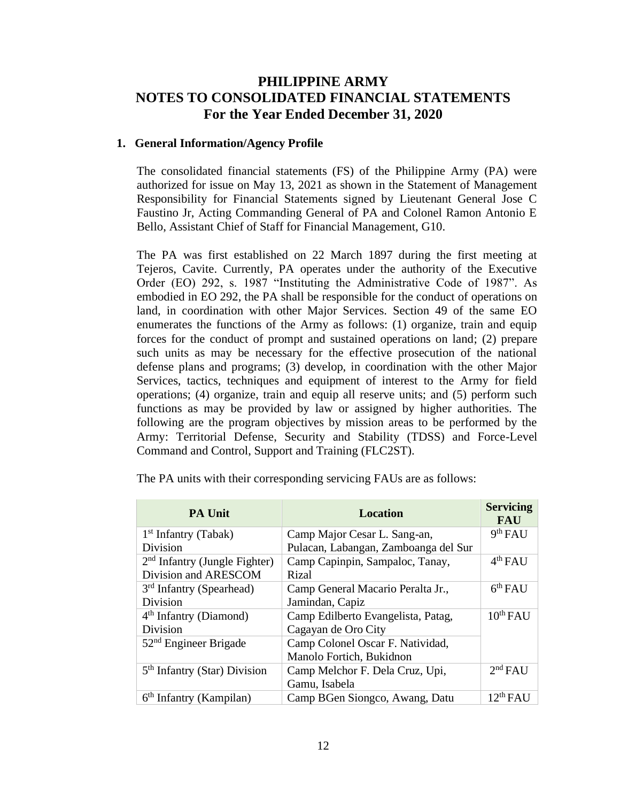# **PHILIPPINE ARMY NOTES TO CONSOLIDATED FINANCIAL STATEMENTS For the Year Ended December 31, 2020**

#### **1. General Information/Agency Profile**

The consolidated financial statements (FS) of the Philippine Army (PA) were authorized for issue on May 13, 2021 as shown in the Statement of Management Responsibility for Financial Statements signed by Lieutenant General Jose C Faustino Jr, Acting Commanding General of PA and Colonel Ramon Antonio E Bello, Assistant Chief of Staff for Financial Management, G10.

The PA was first established on 22 March 1897 during the first meeting at Tejeros, Cavite. Currently, PA operates under the authority of the Executive Order (EO) 292, s. 1987 "Instituting the Administrative Code of 1987". As embodied in EO 292, the PA shall be responsible for the conduct of operations on land, in coordination with other Major Services. Section 49 of the same EO enumerates the functions of the Army as follows: (1) organize, train and equip forces for the conduct of prompt and sustained operations on land; (2) prepare such units as may be necessary for the effective prosecution of the national defense plans and programs; (3) develop, in coordination with the other Major Services, tactics, techniques and equipment of interest to the Army for field operations; (4) organize, train and equip all reserve units; and (5) perform such functions as may be provided by law or assigned by higher authorities. The following are the program objectives by mission areas to be performed by the Army: Territorial Defense, Security and Stability (TDSS) and Force-Level Command and Control, Support and Training (FLC2ST).

| PA Unit                                  | <b>Location</b>                      | <b>Servicing</b><br><b>FAU</b> |
|------------------------------------------|--------------------------------------|--------------------------------|
| $1st$ Infantry (Tabak)                   | Camp Major Cesar L. Sang-an,         | 9 <sup>th</sup> FAU            |
| Division                                 | Pulacan, Labangan, Zamboanga del Sur |                                |
| $2nd$ Infantry (Jungle Fighter)          | Camp Capinpin, Sampaloc, Tanay,      | 4 <sup>th</sup> FAU            |
| Division and ARESCOM                     | <b>Rizal</b>                         |                                |
| $3rd$ Infantry (Spearhead)               | Camp General Macario Peralta Jr.,    | 6 <sup>th</sup> FAU            |
| Division                                 | Jamindan, Capiz                      |                                |
| $4th$ Infantry (Diamond)                 | Camp Edilberto Evangelista, Patag,   | 10 <sup>th</sup> FAU           |
| Division                                 | Cagayan de Oro City                  |                                |
| $52nd$ Engineer Brigade                  | Camp Colonel Oscar F. Natividad,     |                                |
|                                          | Manolo Fortich, Bukidnon             |                                |
| 5 <sup>th</sup> Infantry (Star) Division | Camp Melchor F. Dela Cruz, Upi,      | 2 <sup>nd</sup> FAU            |
|                                          | Gamu, Isabela                        |                                |
| $6th$ Infantry (Kampilan)                | Camp BGen Siongco, Awang, Datu       | $12^{th}$ FAU                  |

The PA units with their corresponding servicing FAUs are as follows: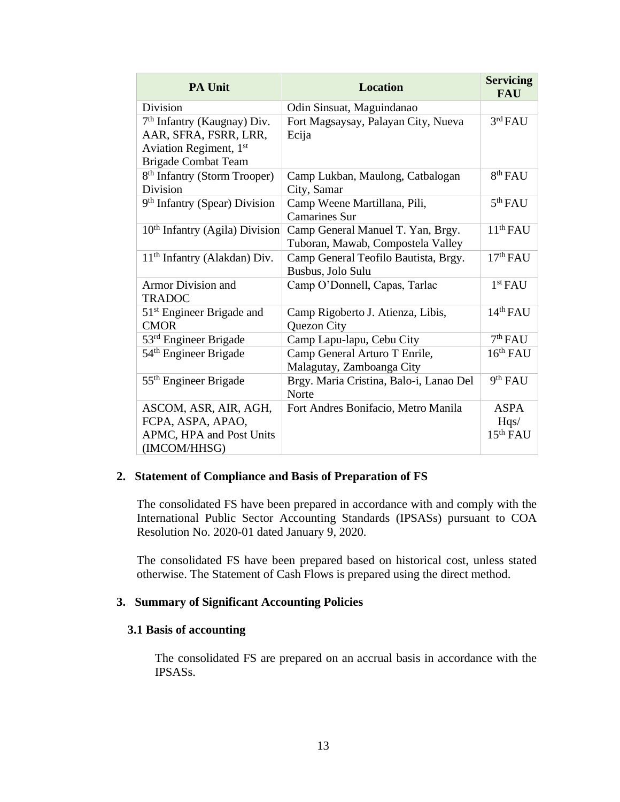| <b>PA Unit</b>                                                                                                           | <b>Location</b>                                                        | <b>Servicing</b><br><b>FAU</b>  |
|--------------------------------------------------------------------------------------------------------------------------|------------------------------------------------------------------------|---------------------------------|
| Division                                                                                                                 | Odin Sinsuat, Maguindanao                                              |                                 |
| 7 <sup>th</sup> Infantry (Kaugnay) Div.<br>AAR, SFRA, FSRR, LRR,<br>Aviation Regiment, 1st<br><b>Brigade Combat Team</b> | Fort Magsaysay, Palayan City, Nueva<br>Ecija                           | 3 <sup>rd</sup> FAU             |
| 8 <sup>th</sup> Infantry (Storm Trooper)<br>Division                                                                     | Camp Lukban, Maulong, Catbalogan<br>City, Samar                        | 8 <sup>th</sup> FAU             |
| 9 <sup>th</sup> Infantry (Spear) Division                                                                                | Camp Weene Martillana, Pili,<br><b>Camarines Sur</b>                   | 5 <sup>th</sup> FAU             |
| $10th$ Infantry (Agila) Division                                                                                         | Camp General Manuel T. Yan, Brgy.<br>Tuboran, Mawab, Compostela Valley | 11 <sup>th</sup> FAU            |
| 11 <sup>th</sup> Infantry (Alakdan) Div.                                                                                 | Camp General Teofilo Bautista, Brgy.<br>Busbus, Jolo Sulu              | 17 <sup>th</sup> FAU            |
| <b>Armor Division and</b><br><b>TRADOC</b>                                                                               | Camp O'Donnell, Capas, Tarlac                                          | 1 <sup>st</sup> FAU             |
| 51 <sup>st</sup> Engineer Brigade and<br><b>CMOR</b>                                                                     | Camp Rigoberto J. Atienza, Libis,<br>Quezon City                       | 14 <sup>th</sup> FAU            |
| $53rd$ Engineer Brigade                                                                                                  | Camp Lapu-lapu, Cebu City                                              | 7 <sup>th</sup> FAU             |
| 54 <sup>th</sup> Engineer Brigade                                                                                        | Camp General Arturo T Enrile,<br>Malagutay, Zamboanga City             | 16 <sup>th</sup> FAU            |
| 55 <sup>th</sup> Engineer Brigade                                                                                        | Brgy. Maria Cristina, Balo-i, Lanao Del<br>Norte                       | 9 <sup>th</sup> FAU             |
| ASCOM, ASR, AIR, AGH,<br>FCPA, ASPA, APAO,<br>APMC, HPA and Post Units<br>(IMCOM/HHSG)                                   | Fort Andres Bonifacio, Metro Manila                                    | <b>ASPA</b><br>Hqs/<br>15th FAU |

# **2. Statement of Compliance and Basis of Preparation of FS**

The consolidated FS have been prepared in accordance with and comply with the International Public Sector Accounting Standards (IPSASs) pursuant to COA Resolution No. 2020-01 dated January 9, 2020.

The consolidated FS have been prepared based on historical cost, unless stated otherwise. The Statement of Cash Flows is prepared using the direct method.

#### **3. Summary of Significant Accounting Policies**

#### **3.1 Basis of accounting**

The consolidated FS are prepared on an accrual basis in accordance with the IPSASs.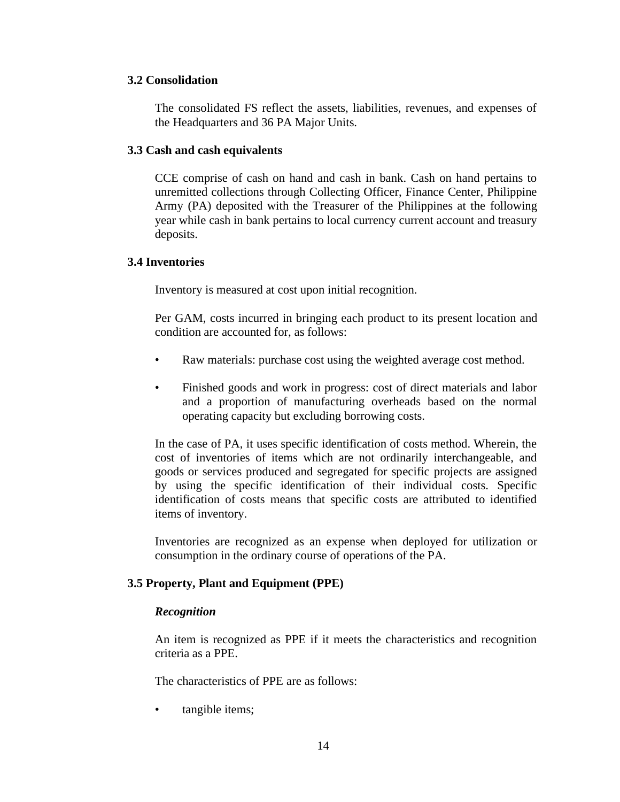## **3.2 Consolidation**

The consolidated FS reflect the assets, liabilities, revenues, and expenses of the Headquarters and 36 PA Major Units.

#### **3.3 Cash and cash equivalents**

CCE comprise of cash on hand and cash in bank. Cash on hand pertains to unremitted collections through Collecting Officer, Finance Center, Philippine Army (PA) deposited with the Treasurer of the Philippines at the following year while cash in bank pertains to local currency current account and treasury deposits.

### **3.4 Inventories**

Inventory is measured at cost upon initial recognition.

Per GAM, costs incurred in bringing each product to its present location and condition are accounted for, as follows:

- Raw materials: purchase cost using the weighted average cost method.
- Finished goods and work in progress: cost of direct materials and labor and a proportion of manufacturing overheads based on the normal operating capacity but excluding borrowing costs.

In the case of PA, it uses specific identification of costs method. Wherein, the cost of inventories of items which are not ordinarily interchangeable, and goods or services produced and segregated for specific projects are assigned by using the specific identification of their individual costs. Specific identification of costs means that specific costs are attributed to identified items of inventory.

Inventories are recognized as an expense when deployed for utilization or consumption in the ordinary course of operations of the PA.

## **3.5 Property, Plant and Equipment (PPE)**

#### *Recognition*

An item is recognized as PPE if it meets the characteristics and recognition criteria as a PPE.

The characteristics of PPE are as follows:

tangible items;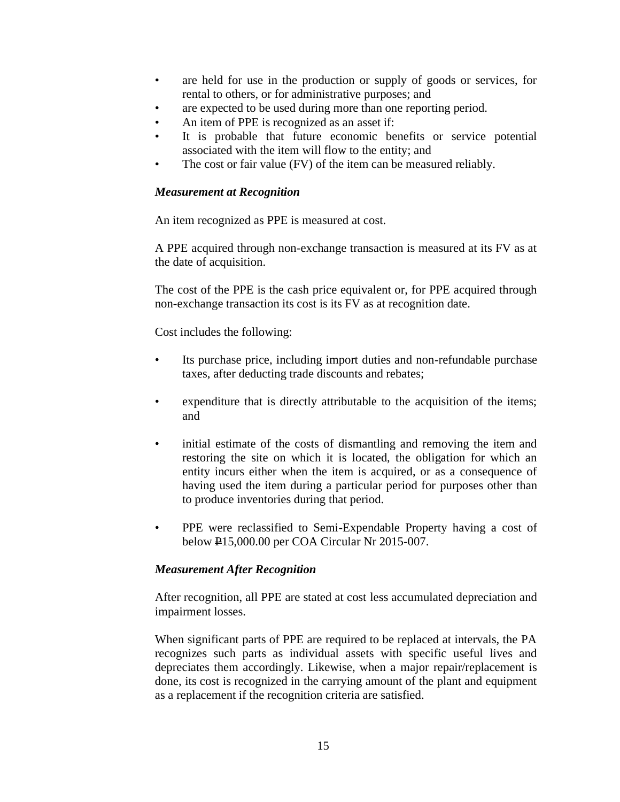- are held for use in the production or supply of goods or services, for rental to others, or for administrative purposes; and
- are expected to be used during more than one reporting period.
- An item of PPE is recognized as an asset if:
- It is probable that future economic benefits or service potential associated with the item will flow to the entity; and
- The cost or fair value (FV) of the item can be measured reliably.

### *Measurement at Recognition*

An item recognized as PPE is measured at cost.

A PPE acquired through non-exchange transaction is measured at its FV as at the date of acquisition.

The cost of the PPE is the cash price equivalent or, for PPE acquired through non-exchange transaction its cost is its FV as at recognition date.

Cost includes the following:

- Its purchase price, including import duties and non-refundable purchase taxes, after deducting trade discounts and rebates;
- expenditure that is directly attributable to the acquisition of the items; and
- initial estimate of the costs of dismantling and removing the item and restoring the site on which it is located, the obligation for which an entity incurs either when the item is acquired, or as a consequence of having used the item during a particular period for purposes other than to produce inventories during that period.
- PPE were reclassified to Semi-Expendable Property having a cost of below P15,000.00 per COA Circular Nr 2015-007.

## *Measurement After Recognition*

After recognition, all PPE are stated at cost less accumulated depreciation and impairment losses.

When significant parts of PPE are required to be replaced at intervals, the PA recognizes such parts as individual assets with specific useful lives and depreciates them accordingly. Likewise, when a major repair/replacement is done, its cost is recognized in the carrying amount of the plant and equipment as a replacement if the recognition criteria are satisfied.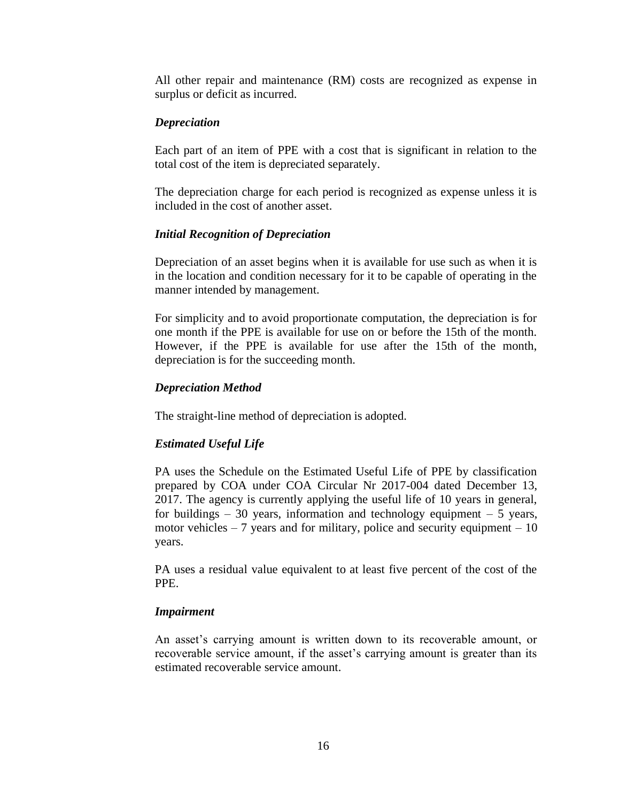All other repair and maintenance (RM) costs are recognized as expense in surplus or deficit as incurred.

#### *Depreciation*

Each part of an item of PPE with a cost that is significant in relation to the total cost of the item is depreciated separately.

The depreciation charge for each period is recognized as expense unless it is included in the cost of another asset.

#### *Initial Recognition of Depreciation*

Depreciation of an asset begins when it is available for use such as when it is in the location and condition necessary for it to be capable of operating in the manner intended by management.

For simplicity and to avoid proportionate computation, the depreciation is for one month if the PPE is available for use on or before the 15th of the month. However, if the PPE is available for use after the 15th of the month, depreciation is for the succeeding month.

#### *Depreciation Method*

The straight-line method of depreciation is adopted.

#### *Estimated Useful Life*

PA uses the Schedule on the Estimated Useful Life of PPE by classification prepared by COA under COA Circular Nr 2017-004 dated December 13, 2017. The agency is currently applying the useful life of 10 years in general, for buildings – 30 years, information and technology equipment – 5 years, motor vehicles  $-7$  years and for military, police and security equipment  $-10$ years.

PA uses a residual value equivalent to at least five percent of the cost of the PPE.

#### *Impairment*

An asset's carrying amount is written down to its recoverable amount, or recoverable service amount, if the asset's carrying amount is greater than its estimated recoverable service amount.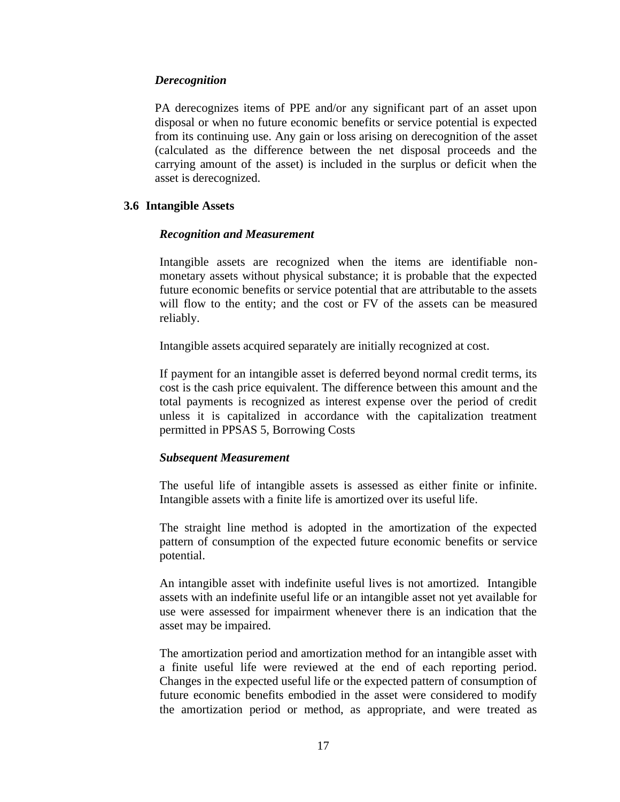#### *Derecognition*

PA derecognizes items of PPE and/or any significant part of an asset upon disposal or when no future economic benefits or service potential is expected from its continuing use. Any gain or loss arising on derecognition of the asset (calculated as the difference between the net disposal proceeds and the carrying amount of the asset) is included in the surplus or deficit when the asset is derecognized.

#### **3.6 Intangible Assets**

#### *Recognition and Measurement*

Intangible assets are recognized when the items are identifiable nonmonetary assets without physical substance; it is probable that the expected future economic benefits or service potential that are attributable to the assets will flow to the entity; and the cost or FV of the assets can be measured reliably.

Intangible assets acquired separately are initially recognized at cost.

If payment for an intangible asset is deferred beyond normal credit terms, its cost is the cash price equivalent. The difference between this amount and the total payments is recognized as interest expense over the period of credit unless it is capitalized in accordance with the capitalization treatment permitted in PPSAS 5, Borrowing Costs

## *Subsequent Measurement*

The useful life of intangible assets is assessed as either finite or infinite. Intangible assets with a finite life is amortized over its useful life.

The straight line method is adopted in the amortization of the expected pattern of consumption of the expected future economic benefits or service potential.

An intangible asset with indefinite useful lives is not amortized. Intangible assets with an indefinite useful life or an intangible asset not yet available for use were assessed for impairment whenever there is an indication that the asset may be impaired.

The amortization period and amortization method for an intangible asset with a finite useful life were reviewed at the end of each reporting period. Changes in the expected useful life or the expected pattern of consumption of future economic benefits embodied in the asset were considered to modify the amortization period or method, as appropriate, and were treated as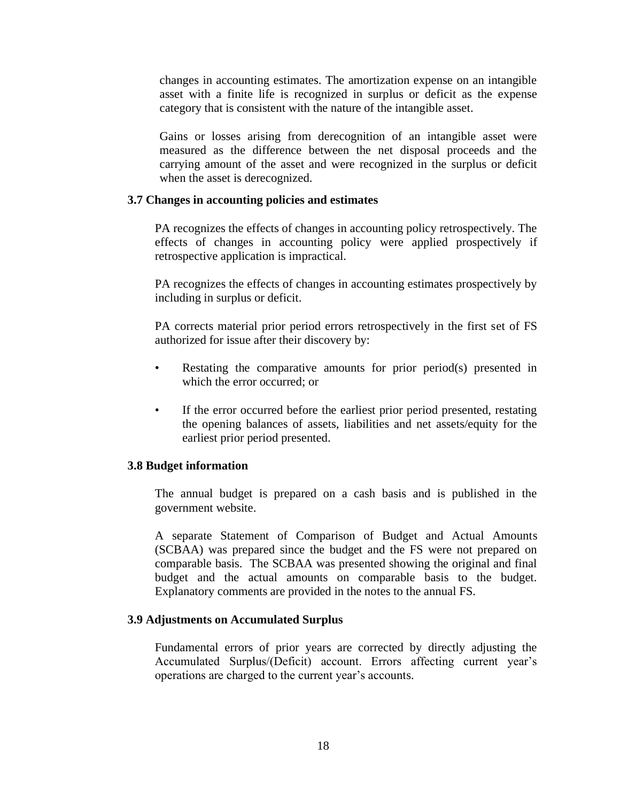changes in accounting estimates. The amortization expense on an intangible asset with a finite life is recognized in surplus or deficit as the expense category that is consistent with the nature of the intangible asset.

Gains or losses arising from derecognition of an intangible asset were measured as the difference between the net disposal proceeds and the carrying amount of the asset and were recognized in the surplus or deficit when the asset is derecognized.

#### **3.7 Changes in accounting policies and estimates**

PA recognizes the effects of changes in accounting policy retrospectively. The effects of changes in accounting policy were applied prospectively if retrospective application is impractical.

PA recognizes the effects of changes in accounting estimates prospectively by including in surplus or deficit.

PA corrects material prior period errors retrospectively in the first set of FS authorized for issue after their discovery by:

- Restating the comparative amounts for prior period(s) presented in which the error occurred; or
- If the error occurred before the earliest prior period presented, restating the opening balances of assets, liabilities and net assets/equity for the earliest prior period presented.

#### **3.8 Budget information**

The annual budget is prepared on a cash basis and is published in the government website.

A separate Statement of Comparison of Budget and Actual Amounts (SCBAA) was prepared since the budget and the FS were not prepared on comparable basis. The SCBAA was presented showing the original and final budget and the actual amounts on comparable basis to the budget. Explanatory comments are provided in the notes to the annual FS.

#### **3.9 Adjustments on Accumulated Surplus**

Fundamental errors of prior years are corrected by directly adjusting the Accumulated Surplus/(Deficit) account. Errors affecting current year's operations are charged to the current year's accounts.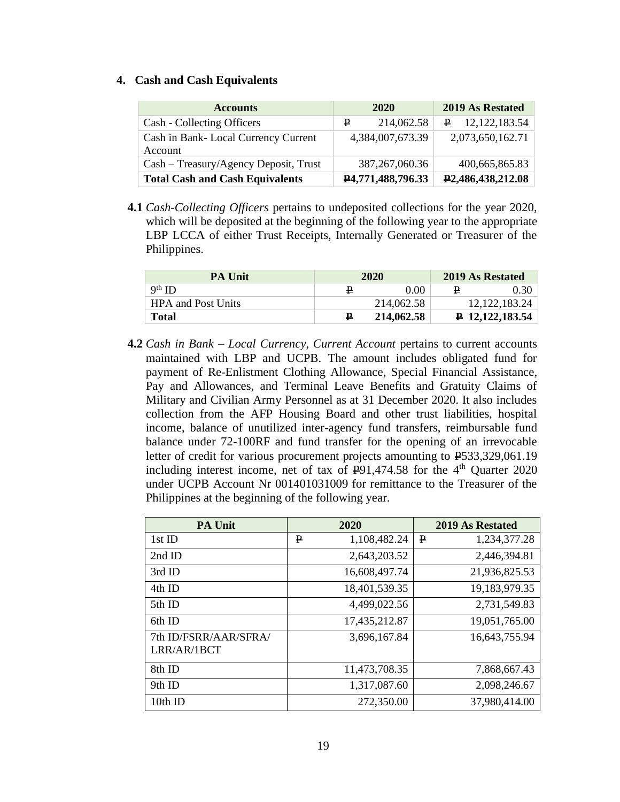#### **4. Cash and Cash Equivalents**

| <b>Accounts</b>                                |   | 2020              |    | 2019 As Restated               |
|------------------------------------------------|---|-------------------|----|--------------------------------|
| Cash - Collecting Officers                     | ₽ | 214,062.58        | P. | 12, 122, 183.54                |
| Cash in Bank-Local Currency Current<br>Account |   | 4,384,007,673.39  |    | 2,073,650,162.71               |
| Cash – Treasury/Agency Deposit, Trust          |   | 387, 267, 060. 36 |    | 400,665,865.83                 |
| <b>Total Cash and Cash Equivalents</b>         |   | P4,771,488,796.33 |    | P <sub>2</sub> ,486,438,212.08 |

**4.1** *Cash-Collecting Officers* pertains to undeposited collections for the year 2020, which will be deposited at the beginning of the following year to the appropriate LBP LCCA of either Trust Receipts, Internally Generated or Treasurer of the Philippines.

| <b>PA Unit</b>            | 2020    |            |   | 2019 As Restated         |
|---------------------------|---------|------------|---|--------------------------|
| $9th$ ID                  |         | 0.00       | ₽ | 0.30                     |
| <b>HPA and Post Units</b> |         | 214,062.58 |   | 12, 122, 183. 24         |
| <b>Total</b>              | $\bf p$ | 214,062.58 |   | $\uparrow$ 12,122,183.54 |

**4.2** *Cash in Bank – Local Currency, Current Account* pertains to current accounts maintained with LBP and UCPB. The amount includes obligated fund for payment of Re-Enlistment Clothing Allowance, Special Financial Assistance, Pay and Allowances, and Terminal Leave Benefits and Gratuity Claims of Military and Civilian Army Personnel as at 31 December 2020. It also includes collection from the AFP Housing Board and other trust liabilities, hospital income, balance of unutilized inter-agency fund transfers, reimbursable fund balance under 72-100RF and fund transfer for the opening of an irrevocable letter of credit for various procurement projects amounting to  $\text{\textbf{P}}533,329,061.19$ including interest income, net of tax of  $E91,474.58$  for the 4<sup>th</sup> Quarter 2020 under UCPB Account Nr 001401031009 for remittance to the Treasurer of the Philippines at the beginning of the following year.

| <b>PA Unit</b>                       |   | 2020          |   | <b>2019 As Restated</b> |
|--------------------------------------|---|---------------|---|-------------------------|
| 1st ID                               | ₽ | 1,108,482.24  | ₽ | 1,234,377.28            |
| $2nd$ ID                             |   | 2,643,203.52  |   | 2,446,394.81            |
| 3rd ID                               |   | 16,608,497.74 |   | 21,936,825.53           |
| 4th ID                               |   | 18,401,539.35 |   | 19,183,979.35           |
| 5th ID                               |   | 4,499,022.56  |   | 2,731,549.83            |
| 6th ID                               |   | 17,435,212.87 |   | 19,051,765.00           |
| 7th ID/FSRR/AAR/SFRA/<br>LRR/AR/1BCT |   | 3,696,167.84  |   | 16,643,755.94           |
| 8th ID                               |   | 11,473,708.35 |   | 7,868,667.43            |
| 9th ID                               |   | 1,317,087.60  |   | 2,098,246.67            |
| 10th ID                              |   | 272,350.00    |   | 37,980,414.00           |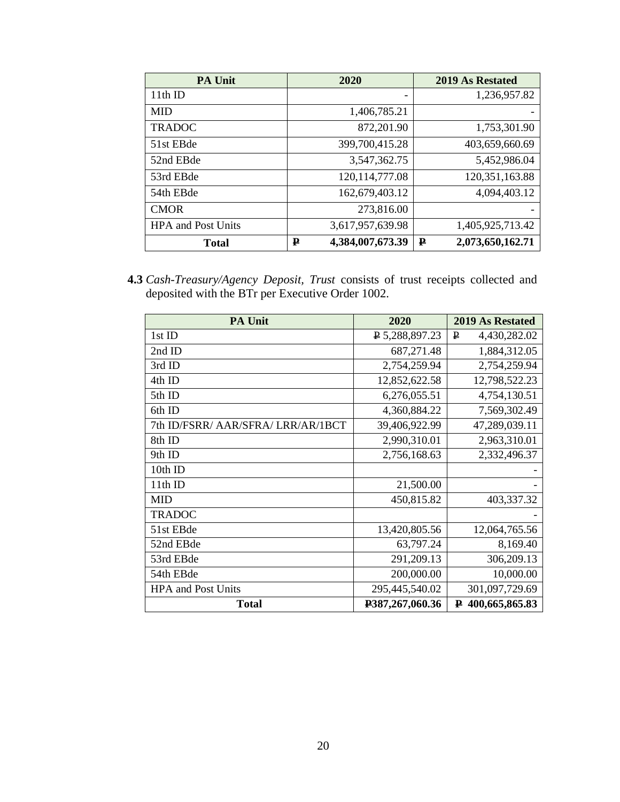| <b>PA Unit</b>            | 2020                  | 2019 As Restated      |
|---------------------------|-----------------------|-----------------------|
| 11th ID                   | -                     | 1,236,957.82          |
| <b>MID</b>                | 1,406,785.21          |                       |
| <b>TRADOC</b>             | 872,201.90            | 1,753,301.90          |
| 51st EBde                 | 399,700,415.28        | 403,659,660.69        |
| 52nd EBde                 | 3,547,362.75          | 5,452,986.04          |
| 53rd EBde                 | 120, 114, 777.08      | 120, 351, 163.88      |
| 54th EBde                 | 162,679,403.12        | 4,094,403.12          |
| <b>CMOR</b>               | 273,816.00            |                       |
| <b>HPA</b> and Post Units | 3,617,957,639.98      | 1,405,925,713.42      |
| <b>Total</b>              | 4,384,007,673.39<br>₽ | 2,073,650,162.71<br>₽ |

**4.3** *Cash-Treasury/Agency Deposit, Trust* consists of trust receipts collected and deposited with the BTr per Executive Order 1002.

| <b>PA Unit</b>                     | 2020            | <b>2019 As Restated</b> |
|------------------------------------|-----------------|-------------------------|
| 1st ID                             | P 5,288,897.23  | P<br>4,430,282.02       |
| 2nd ID                             | 687,271.48      | 1,884,312.05            |
| 3rd ID                             | 2,754,259.94    | 2,754,259.94            |
| 4th ID                             | 12,852,622.58   | 12,798,522.23           |
| 5th ID                             | 6,276,055.51    | 4,754,130.51            |
| 6th ID                             | 4,360,884.22    | 7,569,302.49            |
| 7th ID/FSRR/ AAR/SFRA/ LRR/AR/1BCT | 39,406,922.99   | 47,289,039.11           |
| 8th ID                             | 2,990,310.01    | 2,963,310.01            |
| 9th ID                             | 2,756,168.63    | 2,332,496.37            |
| 10th ID                            |                 |                         |
| 11th ID                            | 21,500.00       |                         |
| <b>MID</b>                         | 450,815.82      | 403,337.32              |
| <b>TRADOC</b>                      |                 |                         |
| 51st EBde                          | 13,420,805.56   | 12,064,765.56           |
| 52nd EBde                          | 63,797.24       | 8,169.40                |
| 53rd EBde                          | 291,209.13      | 306,209.13              |
| 54th EBde                          | 200,000.00      | 10,000.00               |
| <b>HPA</b> and Post Units          | 295,445,540.02  | 301,097,729.69          |
| <b>Total</b>                       | P387,267,060.36 | 400,665,865.83<br>₽     |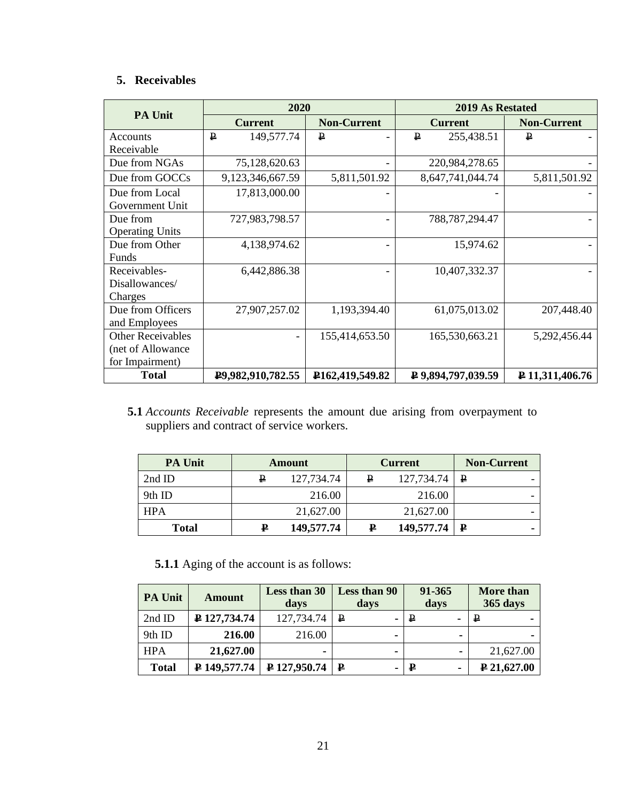# **5. Receivables**

|                          | 2020                       |                                | <b>2019 As Restated</b>         |                    |  |
|--------------------------|----------------------------|--------------------------------|---------------------------------|--------------------|--|
| <b>PA Unit</b>           | <b>Current</b>             | <b>Non-Current</b>             | <b>Current</b>                  | <b>Non-Current</b> |  |
| Accounts                 | $\mathbf{P}$<br>149,577.74 | ₽                              | 255,438.51<br>₽                 | ₽                  |  |
| Receivable               |                            |                                |                                 |                    |  |
| Due from NGAs            | 75,128,620.63              |                                | 220,984,278.65                  |                    |  |
| Due from GOCCs           | 9,123,346,667.59           | 5,811,501.92                   | 8,647,741,044.74                | 5,811,501.92       |  |
| Due from Local           | 17,813,000.00              |                                |                                 |                    |  |
| Government Unit          |                            |                                |                                 |                    |  |
| Due from                 | 727,983,798.57             |                                | 788, 787, 294. 47               |                    |  |
| <b>Operating Units</b>   |                            |                                |                                 |                    |  |
| Due from Other           | 4,138,974.62               |                                | 15,974.62                       |                    |  |
| Funds                    |                            |                                |                                 |                    |  |
| Receivables-             | 6,442,886.38               |                                | 10,407,332.37                   |                    |  |
| Disallowances/           |                            |                                |                                 |                    |  |
| Charges                  |                            |                                |                                 |                    |  |
| Due from Officers        | 27,907,257.02              | 1,193,394.40                   | 61,075,013.02                   | 207,448.40         |  |
| and Employees            |                            |                                |                                 |                    |  |
| <b>Other Receivables</b> |                            | 155,414,653.50                 | 165,530,663.21                  | 5,292,456.44       |  |
| (net of Allowance        |                            |                                |                                 |                    |  |
| for Impairment)          |                            |                                |                                 |                    |  |
| <b>Total</b>             | P9,982,910,782.55          | P <sub>162</sub> , 419, 549.82 | $\overline{P}$ 9,894,797,039.59 | ₽ 11,311,406.76    |  |

**5.1** *Accounts Receivable* represents the amount due arising from overpayment to suppliers and contract of service workers.

| <b>PA Unit</b> | Amount |            | <b>Current</b> |                  | <b>Non-Current</b> |  |
|----------------|--------|------------|----------------|------------------|--------------------|--|
| $2nd$ ID       | ₽      | 127,734.74 | ₽              | 127,734.74       | $\mathbf{P}$       |  |
| 9th ID         |        | 216.00     |                | 216.00           |                    |  |
| <b>HPA</b>     |        | 21,627.00  |                | 21,627.00        |                    |  |
| <b>Total</b>   | ₽      | 149,577.74 | ₽              | $149,577.74$   P |                    |  |

**5.1.1** Aging of the account is as follows:

| <b>PA Unit</b> | Amount       | Less than 30<br>days | <b>Less than 90</b><br>days | 91-365<br>days    | More than<br><b>365 days</b> |
|----------------|--------------|----------------------|-----------------------------|-------------------|------------------------------|
| 2nd ID         | ₽ 127,734.74 | 127,734.74           | $\mathbf{P}$                | ₽                 | ₽                            |
| 9th ID         | 216.00       | 216.00               |                             |                   | . .                          |
| <b>HPA</b>     | 21,627.00    | -                    | -                           |                   | 21,627.00                    |
| <b>Total</b>   | ₽ 149,577.74 | P 127,950.74         | ₽                           | $\mathbf{P}$<br>۰ | $\neq 21,627.00$             |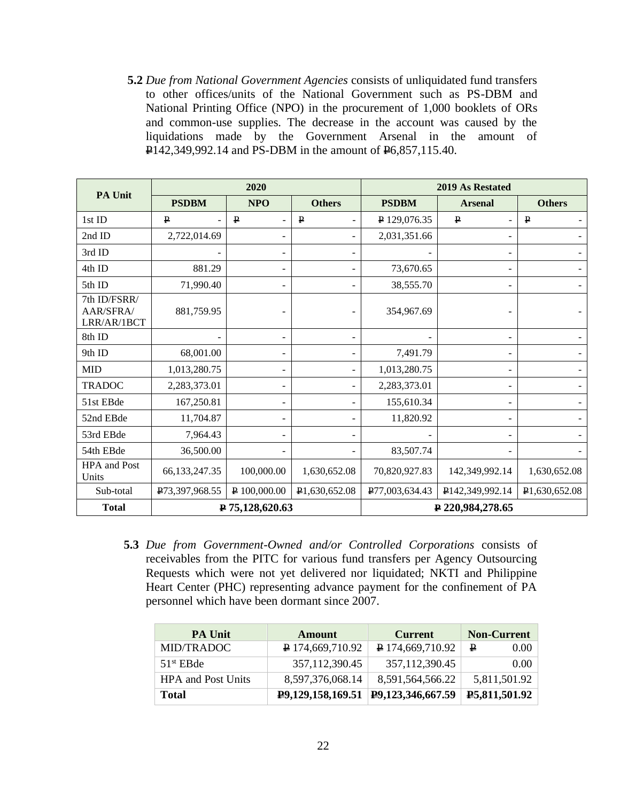**5.2** *Due from National Government Agencies* consists of unliquidated fund transfers to other offices/units of the National Government such as PS-DBM and National Printing Office (NPO) in the procurement of 1,000 booklets of ORs and common-use supplies. The decrease in the account was caused by the liquidations made by the Government Arsenal in the amount of P142,349,992.14 and PS-DBM in the amount of P6,857,115.40.

| <b>PA Unit</b>                           |                  | 2020            |               | 2019 As Restated |                 |               |
|------------------------------------------|------------------|-----------------|---------------|------------------|-----------------|---------------|
|                                          | <b>PSDBM</b>     | <b>NPO</b>      | <b>Others</b> | <b>PSDBM</b>     | <b>Arsenal</b>  | <b>Others</b> |
| 1st ID                                   | $\mathbf{P}$     | $\mathbf{P}$    | $\mathbf{P}$  | P 129,076.35     | $\mathbf{P}$    | $\mathbf{P}$  |
| 2nd ID                                   | 2,722,014.69     |                 |               | 2,031,351.66     |                 |               |
| 3rd ID                                   |                  | $\overline{a}$  |               |                  |                 |               |
| 4th ID                                   | 881.29           |                 |               | 73,670.65        |                 |               |
| 5th ID                                   | 71,990.40        | $\blacksquare$  |               | 38,555.70        |                 |               |
| 7th ID/FSRR/<br>AAR/SFRA/<br>LRR/AR/1BCT | 881,759.95       |                 |               | 354,967.69       |                 |               |
| 8th ID                                   |                  | ٠               |               |                  |                 |               |
| 9th ID                                   | 68,001.00        | $\blacksquare$  |               | 7,491.79         |                 |               |
| <b>MID</b>                               | 1,013,280.75     | $\overline{a}$  | ۰             | 1,013,280.75     |                 |               |
| <b>TRADOC</b>                            | 2,283,373.01     |                 |               | 2,283,373.01     |                 |               |
| 51st EBde                                | 167,250.81       | -               |               | 155,610.34       |                 |               |
| 52nd EBde                                | 11,704.87        | $\overline{a}$  |               | 11,820.92        |                 |               |
| 53rd EBde                                | 7,964.43         | $\blacksquare$  |               |                  |                 |               |
| 54th EBde                                | 36,500.00        |                 |               | 83,507.74        |                 |               |
| HPA and Post<br>Units                    | 66, 133, 247. 35 | 100,000.00      | 1,630,652.08  | 70,820,927.83    | 142,349,992.14  | 1,630,652.08  |
| Sub-total                                | P73,397,968.55   | P 100,000.00    | P1,630,652.08 | P77,003,634.43   | P142,349,992.14 | P1,630,652.08 |
| <b>Total</b>                             |                  | P 75,128,620.63 |               | P 220,984,278.65 |                 |               |

**5.3** *Due from Government-Owned and/or Controlled Corporations* consists of receivables from the PITC for various fund transfers per Agency Outsourcing Requests which were not yet delivered nor liquidated; NKTI and Philippine Heart Center (PHC) representing advance payment for the confinement of PA personnel which have been dormant since 2007.

| <b>PA Unit</b>            | Amount                        | <b>Current</b>         | <b>Non-Current</b> |
|---------------------------|-------------------------------|------------------------|--------------------|
| MID/TRADOC                | $\overline{P}$ 174,669,710.92 | $\sqrt{24,669,710.92}$ | ₽<br>0.00          |
| $51st$ EBde               | 357, 112, 390. 45             | 357, 112, 390. 45      | 0.00               |
| <b>HPA</b> and Post Units | 8,597,376,068.14              | 8,591,564,566.22       | 5,811,501.92       |
| <b>Total</b>              | P9,129,158,169.51             | P9,123,346,667.59      | P5,811,501.92      |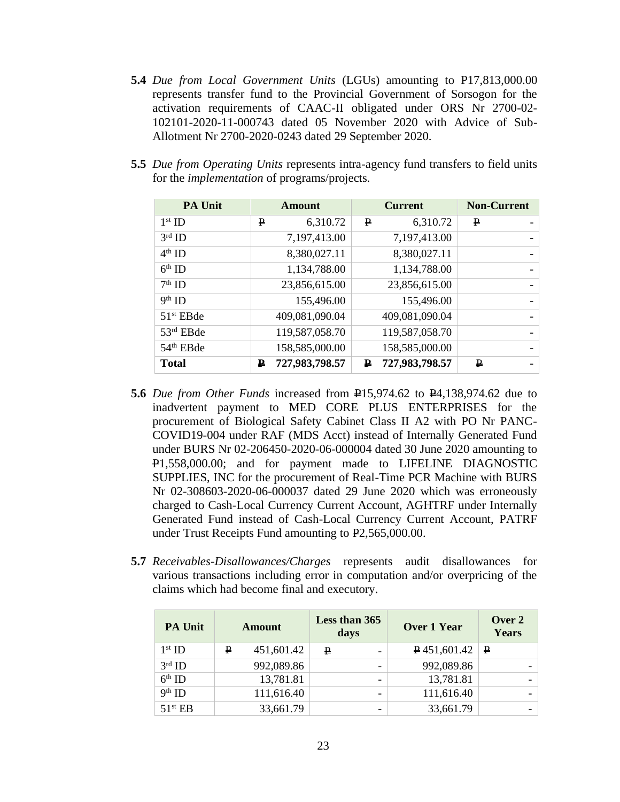- **5.4** *Due from Local Government Units* (LGUs) amounting to P17,813,000.00 represents transfer fund to the Provincial Government of Sorsogon for the activation requirements of CAAC-II obligated under ORS Nr 2700-02- 102101-2020-11-000743 dated 05 November 2020 with Advice of Sub-Allotment Nr 2700-2020-0243 dated 29 September 2020.
- **5.5** *Due from Operating Units* represents intra-agency fund transfers to field units for the *implementation* of programs/projects.

| <b>PA Unit</b>        | Amount              |               | <b>Current</b> |  | <b>Non-Current</b> |                          |
|-----------------------|---------------------|---------------|----------------|--|--------------------|--------------------------|
| $1st$ ID              | $\mathbf{P}$        | 6,310.72<br>₽ | 6,310.72       |  | ₽                  |                          |
| $3rd$ ID              | 7,197,413.00        |               | 7,197,413.00   |  |                    |                          |
| $4th$ ID              | 8,380,027.11        |               | 8,380,027.11   |  |                    |                          |
| $6th$ ID              | 1,134,788.00        |               | 1,134,788.00   |  |                    |                          |
| $7th$ ID              | 23,856,615.00       |               | 23,856,615.00  |  |                    |                          |
| $9th$ ID              |                     | 155,496.00    | 155,496.00     |  |                    | -                        |
| 51 <sup>st</sup> EBde | 409,081,090.04      |               | 409,081,090.04 |  |                    |                          |
| 53rd EBde             | 119,587,058.70      |               | 119,587,058.70 |  |                    |                          |
| 54 <sup>th</sup> EBde | 158,585,000.00      |               | 158,585,000.00 |  |                    | $\overline{\phantom{0}}$ |
| <b>Total</b>          | 727,983,798.57<br>₽ | ₽             | 727,983,798.57 |  | $\mathbf{P}$       |                          |

- **5.6** *Due from Other Funds* increased from P15,974.62 to P4,138,974.62 due to inadvertent payment to MED CORE PLUS ENTERPRISES for the procurement of Biological Safety Cabinet Class II A2 with PO Nr PANC-COVID19-004 under RAF (MDS Acct) instead of Internally Generated Fund under BURS Nr 02-206450-2020-06-000004 dated 30 June 2020 amounting to P1,558,000.00; and for payment made to LIFELINE DIAGNOSTIC SUPPLIES, INC for the procurement of Real-Time PCR Machine with BURS Nr 02-308603-2020-06-000037 dated 29 June 2020 which was erroneously charged to Cash-Local Currency Current Account, AGHTRF under Internally Generated Fund instead of Cash-Local Currency Current Account, PATRF under Trust Receipts Fund amounting to  $E2,565,000.00$ .
- **5.7** *Receivables-Disallowances/Charges* represents audit disallowances for various transactions including error in computation and/or overpricing of the claims which had become final and executory.

| <b>PA Unit</b>      |   | Amount     |   | Less than 365<br>days | Over 1 Year |                     | Over 2<br>Years |  |
|---------------------|---|------------|---|-----------------------|-------------|---------------------|-----------------|--|
| $1st$ ID            | ₽ | 451,601.42 | ₽ |                       |             | $\sqrt{451,601.42}$ | ₽               |  |
| $3rd$ ID            |   | 992,089.86 |   | -                     |             | 992,089.86          |                 |  |
| $6th$ ID            |   | 13,781.81  |   | -                     |             | 13,781.81           |                 |  |
| $9th$ ID            |   | 111,616.40 |   | -                     |             | 111,616.40          |                 |  |
| 51 <sup>st</sup> EB |   | 33,661.79  |   | -                     |             | 33,661.79           |                 |  |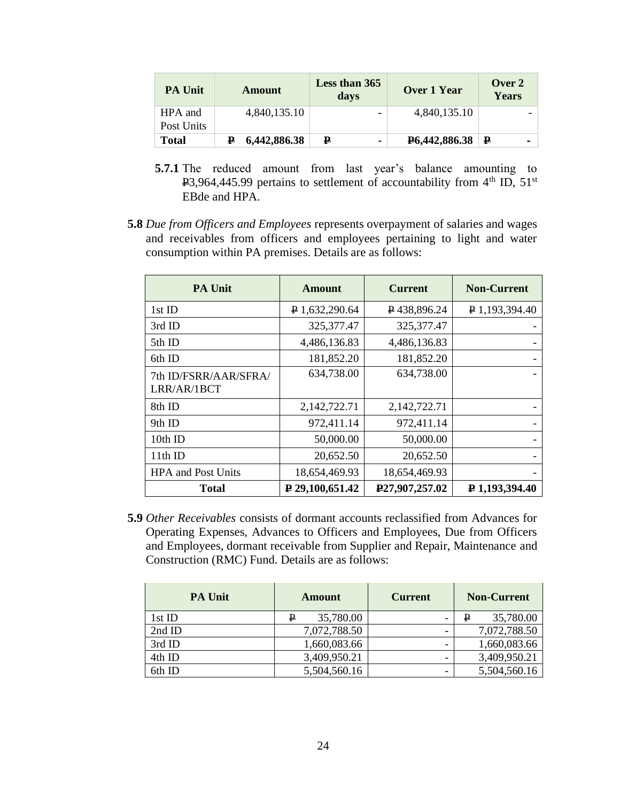| <b>PA Unit</b> | <b>Amount</b> | Less than 365<br>days | Over 1 Year                              | Over 2<br><b>Years</b> |
|----------------|---------------|-----------------------|------------------------------------------|------------------------|
| HPA and        | 4,840,135.10  | -                     | 4,840,135.10                             |                        |
| Post Units     |               |                       |                                          |                        |
| <b>Total</b>   | 6,442,886.38  | ₽                     | $\textbf{P}6,442,886.38 \mid \textbf{P}$ |                        |

- **5.7.1** The reduced amount from last year's balance amounting to  $P3,964,445.99$  pertains to settlement of accountability from  $4<sup>th</sup>$  ID,  $51<sup>st</sup>$ EBde and HPA.
- **5.8** *Due from Officers and Employees* represents overpayment of salaries and wages and receivables from officers and employees pertaining to light and water consumption within PA premises. Details are as follows:

| <b>PA Unit</b>                       | <b>Amount</b>          | <b>Current</b>              | <b>Non-Current</b> |  |
|--------------------------------------|------------------------|-----------------------------|--------------------|--|
| $1st$ ID                             | $P$ 1,632,290.64       | P438,896.24                 | P 1,193,394.40     |  |
| 3rd ID                               | 325, 377. 47           | 325, 377. 47                |                    |  |
| 5th ID                               | 4,486,136.83           | 4,486,136.83                |                    |  |
| 6th ID                               | 181,852.20             | 181,852.20                  |                    |  |
| 7th ID/FSRR/AAR/SFRA/<br>LRR/AR/1BCT | 634,738.00             | 634,738.00                  |                    |  |
| 8th ID                               | 2,142,722.71           | 2,142,722.71                |                    |  |
| 9th ID                               | 972,411.14             | 972,411.14                  |                    |  |
| 10th ID                              | 50,000.00              | 50,000.00                   |                    |  |
| 11th ID                              | 20,652.50              | 20,652.50                   |                    |  |
| <b>HPA</b> and Post Units            | 18,654,469.93          | 18,654,469.93               |                    |  |
| <b>Total</b>                         | $\sqrt{29,100,651.42}$ | P <sub>27</sub> ,907,257.02 | ₽ 1,193,394.40     |  |

**5.9** *Other Receivables* consists of dormant accounts reclassified from Advances for Operating Expenses, Advances to Officers and Employees, Due from Officers and Employees, dormant receivable from Supplier and Repair, Maintenance and Construction (RMC) Fund. Details are as follows:

| <b>PA Unit</b> | Amount         | <b>Current</b> | <b>Non-Current</b> |
|----------------|----------------|----------------|--------------------|
| 1st ID         | 35,780.00<br>₽ |                | 35,780.00          |
| 2nd ID         | 7,072,788.50   |                | 7,072,788.50       |
| 3rd ID         | 1,660,083.66   |                | 1,660,083.66       |
| 4th ID         | 3,409,950.21   |                | 3,409,950.21       |
| 6th ID         | 5,504,560.16   |                | 5,504,560.16       |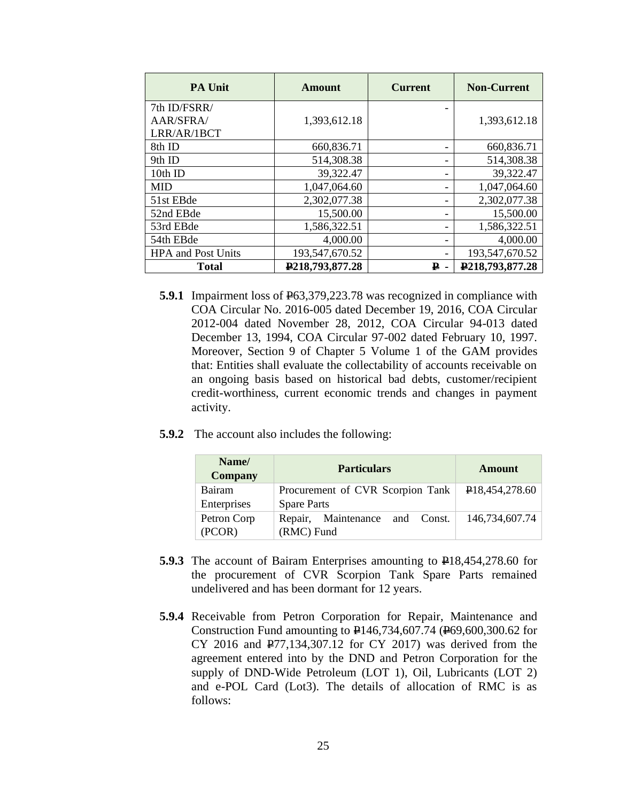| <b>PA Unit</b>            | Amount          | <b>Current</b> | <b>Non-Current</b>             |
|---------------------------|-----------------|----------------|--------------------------------|
| 7th ID/FSRR/              |                 |                |                                |
| AAR/SFRA/                 | 1,393,612.18    |                | 1,393,612.18                   |
| LRR/AR/1BCT               |                 |                |                                |
| 8th ID                    | 660,836.71      |                | 660,836.71                     |
| 9th ID                    | 514,308.38      |                | 514,308.38                     |
| 10th ID                   | 39,322.47       |                | 39,322.47                      |
| <b>MID</b>                | 1,047,064.60    |                | 1,047,064.60                   |
| 51st EBde                 | 2,302,077.38    |                | 2,302,077.38                   |
| 52nd EBde                 | 15,500.00       |                | 15,500.00                      |
| 53rd EBde                 | 1,586,322.51    |                | 1,586,322.51                   |
| 54th EBde                 | 4,000.00        |                | 4,000.00                       |
| <b>HPA</b> and Post Units | 193,547,670.52  |                | 193,547,670.52                 |
| <b>Total</b>              | P218,793,877.28 | ₽.             | P <sub>218</sub> , 793, 877.28 |

- **5.9.1** Impairment loss of  $\frac{1}{26}$  = 63,379,223.78 was recognized in compliance with COA Circular No. 2016-005 dated December 19, 2016, COA Circular 2012-004 dated November 28, 2012, COA Circular 94-013 dated December 13, 1994, COA Circular 97-002 dated February 10, 1997. Moreover, Section 9 of Chapter 5 Volume 1 of the GAM provides that: Entities shall evaluate the collectability of accounts receivable on an ongoing basis based on historical bad debts, customer/recipient credit-worthiness, current economic trends and changes in payment activity.
- **5.9.2** The account also includes the following:

| Name/<br><b>Company</b> | <b>Particulars</b>               | Amount         |
|-------------------------|----------------------------------|----------------|
| Bairam                  | Procurement of CVR Scorpion Tank | P18,454,278.60 |
| Enterprises             | <b>Spare Parts</b>               |                |
| Petron Corp             | Repair, Maintenance and Const.   | 146,734,607.74 |
| (PCOR)                  | (RMC) Fund                       |                |

- **5.9.3** The account of Bairam Enterprises amounting to  $\text{P18,454,278.60}$  for the procurement of CVR Scorpion Tank Spare Parts remained undelivered and has been dormant for 12 years.
- **5.9.4** Receivable from Petron Corporation for Repair, Maintenance and Construction Fund amounting to P146,734,607.74 (P69,600,300.62 for CY 2016 and P77,134,307.12 for CY 2017) was derived from the agreement entered into by the DND and Petron Corporation for the supply of DND-Wide Petroleum (LOT 1), Oil, Lubricants (LOT 2) and e-POL Card (Lot3). The details of allocation of RMC is as follows: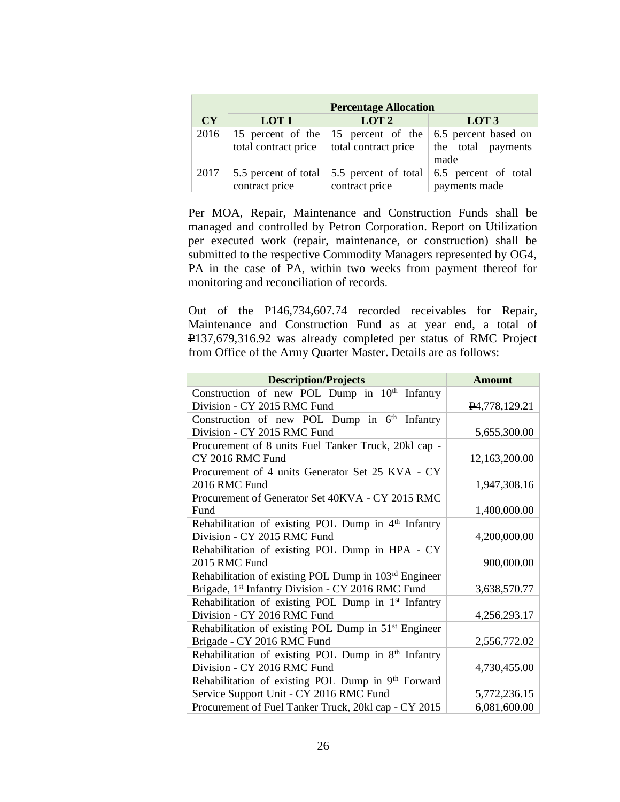|      | <b>Percentage Allocation</b>                             |                                                             |                                                    |  |  |  |  |  |  |
|------|----------------------------------------------------------|-------------------------------------------------------------|----------------------------------------------------|--|--|--|--|--|--|
| CY   | LOT <sub>1</sub><br>LOT <sub>2</sub><br>LOT <sub>3</sub> |                                                             |                                                    |  |  |  |  |  |  |
| 2016 | total contract price                                     | 15 percent of the 15 percent of the<br>total contract price | 6.5 percent based on<br>the total payments<br>made |  |  |  |  |  |  |
| 2017 | 5.5 percent of total<br>contract price                   | 5.5 percent of total<br>contract price                      | 6.5 percent of total<br>payments made              |  |  |  |  |  |  |

Per MOA, Repair, Maintenance and Construction Funds shall be managed and controlled by Petron Corporation. Report on Utilization per executed work (repair, maintenance, or construction) shall be submitted to the respective Commodity Managers represented by OG4, PA in the case of PA, within two weeks from payment thereof for monitoring and reconciliation of records.

Out of the P146,734,607.74 recorded receivables for Repair, Maintenance and Construction Fund as at year end, a total of P137,679,316.92 was already completed per status of RMC Project from Office of the Army Quarter Master. Details are as follows:

| <b>Description/Projects</b>                                      | <b>Amount</b>              |
|------------------------------------------------------------------|----------------------------|
| Construction of new POL Dump in 10 <sup>th</sup> Infantry        |                            |
| Division - CY 2015 RMC Fund                                      | P <sub>4</sub> ,778,129.21 |
| Construction of new POL Dump in 6 <sup>th</sup> Infantry         |                            |
| Division - CY 2015 RMC Fund                                      | 5,655,300.00               |
| Procurement of 8 units Fuel Tanker Truck, 20kl cap -             |                            |
| CY 2016 RMC Fund                                                 | 12,163,200.00              |
| Procurement of 4 units Generator Set 25 KVA - CY                 |                            |
| 2016 RMC Fund                                                    | 1,947,308.16               |
| Procurement of Generator Set 40KVA - CY 2015 RMC                 |                            |
| Fund                                                             | 1,400,000.00               |
| Rehabilitation of existing POL Dump in $4th$ Infantry            |                            |
| Division - CY 2015 RMC Fund                                      | 4,200,000.00               |
| Rehabilitation of existing POL Dump in HPA - CY                  |                            |
| 2015 RMC Fund                                                    | 900,000.00                 |
| Rehabilitation of existing POL Dump in 103rd Engineer            |                            |
| Brigade, 1st Infantry Division - CY 2016 RMC Fund                | 3,638,570.77               |
| Rehabilitation of existing POL Dump in 1 <sup>st</sup> Infantry  |                            |
| Division - CY 2016 RMC Fund                                      | 4,256,293.17               |
| Rehabilitation of existing POL Dump in 51 <sup>st</sup> Engineer |                            |
| Brigade - CY 2016 RMC Fund                                       | 2,556,772.02               |
| Rehabilitation of existing POL Dump in $8th$ Infantry            |                            |
| Division - CY 2016 RMC Fund                                      | 4,730,455.00               |
| Rehabilitation of existing POL Dump in 9th Forward               |                            |
| Service Support Unit - CY 2016 RMC Fund                          | 5,772,236.15               |
| Procurement of Fuel Tanker Truck, 20kl cap - CY 2015             | 6,081,600.00               |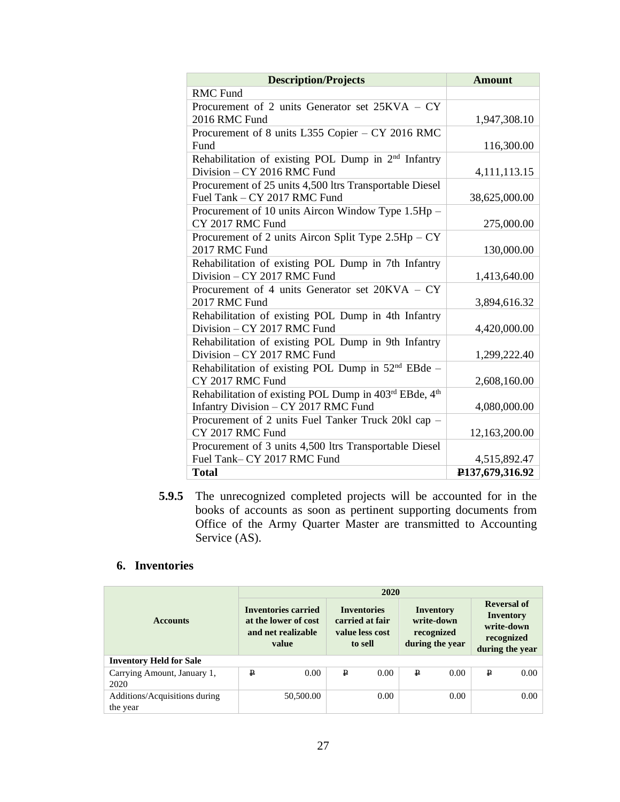| <b>Description/Projects</b>                                     | <b>Amount</b>   |
|-----------------------------------------------------------------|-----------------|
| <b>RMC</b> Fund                                                 |                 |
| Procurement of 2 units Generator set 25KVA - CY                 |                 |
| 2016 RMC Fund                                                   | 1,947,308.10    |
| Procurement of 8 units L355 Copier – CY 2016 RMC                |                 |
| Fund                                                            | 116,300.00      |
| Rehabilitation of existing POL Dump in 2 <sup>nd</sup> Infantry |                 |
| Division - CY 2016 RMC Fund                                     | 4,111,113.15    |
| Procurement of 25 units 4,500 ltrs Transportable Diesel         |                 |
| Fuel Tank - CY 2017 RMC Fund                                    | 38,625,000.00   |
| Procurement of 10 units Aircon Window Type 1.5Hp -              |                 |
| CY 2017 RMC Fund                                                | 275,000.00      |
| Procurement of 2 units Aircon Split Type $2.5$ Hp $- CY$        |                 |
| 2017 RMC Fund                                                   | 130,000.00      |
| Rehabilitation of existing POL Dump in 7th Infantry             |                 |
| Division - CY 2017 RMC Fund                                     | 1,413,640.00    |
| Procurement of 4 units Generator set 20KVA – CY                 |                 |
| 2017 RMC Fund                                                   | 3,894,616.32    |
| Rehabilitation of existing POL Dump in 4th Infantry             |                 |
| Division - CY 2017 RMC Fund                                     | 4,420,000.00    |
| Rehabilitation of existing POL Dump in 9th Infantry             |                 |
| Division - CY 2017 RMC Fund                                     | 1,299,222.40    |
| Rehabilitation of existing POL Dump in 52 <sup>nd</sup> EBde -  |                 |
| CY 2017 RMC Fund                                                | 2,608,160.00    |
| Rehabilitation of existing POL Dump in 403rd EBde, 4th          |                 |
| Infantry Division - CY 2017 RMC Fund                            | 4,080,000.00    |
| Procurement of 2 units Fuel Tanker Truck 20kl cap -             |                 |
| CY 2017 RMC Fund                                                | 12,163,200.00   |
| Procurement of 3 units 4,500 ltrs Transportable Diesel          |                 |
| Fuel Tank-CY 2017 RMC Fund                                      | 4,515,892.47    |
| <b>Total</b>                                                    | P137,679,316.92 |

**5.9.5** The unrecognized completed projects will be accounted for in the books of accounts as soon as pertinent supporting documents from Office of the Army Quarter Master are transmitted to Accounting Service (AS).

# **6. Inventories**

|                                | 2020                                                                              |           |                                                                     |      |                                                          |      |                                                                         |      |
|--------------------------------|-----------------------------------------------------------------------------------|-----------|---------------------------------------------------------------------|------|----------------------------------------------------------|------|-------------------------------------------------------------------------|------|
| <b>Accounts</b>                | <b>Inventories carried</b><br>at the lower of cost<br>and net realizable<br>value |           | <b>Inventories</b><br>carried at fair<br>value less cost<br>to sell |      | Inventory<br>write-down<br>recognized<br>during the year |      | Reversal of<br>Inventory<br>write-down<br>recognized<br>during the year |      |
| <b>Inventory Held for Sale</b> |                                                                                   |           |                                                                     |      |                                                          |      |                                                                         |      |
| Carrying Amount, January 1,    | ₽                                                                                 | 0.00      | ₽                                                                   | 0.00 | ₽                                                        | 0.00 | ₽                                                                       | 0.00 |
| 2020                           |                                                                                   |           |                                                                     |      |                                                          |      |                                                                         |      |
| Additions/Acquisitions during  |                                                                                   | 50,500.00 |                                                                     | 0.00 |                                                          | 0.00 |                                                                         | 0.00 |
| the year                       |                                                                                   |           |                                                                     |      |                                                          |      |                                                                         |      |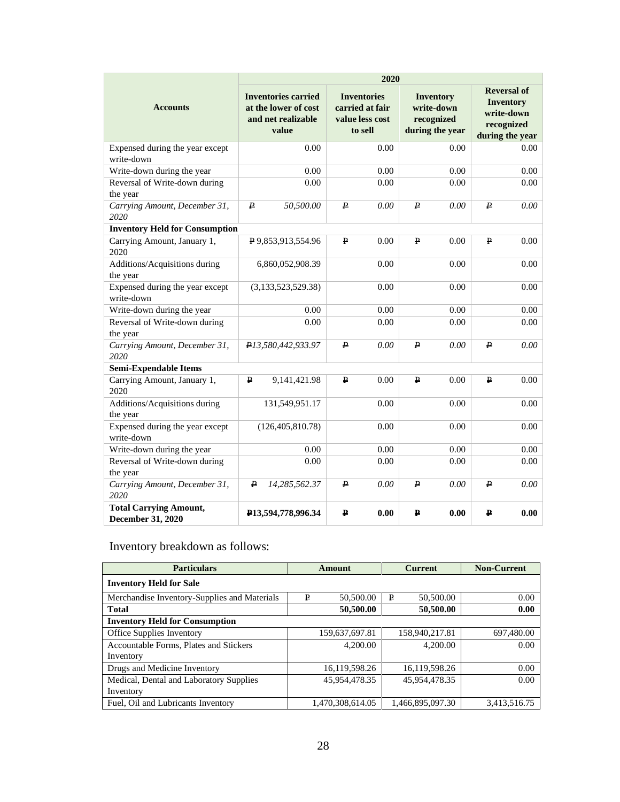|                                                    | 2020                                                                              |                                                                     |                                                                 |                                                                                       |  |  |  |  |
|----------------------------------------------------|-----------------------------------------------------------------------------------|---------------------------------------------------------------------|-----------------------------------------------------------------|---------------------------------------------------------------------------------------|--|--|--|--|
| <b>Accounts</b>                                    | <b>Inventories carried</b><br>at the lower of cost<br>and net realizable<br>value | <b>Inventories</b><br>carried at fair<br>value less cost<br>to sell | <b>Inventory</b><br>write-down<br>recognized<br>during the year | <b>Reversal of</b><br><b>Inventory</b><br>write-down<br>recognized<br>during the year |  |  |  |  |
| Expensed during the year except<br>write-down      | 0.00                                                                              | 0.00                                                                | 0.00                                                            | 0.00                                                                                  |  |  |  |  |
| Write-down during the year                         | 0.00                                                                              | 0.00                                                                | 0.00                                                            | 0.00                                                                                  |  |  |  |  |
| Reversal of Write-down during                      | 0.00                                                                              | 0.00                                                                | 0.00                                                            | 0.00                                                                                  |  |  |  |  |
| the year                                           |                                                                                   |                                                                     |                                                                 |                                                                                       |  |  |  |  |
| Carrying Amount, December 31,<br>2020              | 50,500.00<br>₽                                                                    | ₽<br>0.00                                                           | ₽<br>0.00                                                       | ₽<br>0.00                                                                             |  |  |  |  |
| <b>Inventory Held for Consumption</b>              |                                                                                   |                                                                     |                                                                 |                                                                                       |  |  |  |  |
| Carrying Amount, January 1,<br>2020                | P9,853,913,554.96                                                                 | $\mathbf{P}$<br>0.00                                                | ₽<br>0.00                                                       | $\mathbf{p}$<br>0.00                                                                  |  |  |  |  |
| Additions/Acquisitions during<br>the year          | 6,860,052,908.39                                                                  | 0.00                                                                | 0.00                                                            | 0.00                                                                                  |  |  |  |  |
| Expensed during the year except                    | (3,133,523,529.38)                                                                | 0.00                                                                | 0.00                                                            | 0.00                                                                                  |  |  |  |  |
| write-down                                         |                                                                                   |                                                                     |                                                                 |                                                                                       |  |  |  |  |
| Write-down during the year                         | 0.00                                                                              | 0.00                                                                | 0.00                                                            | 0.00                                                                                  |  |  |  |  |
| Reversal of Write-down during                      | 0.00                                                                              | 0.00                                                                | 0.00                                                            | 0.00                                                                                  |  |  |  |  |
| the year                                           |                                                                                   |                                                                     |                                                                 |                                                                                       |  |  |  |  |
| Carrying Amount, December 31,<br>2020              | P13,580,442,933.97                                                                | ₽<br>0.00                                                           | ₽<br>0.00                                                       | ₽<br>0.00                                                                             |  |  |  |  |
| Semi-Expendable Items                              |                                                                                   |                                                                     |                                                                 |                                                                                       |  |  |  |  |
| Carrying Amount, January 1,<br>2020                | ₽<br>9, 141, 421. 98                                                              | $\mathbf{P}$<br>0.00                                                | ₽<br>0.00                                                       | ₽<br>0.00                                                                             |  |  |  |  |
| Additions/Acquisitions during<br>the year          | 131,549,951.17                                                                    | 0.00                                                                | 0.00                                                            | 0.00                                                                                  |  |  |  |  |
| Expensed during the year except<br>write-down      | (126, 405, 810.78)                                                                | 0.00                                                                | 0.00                                                            | 0.00                                                                                  |  |  |  |  |
| Write-down during the year                         | 0.00                                                                              | 0.00                                                                | 0.00                                                            | 0.00                                                                                  |  |  |  |  |
| Reversal of Write-down during                      | 0.00                                                                              | 0.00                                                                | 0.00                                                            | 0.00                                                                                  |  |  |  |  |
| the year                                           |                                                                                   |                                                                     |                                                                 |                                                                                       |  |  |  |  |
| Carrying Amount, December 31,<br>2020              | 14,285,562.37<br>₽                                                                | ₽<br>0.00                                                           | ₽<br>0.00                                                       | ₽<br>0.00                                                                             |  |  |  |  |
| <b>Total Carrying Amount,</b><br>December 31, 2020 | P13,594,778,996.34                                                                | ₽<br>0.00                                                           | ₽<br>0.00                                                       | $\mathbf{p}$<br>0.00                                                                  |  |  |  |  |

# Inventory breakdown as follows:

| <b>Particulars</b>                           |   | Amount           |   | <b>Current</b>   | <b>Non-Current</b> |  |
|----------------------------------------------|---|------------------|---|------------------|--------------------|--|
| <b>Inventory Held for Sale</b>               |   |                  |   |                  |                    |  |
| Merchandise Inventory-Supplies and Materials | ₽ | 50,500.00        | ₽ | 50,500.00        | 0.00               |  |
| <b>Total</b>                                 |   | 50,500.00        |   | 50,500.00        | 0.00               |  |
| <b>Inventory Held for Consumption</b>        |   |                  |   |                  |                    |  |
| Office Supplies Inventory                    |   | 159,637,697.81   |   | 158,940,217.81   | 697,480.00         |  |
| Accountable Forms, Plates and Stickers       |   | 4,200.00         |   | 4,200.00         | 0.00               |  |
| Inventory                                    |   |                  |   |                  |                    |  |
| Drugs and Medicine Inventory                 |   | 16,119,598.26    |   | 16,119,598.26    | 0.00               |  |
| Medical, Dental and Laboratory Supplies      |   | 45,954,478.35    |   | 45,954,478.35    | 0.00               |  |
| Inventory                                    |   |                  |   |                  |                    |  |
| Fuel, Oil and Lubricants Inventory           |   | 1.470.308.614.05 |   | 1.466.895.097.30 | 3.413.516.75       |  |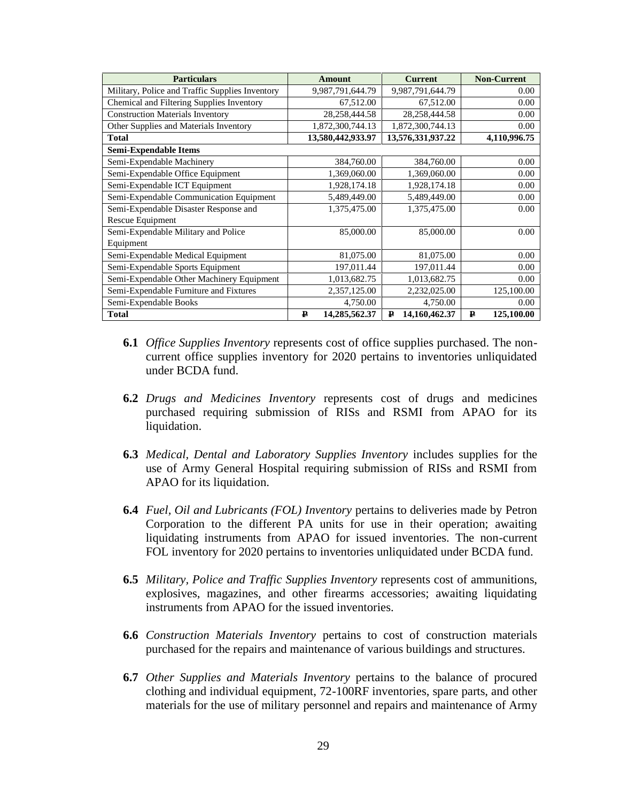| <b>Particulars</b>                              | <b>Amount</b>                 | <b>Current</b>     | <b>Non-Current</b> |
|-------------------------------------------------|-------------------------------|--------------------|--------------------|
| Military, Police and Traffic Supplies Inventory | 9,987,791,644.79              | 9,987,791,644.79   | 0.00               |
| Chemical and Filtering Supplies Inventory       | 67,512.00                     | 67,512.00          | 0.00               |
| <b>Construction Materials Inventory</b>         | 28, 258, 444. 58              | 28, 258, 444. 58   | 0.00               |
| Other Supplies and Materials Inventory          | 1,872,300,744.13              | 1,872,300,744.13   | 0.00               |
| <b>Total</b>                                    | 13,580,442,933.97             | 13,576,331,937.22  | 4,110,996.75       |
| <b>Semi-Expendable Items</b>                    |                               |                    |                    |
| Semi-Expendable Machinery                       | 384,760.00                    | 384,760.00         | 0.00               |
| Semi-Expendable Office Equipment                | 1,369,060.00                  | 1,369,060.00       | 0.00               |
| Semi-Expendable ICT Equipment                   | 1,928,174.18                  | 1,928,174.18       | 0.00               |
| Semi-Expendable Communication Equipment         | 5,489,449.00                  | 5,489,449.00       | 0.00               |
| Semi-Expendable Disaster Response and           | 1,375,475.00                  | 1,375,475.00       | 0.00               |
| Rescue Equipment                                |                               |                    |                    |
| Semi-Expendable Military and Police             | 85,000.00                     | 85,000.00          | 0.00               |
| Equipment                                       |                               |                    |                    |
| Semi-Expendable Medical Equipment               | 81,075.00                     | 81,075.00          | 0.00               |
| Semi-Expendable Sports Equipment                | 197,011.44                    | 197,011.44         | 0.00               |
| Semi-Expendable Other Machinery Equipment       | 1,013,682.75                  | 1,013,682.75       | 0.00               |
| Semi-Expendable Furniture and Fixtures          | 2,357,125.00                  | 2,232,025.00       | 125,100.00         |
| Semi-Expendable Books                           | 4,750.00                      | 4,750.00           | 0.00               |
| <b>Total</b>                                    | 14,285,562.37<br>$\mathbf{P}$ | 14,160,462.37<br>₽ | 125,100.00<br>₽    |

- **6.1** *Office Supplies Inventory* represents cost of office supplies purchased. The noncurrent office supplies inventory for 2020 pertains to inventories unliquidated under BCDA fund.
- **6.2** *Drugs and Medicines Inventory* represents cost of drugs and medicines purchased requiring submission of RISs and RSMI from APAO for its liquidation.
- **6.3** *Medical, Dental and Laboratory Supplies Inventory* includes supplies for the use of Army General Hospital requiring submission of RISs and RSMI from APAO for its liquidation.
- **6.4** *Fuel, Oil and Lubricants (FOL) Inventory* pertains to deliveries made by Petron Corporation to the different PA units for use in their operation; awaiting liquidating instruments from APAO for issued inventories. The non-current FOL inventory for 2020 pertains to inventories unliquidated under BCDA fund.
- **6.5** *Military, Police and Traffic Supplies Inventory* represents cost of ammunitions, explosives, magazines, and other firearms accessories; awaiting liquidating instruments from APAO for the issued inventories.
- **6.6** *Construction Materials Inventory* pertains to cost of construction materials purchased for the repairs and maintenance of various buildings and structures.
- **6.7** *Other Supplies and Materials Inventory* pertains to the balance of procured clothing and individual equipment, 72-100RF inventories, spare parts, and other materials for the use of military personnel and repairs and maintenance of Army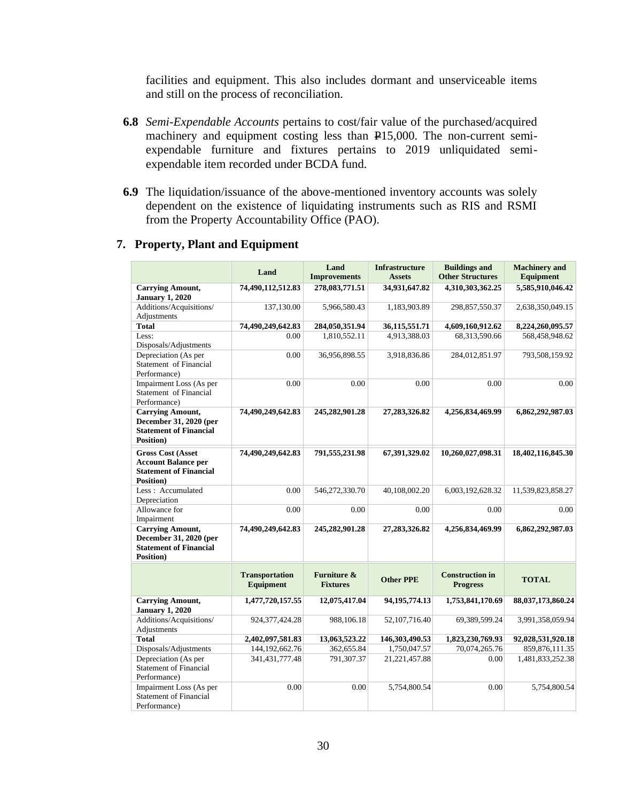facilities and equipment. This also includes dormant and unserviceable items and still on the process of reconciliation.

- **6.8** *Semi-Expendable Accounts* pertains to cost/fair value of the purchased/acquired machinery and equipment costing less than P15,000. The non-current semiexpendable furniture and fixtures pertains to 2019 unliquidated semiexpendable item recorded under BCDA fund.
- **6.9** The liquidation/issuance of the above-mentioned inventory accounts was solely dependent on the existence of liquidating instruments such as RIS and RSMI from the Property Accountability Office (PAO).

|                                                                                                              | Land                                      | Land                                      | <b>Infrastructure</b> | <b>Buildings and</b>                      | <b>Machinery</b> and |
|--------------------------------------------------------------------------------------------------------------|-------------------------------------------|-------------------------------------------|-----------------------|-------------------------------------------|----------------------|
|                                                                                                              |                                           | <b>Improvements</b>                       | <b>Assets</b>         | <b>Other Structures</b>                   | <b>Equipment</b>     |
| <b>Carrying Amount,</b><br><b>January 1, 2020</b>                                                            | 74,490,112,512.83                         | 278,083,771.51                            | 34,931,647.82         | 4,310,303,362.25                          | 5,585,910,046.42     |
| Additions/Acquisitions/<br>Adjustments                                                                       | 137,130.00                                | 5,966,580.43                              | 1,183,903.89          | 298,857,550.37                            | 2,638,350,049.15     |
| <b>Total</b>                                                                                                 | 74,490,249,642.83                         | 284,050,351.94                            | 36,115,551.71         | 4,609,160,912.62                          | 8,224,260,095.57     |
| Less:<br>Disposals/Adjustments                                                                               | 0.00                                      | 1,810,552.11                              | 4,913,388.03          | 68,313,590.66                             | 568,458,948.62       |
| Depreciation (As per<br>Statement of Financial<br>Performance)                                               | 0.00                                      | 36,956,898.55                             | 3,918,836.86          | 284,012,851.97                            | 793,508,159.92       |
| Impairment Loss (As per<br>Statement of Financial<br>Performance)                                            | 0.00                                      | 0.00                                      | 0.00                  | 0.00                                      | 0.00                 |
| <b>Carrying Amount,</b><br>December 31, 2020 (per<br><b>Statement of Financial</b><br><b>Position</b> )      | 74,490,249,642.83                         | 245,282,901.28                            | 27, 283, 326.82       | 4,256,834,469.99                          | 6,862,292,987.03     |
| <b>Gross Cost (Asset</b><br><b>Account Balance per</b><br><b>Statement of Financial</b><br><b>Position</b> ) | 74,490,249,642.83                         | 791,555,231.98                            | 67,391,329.02         | 10,260,027,098.31                         | 18,402,116,845.30    |
| Less: Accumulated<br>Depreciation                                                                            | 0.00                                      | 546,272,330.70                            | 40,108,002.20         | 6,003,192,628.32                          | 11,539,823,858.27    |
| Allowance for<br>Impairment                                                                                  | 0.00                                      | 0.00                                      | 0.00                  | 0.00                                      | 0.00                 |
| <b>Carrying Amount,</b><br>December 31, 2020 (per<br><b>Statement of Financial</b><br>Position)              | 74,490,249,642.83                         | 245,282,901.28                            | 27, 283, 326.82       | 4,256,834,469.99                          | 6,862,292,987.03     |
|                                                                                                              | <b>Transportation</b><br><b>Equipment</b> | <b>Furniture &amp;</b><br><b>Fixtures</b> | <b>Other PPE</b>      | <b>Construction in</b><br><b>Progress</b> | <b>TOTAL</b>         |
| <b>Carrying Amount,</b><br><b>January 1, 2020</b>                                                            | 1,477,720,157.55                          | 12,075,417.04                             | 94, 195, 774. 13      | 1,753,841,170.69                          | 88,037,173,860.24    |
| Additions/Acquisitions/<br>Adjustments                                                                       | 924, 377, 424. 28                         | 988,106.18                                | 52,107,716.40         | 69,389,599.24                             | 3,991,358,059.94     |
| <b>Total</b>                                                                                                 | 2,402,097,581.83                          | 13,063,523.22                             | 146,303,490.53        | 1,823,230,769.93                          | 92,028,531,920.18    |
| Disposals/Adjustments                                                                                        | 144, 192, 662. 76                         | 362,655.84                                | 1,750,047.57          | 70,074,265.76                             | 859,876,111.35       |
| Depreciation (As per<br><b>Statement of Financial</b><br>Performance)                                        | 341, 431, 777. 48                         | 791,307.37                                | 21, 221, 457.88       | 0.00                                      | 1,481,833,252.38     |
| Impairment Loss (As per<br><b>Statement of Financial</b><br>Performance)                                     | 0.00                                      | 0.00                                      | 5,754,800.54          | 0.00                                      | 5,754,800.54         |

#### **7. Property, Plant and Equipment**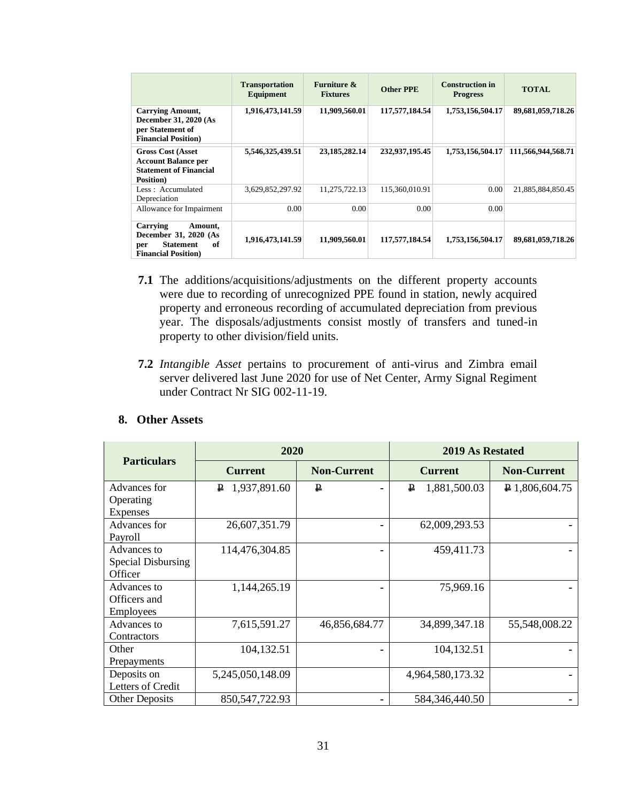|                                                                                                              | <b>Transportation</b><br>Equipment | Furniture $\&$<br><b>Fixtures</b> | <b>Other PPE</b> | <b>Construction in</b><br><b>Progress</b> | <b>TOTAL</b>       |
|--------------------------------------------------------------------------------------------------------------|------------------------------------|-----------------------------------|------------------|-------------------------------------------|--------------------|
| <b>Carrying Amount,</b><br>December 31, 2020 (As<br>per Statement of<br><b>Financial Position</b> )          | 1,916,473,141.59                   | 11,909,560.01                     | 117,577,184.54   | 1,753,156,504.17                          | 89,681,059,718.26  |
| <b>Gross Cost (Asset</b> )<br><b>Account Balance per</b><br><b>Statement of Financial</b><br>Position)       | 5,546,325,439.51                   | 23, 185, 282, 14                  | 232,937,195.45   | 1,753,156,504.17                          | 111,566,944,568.71 |
| Less: Accumulated<br>Depreciation                                                                            | 3,629,852,297.92                   | 11.275.722.13                     | 115.360.010.91   | 0.00                                      | 21,885,884,850.45  |
| Allowance for Impairment                                                                                     | 0.00                               | 0.00                              | 0.00             | 0.00                                      |                    |
| Carrying<br>Amount.<br>December 31, 2020 (As<br>of<br><b>Statement</b><br>per<br><b>Financial Position</b> ) | 1,916,473,141.59                   | 11,909,560.01                     | 117,577,184.54   | 1,753,156,504.17                          | 89,681,059,718.26  |

- **7.1** The additions/acquisitions/adjustments on the different property accounts were due to recording of unrecognized PPE found in station, newly acquired property and erroneous recording of accumulated depreciation from previous year. The disposals/adjustments consist mostly of transfers and tuned-in property to other division/field units.
- **7.2** *Intangible Asset* pertains to procurement of anti-virus and Zimbra email server delivered last June 2020 for use of Net Center, Army Signal Regiment under Contract Nr SIG 002-11-19.

|                           | 2020<br><b>Particulars</b><br><b>Non-Current</b><br><b>Current</b> |               | <b>2019 As Restated</b> |                    |
|---------------------------|--------------------------------------------------------------------|---------------|-------------------------|--------------------|
|                           |                                                                    |               | <b>Current</b>          | <b>Non-Current</b> |
| Advances for              | 1,937,891.60<br>₽                                                  | ₽             | 1,881,500.03<br>₽       | $P$ 1,806,604.75   |
| Operating                 |                                                                    |               |                         |                    |
| <b>Expenses</b>           |                                                                    |               |                         |                    |
| Advances for              | 26,607,351.79                                                      |               | 62,009,293.53           |                    |
| Payroll                   |                                                                    |               |                         |                    |
| Advances to               | 114,476,304.85                                                     |               | 459,411.73              |                    |
| <b>Special Disbursing</b> |                                                                    |               |                         |                    |
| Officer                   |                                                                    |               |                         |                    |
| Advances to               | 1,144,265.19                                                       |               | 75,969.16               |                    |
| Officers and              |                                                                    |               |                         |                    |
| <b>Employees</b>          |                                                                    |               |                         |                    |
| Advances to               | 7,615,591.27                                                       | 46,856,684.77 | 34,899,347.18           | 55,548,008.22      |
| Contractors               |                                                                    |               |                         |                    |
| Other                     | 104,132.51                                                         |               | 104,132.51              |                    |
| Prepayments               |                                                                    |               |                         |                    |
| Deposits on               | 5,245,050,148.09                                                   |               | 4,964,580,173.32        |                    |
| Letters of Credit         |                                                                    |               |                         |                    |
| <b>Other Deposits</b>     | 850, 547, 722. 93                                                  |               | 584,346,440.50          |                    |

#### **8. Other Assets**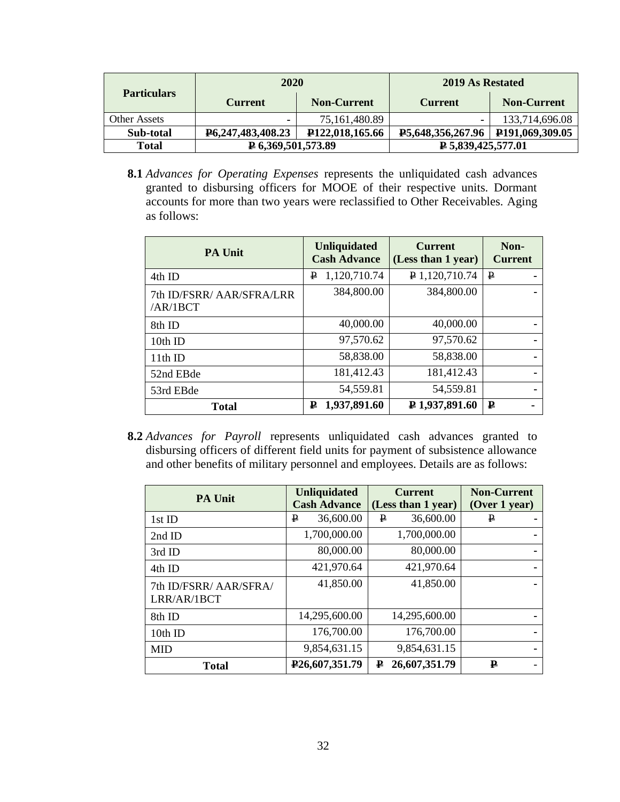|                     | 2020                               |                              | 2019 As Restated                  |                              |
|---------------------|------------------------------------|------------------------------|-----------------------------------|------------------------------|
| <b>Particulars</b>  | <b>Current</b>                     | <b>Non-Current</b>           | <b>Current</b>                    | <b>Non-Current</b>           |
| <b>Other Assets</b> |                                    | 75,161,480.89                |                                   | 133,714,696.08               |
| Sub-total           | P <sub>6</sub> , 247, 483, 408. 23 | P <sub>122</sub> ,018,165.66 | <b>P5,648,356,267.96</b>          | P <sub>191,069</sub> ,309.05 |
| Total               | $\sqrt{2}$ 6,369,501,573.89        |                              | $\triangleright$ 5,839,425,577.01 |                              |

**8.1** *Advances for Operating Expenses* represents the unliquidated cash advances granted to disbursing officers for MOOE of their respective units. Dormant accounts for more than two years were reclassified to Other Receivables. Aging as follows:

| <b>PA Unit</b>                        | <b>Unliquidated</b><br><b>Cash Advance</b> | <b>Current</b><br>(Less than 1 year) | Non-<br><b>Current</b> |
|---------------------------------------|--------------------------------------------|--------------------------------------|------------------------|
| 4th ID                                | 1,120,710.74<br>₽                          | $P$ 1,120,710.74                     | ₽                      |
| 7th ID/FSRR/ AAR/SFRA/LRR<br>/AR/1BCT | 384,800.00                                 | 384,800.00                           |                        |
| 8th ID                                | 40,000.00                                  | 40,000.00                            |                        |
| 10th ID                               | 97,570.62                                  | 97,570.62                            |                        |
| 11th ID                               | 58,838.00                                  | 58,838.00                            |                        |
| 52nd EBde                             | 181,412.43                                 | 181,412.43                           |                        |
| 53rd EBde                             | 54,559.81                                  | 54,559.81                            |                        |
| <b>Total</b>                          | 1,937,891.60<br>₽                          | ₽ 1,937,891.60                       | ₽                      |

**8.2** *Advances for Payroll* represents unliquidated cash advances granted to disbursing officers of different field units for payment of subsistence allowance and other benefits of military personnel and employees. Details are as follows:

| <b>PA Unit</b>                        | <b>Unliquidated</b><br><b>Cash Advance</b> | <b>Current</b><br>(Less than 1 year) | <b>Non-Current</b><br>(Over 1 year) |
|---------------------------------------|--------------------------------------------|--------------------------------------|-------------------------------------|
| 1st ID                                | 36,600.00<br>₽                             | 36,600.00<br>P                       | ₽                                   |
| 2nd ID                                | 1,700,000.00                               | 1,700,000.00                         |                                     |
| 3rd ID                                | 80,000.00                                  | 80,000.00                            |                                     |
| 4th ID                                | 421,970.64                                 | 421,970.64                           |                                     |
| 7th ID/FSRR/ AAR/SFRA/<br>LRR/AR/1BCT | 41,850.00                                  | 41,850.00                            |                                     |
| 8th ID                                | 14,295,600.00                              | 14,295,600.00                        |                                     |
| 10th ID                               | 176,700.00                                 | 176,700.00                           |                                     |
| <b>MID</b>                            | 9,854,631.15                               | 9,854,631.15                         |                                     |
| <b>Total</b>                          | P <sub>26</sub> ,607,351.79                | 26,607,351.79<br>₽                   | ₽                                   |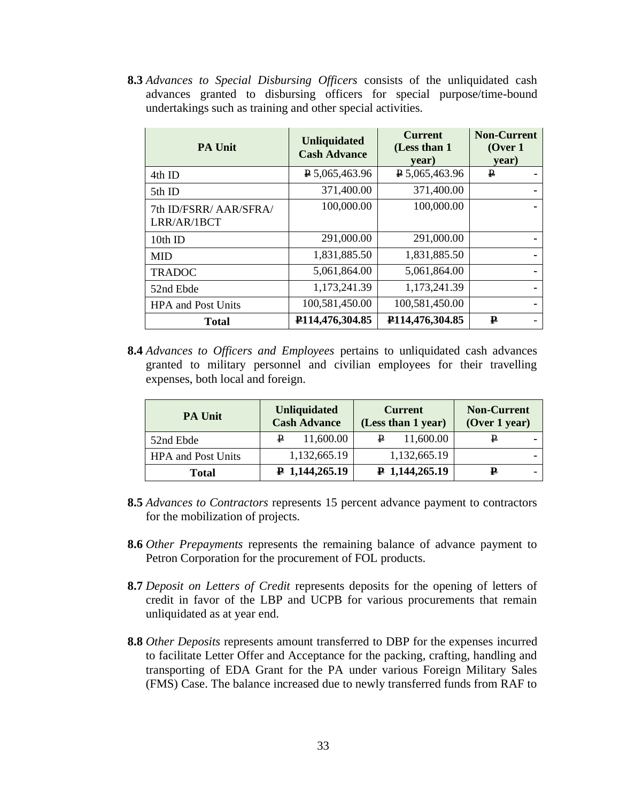**8.3** *Advances to Special Disbursing Officers* consists of the unliquidated cash advances granted to disbursing officers for special purpose/time-bound undertakings such as training and other special activities.

| <b>PA Unit</b>                        | <b>Unliquidated</b><br><b>Cash Advance</b> | <b>Current</b><br>(Less than 1)<br>year) | <b>Non-Current</b><br>(Over 1)<br>year) |
|---------------------------------------|--------------------------------------------|------------------------------------------|-----------------------------------------|
| 4th ID                                | $P$ 5,065,463.96                           | $P$ 5,065,463.96                         | ₽                                       |
| 5th ID                                | 371,400.00                                 | 371,400.00                               |                                         |
| 7th ID/FSRR/ AAR/SFRA/<br>LRR/AR/1BCT | 100,000.00                                 | 100,000.00                               |                                         |
| 10th ID                               | 291,000.00                                 | 291,000.00                               |                                         |
| <b>MID</b>                            | 1,831,885.50                               | 1,831,885.50                             | ۰.                                      |
| <b>TRADOC</b>                         | 5,061,864.00                               | 5,061,864.00                             | ۰.                                      |
| 52nd Ebde                             | 1,173,241.39                               | 1,173,241.39                             |                                         |
| <b>HPA</b> and Post Units             | 100,581,450.00                             | 100,581,450.00                           |                                         |
| <b>Total</b>                          | P <sub>114</sub> ,476,304.85               | P114,476,304.85                          | ₽                                       |

**8.4** *Advances to Officers and Employees* pertains to unliquidated cash advances granted to military personnel and civilian employees for their travelling expenses, both local and foreign.

| <b>PA Unit</b>            | <b>Unliquidated</b><br><b>Cash Advance</b> | <b>Current</b><br>(Less than 1 year) | <b>Non-Current</b><br>(Over 1 year) |
|---------------------------|--------------------------------------------|--------------------------------------|-------------------------------------|
| 52nd Ebde                 | 11,600.00<br>₽                             | 11,600.00<br>₽                       |                                     |
| <b>HPA</b> and Post Units | 1,132,665.19                               | 1,132,665.19                         |                                     |
| <b>Total</b>              | $P$ 1,144,265.19                           | $P$ 1,144,265.19                     | ₽<br>-                              |

- **8.5** *Advances to Contractors* represents 15 percent advance payment to contractors for the mobilization of projects.
- **8.6** *Other Prepayments* represents the remaining balance of advance payment to Petron Corporation for the procurement of FOL products.
- **8.7** *Deposit on Letters of Credit* represents deposits for the opening of letters of credit in favor of the LBP and UCPB for various procurements that remain unliquidated as at year end.
- **8.8** *Other Deposits* represents amount transferred to DBP for the expenses incurred to facilitate Letter Offer and Acceptance for the packing, crafting, handling and transporting of EDA Grant for the PA under various Foreign Military Sales (FMS) Case. The balance increased due to newly transferred funds from RAF to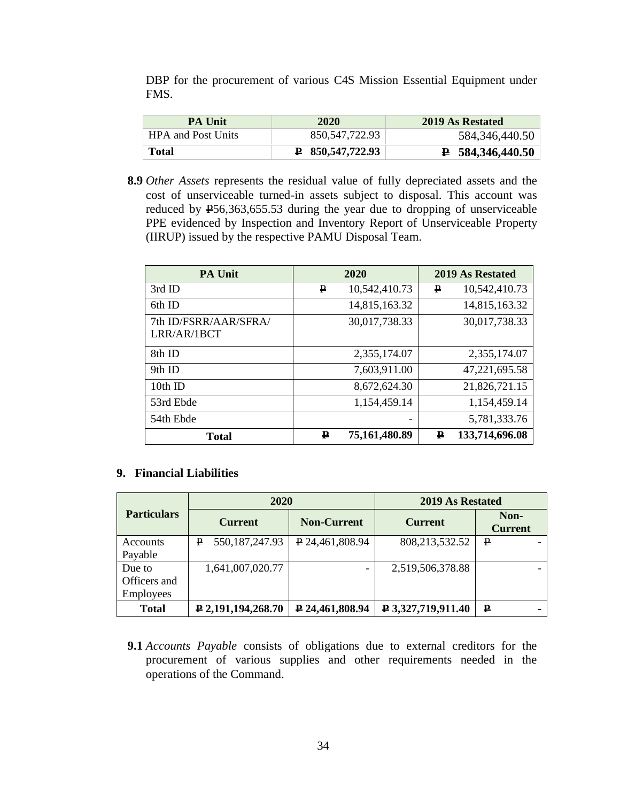DBP for the procurement of various C4S Mission Essential Equipment under FMS.

| <b>PA Unit</b>            | 2020                        | 2019 As Restated              |
|---------------------------|-----------------------------|-------------------------------|
| <b>HPA and Post Units</b> | 850.547.722.93              | 584,346,440.50                |
| Total                     | $\textbf{P}$ 850,547,722.93 | $\overline{P}$ 584,346,440.50 |

**8.9** *Other Assets* represents the residual value of fully depreciated assets and the cost of unserviceable turned-in assets subject to disposal. This account was reduced by P56,363,655.53 during the year due to dropping of unserviceable PPE evidenced by Inspection and Inventory Report of Unserviceable Property (IIRUP) issued by the respective PAMU Disposal Team.

| <b>PA Unit</b>                       | 2020               | 2019 As Restated    |
|--------------------------------------|--------------------|---------------------|
| 3rd ID                               | 10,542,410.73<br>₽ | 10,542,410.73<br>₽  |
| 6th ID                               | 14,815,163.32      | 14,815,163.32       |
| 7th ID/FSRR/AAR/SFRA/<br>LRR/AR/1BCT | 30,017,738.33      | 30,017,738.33       |
| 8th ID                               | 2,355,174.07       | 2,355,174.07        |
| 9th ID                               | 7,603,911.00       | 47,221,695.58       |
| $10th$ ID                            | 8,672,624.30       | 21,826,721.15       |
| 53rd Ebde                            | 1,154,459.14       | 1,154,459.14        |
| 54th Ebde                            |                    | 5,781,333.76        |
| <b>Total</b>                         | 75,161,480.89<br>₽ | 133,714,696.08<br>₽ |

## **9. Financial Liabilities**

|                    | 2020                           |                    | 2019 As Restated   |                        |  |
|--------------------|--------------------------------|--------------------|--------------------|------------------------|--|
| <b>Particulars</b> | <b>Current</b>                 | <b>Non-Current</b> | <b>Current</b>     | Non-<br><b>Current</b> |  |
| Accounts           | 550, 187, 247. 93<br>₽         | $P$ 24,461,808.94  | 808, 213, 532. 52  | ₽                      |  |
| Payable            |                                |                    |                    |                        |  |
| Due to             | 1,641,007,020.77               |                    | 2,519,506,378.88   |                        |  |
| Officers and       |                                |                    |                    |                        |  |
| <b>Employees</b>   |                                |                    |                    |                        |  |
| <b>Total</b>       | $\sqrt{2}$ , 191, 194, 268. 70 | ₽ 24,461,808.94    | ₽ 3,327,719,911.40 | ₽                      |  |

**9.1** *Accounts Payable* consists of obligations due to external creditors for the procurement of various supplies and other requirements needed in the operations of the Command.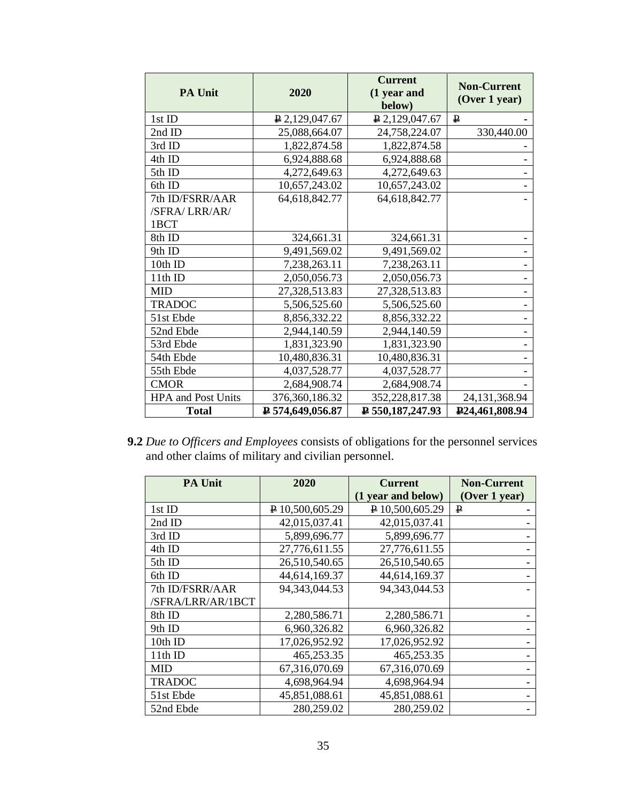| <b>PA Unit</b>            | 2020             | <b>Current</b><br>(1 year and | <b>Non-Current</b><br>(Over 1 year) |
|---------------------------|------------------|-------------------------------|-------------------------------------|
| 1st ID                    |                  | below)                        | $\mathbf{P}$                        |
|                           | $P$ 2,129,047.67 | $P$ 2,129,047.67              |                                     |
| 2nd ID                    | 25,088,664.07    | 24,758,224.07                 | 330,440.00                          |
| 3rd ID                    | 1,822,874.58     | 1,822,874.58                  |                                     |
| 4th ID                    | 6,924,888.68     | 6,924,888.68                  |                                     |
| 5th ID                    | 4,272,649.63     | 4,272,649.63                  |                                     |
| 6th ID                    | 10,657,243.02    | 10,657,243.02                 |                                     |
| 7th ID/FSRR/AAR           | 64, 618, 842. 77 | 64, 618, 842. 77              |                                     |
| /SFRA/LRR/AR/             |                  |                               |                                     |
| 1BCT                      |                  |                               |                                     |
| 8th ID                    | 324,661.31       | 324,661.31                    |                                     |
| 9th ID                    | 9,491,569.02     | 9,491,569.02                  |                                     |
| 10th ID                   | 7,238,263.11     | 7,238,263.11                  |                                     |
| 11th ID                   | 2,050,056.73     | 2,050,056.73                  |                                     |
| <b>MID</b>                | 27,328,513.83    | 27,328,513.83                 |                                     |
| <b>TRADOC</b>             | 5,506,525.60     | 5,506,525.60                  |                                     |
| 51st Ebde                 | 8,856,332.22     | 8,856,332.22                  |                                     |
| 52nd Ebde                 | 2,944,140.59     | 2,944,140.59                  |                                     |
| 53rd Ebde                 | 1,831,323.90     | 1,831,323.90                  |                                     |
| 54th Ebde                 | 10,480,836.31    | 10,480,836.31                 |                                     |
| 55th Ebde                 | 4,037,528.77     | 4,037,528.77                  |                                     |
| <b>CMOR</b>               | 2,684,908.74     | 2,684,908.74                  |                                     |
| <b>HPA</b> and Post Units | 376,360,186.32   | 352,228,817.38                | 24, 131, 368. 94                    |
| <b>Total</b>              | P 574,649,056.87 | $P$ 550, 187, 247. 93         | P <sub>24</sub> ,461,808.94         |

**9.2** *Due to Officers and Employees* consists of obligations for the personnel services and other claims of military and civilian personnel.

| <b>PA Unit</b>    | 2020             | <b>Current</b>     | <b>Non-Current</b> |
|-------------------|------------------|--------------------|--------------------|
|                   |                  | (1 year and below) | (Over 1 year)      |
| 1st ID            | P 10,500,605.29  | $P$ 10,500,605.29  | ₽                  |
| 2nd ID            | 42,015,037.41    | 42,015,037.41      |                    |
| 3rd ID            | 5,899,696.77     | 5,899,696.77       |                    |
| 4th ID            | 27,776,611.55    | 27,776,611.55      |                    |
| 5th ID            | 26,510,540.65    | 26,510,540.65      |                    |
| 6th ID            | 44,614,169.37    | 44,614,169.37      |                    |
| 7th ID/FSRR/AAR   | 94, 343, 044. 53 | 94, 343, 044. 53   |                    |
| /SFRA/LRR/AR/1BCT |                  |                    |                    |
| 8th ID            | 2,280,586.71     | 2,280,586.71       |                    |
| 9th ID            | 6,960,326.82     | 6,960,326.82       |                    |
| 10th ID           | 17,026,952.92    | 17,026,952.92      |                    |
| 11th ID           | 465,253.35       | 465,253.35         |                    |
| <b>MID</b>        | 67,316,070.69    | 67,316,070.69      |                    |
| <b>TRADOC</b>     | 4,698,964.94     | 4,698,964.94       |                    |
| 51st Ebde         | 45,851,088.61    | 45,851,088.61      |                    |
| 52nd Ebde         | 280,259.02       | 280,259.02         |                    |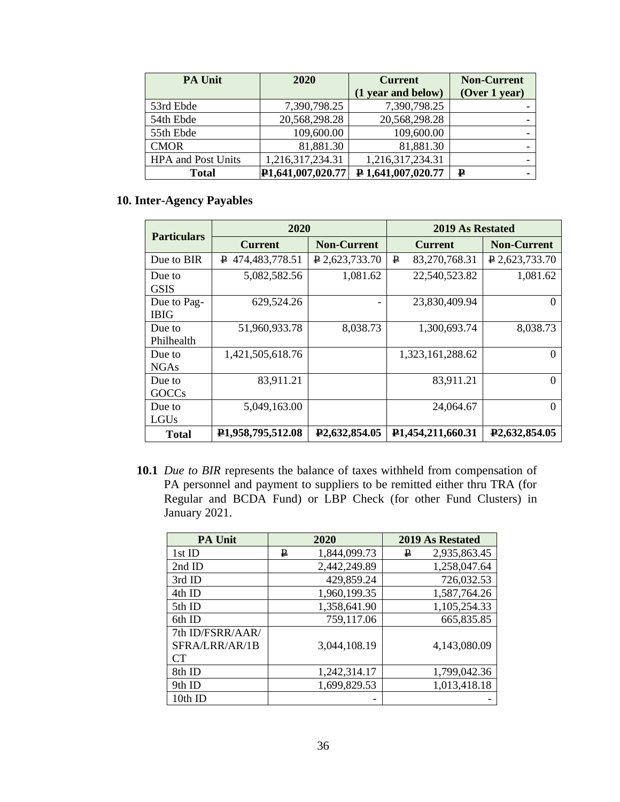| <b>PA Unit</b>            | 2020                           | <b>Current</b>            | <b>Non-Current</b> |
|---------------------------|--------------------------------|---------------------------|--------------------|
|                           |                                | (1 year and below)        | (Over 1 year)      |
| 53rd Ebde                 | 7,390,798.25                   | 7,390,798.25              |                    |
| 54th Ebde                 | 20,568,298.28                  | 20,568,298.28             |                    |
| 55th Ebde                 | 109,600.00                     | 109,600.00                |                    |
| <b>CMOR</b>               | 81,881.30                      | 81,881.30                 |                    |
| <b>HPA</b> and Post Units | 1,216,317,234.31               | 1,216,317,234.31          |                    |
| Total                     | P <sub>1</sub> ,641,007,020.77 | $\bf{P}$ 1,641,007,020.77 | $\mathbf p$        |

# **10. Inter-Agency Payables**

| <b>Particulars</b>         | 2020                           |                            | 2019 As Restated               |                            |
|----------------------------|--------------------------------|----------------------------|--------------------------------|----------------------------|
|                            | <b>Current</b>                 | <b>Non-Current</b>         | <b>Current</b>                 | <b>Non-Current</b>         |
| Due to BIR                 | P 474,483,778.51               | $P$ 2,623,733.70           | ₽<br>83,270,768.31             | $P$ 2,623,733.70           |
| Due to<br><b>GSIS</b>      | 5,082,582.56                   | 1,081.62                   | 22,540,523.82                  | 1,081.62                   |
| Due to Pag-<br><b>IBIG</b> | 629,524.26                     |                            | 23,830,409.94                  | O                          |
| Due to<br>Philhealth       | 51,960,933.78                  | 8,038.73                   | 1,300,693.74                   | 8,038.73                   |
| Due to<br><b>NGAs</b>      | 1,421,505,618.76               |                            | 1,323,161,288.62               | 0                          |
| Due to<br><b>GOCCs</b>     | 83,911.21                      |                            | 83,911.21                      | $\Omega$                   |
| Due to<br>LGUs             | 5,049,163.00                   |                            | 24,064.67                      | 0                          |
| <b>Total</b>               | P <sub>1</sub> ,958,795,512.08 | P <sub>2</sub> ,632,854.05 | P <sub>1</sub> ,454,211,660.31 | P <sub>2</sub> ,632,854.05 |

**10.1** *Due to BIR* represents the balance of taxes withheld from compensation of PA personnel and payment to suppliers to be remitted either thru TRA (for Regular and BCDA Fund) or LBP Check (for other Fund Clusters) in January 2021.

| <b>PA Unit</b>                           | 2020 |              | <b>2019 As Restated</b> |
|------------------------------------------|------|--------------|-------------------------|
| 1st ID                                   | ₽    | 1,844,099.73 | 2,935,863.45<br>₽       |
| 2nd ID                                   |      | 2,442,249.89 | 1,258,047.64            |
| 3rd ID                                   |      | 429,859.24   | 726,032.53              |
| 4th ID                                   |      | 1,960,199.35 | 1,587,764.26            |
| 5th ID                                   |      | 1,358,641.90 | 1,105,254.33            |
| 6th ID                                   |      | 759,117.06   | 665,835.85              |
| 7th ID/FSRR/AAR/<br>SFRA/LRR/AR/1B<br>CТ |      | 3,044,108.19 | 4,143,080.09            |
| 8th ID                                   |      | 1,242,314.17 | 1,799,042.36            |
| 9th ID                                   |      | 1,699,829.53 | 1,013,418.18            |
| 10th ID                                  |      | -            |                         |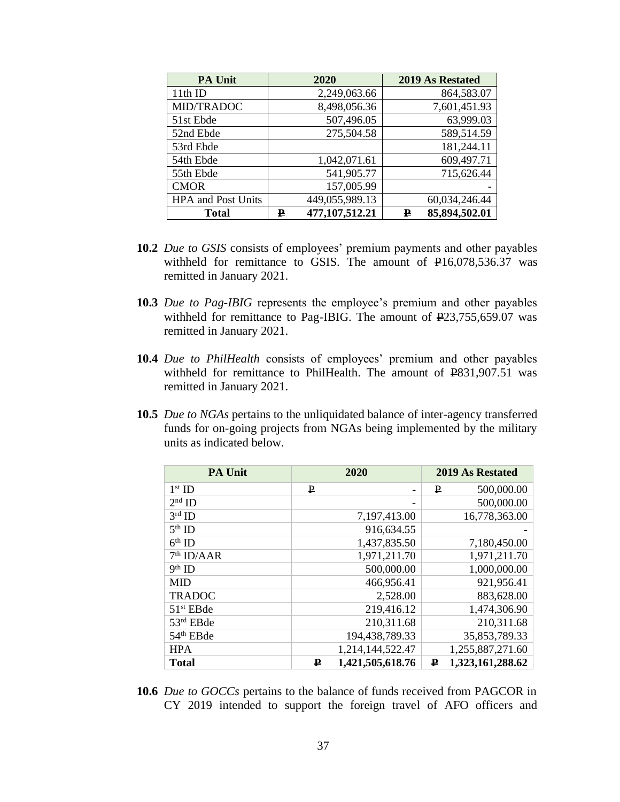| <b>PA Unit</b>            | 2020 |                | <b>2019 As Restated</b> |
|---------------------------|------|----------------|-------------------------|
| 11th ID                   |      | 2,249,063.66   | 864,583.07              |
| MID/TRADOC                |      | 8,498,056.36   | 7,601,451.93            |
| 51st Ebde                 |      | 507,496.05     | 63,999.03               |
| 52nd Ebde                 |      | 275,504.58     | 589,514.59              |
| 53rd Ebde                 |      |                | 181,244.11              |
| 54th Ebde                 |      | 1,042,071.61   | 609,497.71              |
| 55th Ebde                 |      | 541,905.77     | 715,626.44              |
| <b>CMOR</b>               |      | 157,005.99     |                         |
| <b>HPA</b> and Post Units |      | 449,055,989.13 | 60,034,246.44           |
| <b>Total</b>              | ₽    | 477,107,512.21 | 85,894,502.01<br>₽      |

- **10.2** *Due to GSIS* consists of employees' premium payments and other payables withheld for remittance to GSIS. The amount of  $\text{\textsterling}16,078,536.37$  was remitted in January 2021.
- **10.3** *Due to Pag-IBIG* represents the employee's premium and other payables withheld for remittance to Pag-IBIG. The amount of P23,755,659.07 was remitted in January 2021.
- **10.4** *Due to PhilHealth* consists of employees' premium and other payables withheld for remittance to PhilHealth. The amount of  $\text{\textsterling}831,907.51$  was remitted in January 2021.
- **10.5** *Due to NGAs* pertains to the unliquidated balance of inter-agency transferred funds for on-going projects from NGAs being implemented by the military units as indicated below.

| <b>PA Unit</b>        | 2020                  | <b>2019 As Restated</b> |
|-----------------------|-----------------------|-------------------------|
| $1st$ ID              | ₽                     | 500,000.00<br>₽         |
| $2nd$ ID              |                       | 500,000.00              |
| $3rd$ ID              | 7,197,413.00          | 16,778,363.00           |
| $5th$ ID              | 916,634.55            |                         |
| $6th$ ID              | 1,437,835.50          | 7,180,450.00            |
| $7th$ ID/AAR          | 1,971,211.70          | 1,971,211.70            |
| $9th$ ID              | 500,000.00            | 1,000,000.00            |
| <b>MID</b>            | 466,956.41            | 921,956.41              |
| <b>TRADOC</b>         | 2,528.00              | 883,628.00              |
| 51 <sup>st</sup> EBde | 219,416.12            | 1,474,306.90            |
| 53rd EBde             | 210,311.68            | 210,311.68              |
| 54 <sup>th</sup> EBde | 194,438,789.33        | 35,853,789.33           |
| <b>HPA</b>            | 1,214,144,522.47      | 1,255,887,271.60        |
| <b>Total</b>          | 1,421,505,618.76<br>₽ | 1,323,161,288.62<br>₽   |

**10.6** *Due to GOCCs* pertains to the balance of funds received from PAGCOR in CY 2019 intended to support the foreign travel of AFO officers and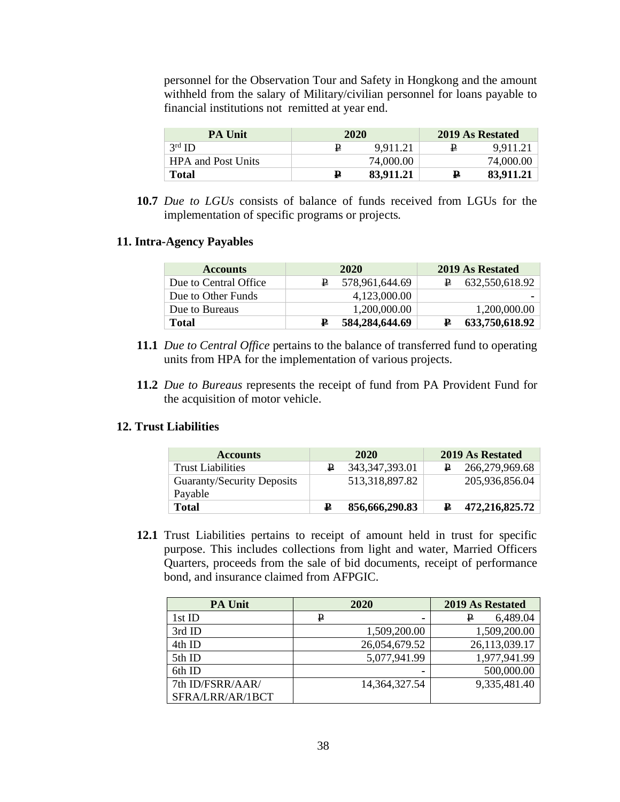personnel for the Observation Tour and Safety in Hongkong and the amount withheld from the salary of Military/civilian personnel for loans payable to financial institutions not remitted at year end.

| <b>PA Unit</b>            | 2020 |           |   | 2019 As Restated |
|---------------------------|------|-----------|---|------------------|
| $3^{\text{rd}}$ ID        | ₽    | 9.911.21  | ₽ | 9.911.21         |
| <b>HPA and Post Units</b> |      | 74,000.00 |   | 74,000.00        |
| <b>Total</b>              | ₽    | 83.911.21 | ₽ | 83,911.21        |

**10.7** *Due to LGUs* consists of balance of funds received from LGUs for the implementation of specific programs or projects*.* 

#### **11. Intra-Agency Payables**

| <b>Accounts</b>       | 2020           | 2019 As Restated    |  |
|-----------------------|----------------|---------------------|--|
| Due to Central Office | 578,961,644.69 | 632,550,618.92<br>₽ |  |
| Due to Other Funds    | 4.123.000.00   |                     |  |
| Due to Bureaus        | 1,200,000.00   | 1,200,000.00        |  |
| Total                 | 584,284,644.69 | 633,750,618.92      |  |

- **11.1** *Due to Central Office* pertains to the balance of transferred fund to operating units from HPA for the implementation of various projects.
- **11.2** *Due to Bureaus* represents the receipt of fund from PA Provident Fund for the acquisition of motor vehicle.

#### **12. Trust Liabilities**

| <b>Accounts</b>                       | 2020 |                   | 2019 As Restated |                |
|---------------------------------------|------|-------------------|------------------|----------------|
| <b>Trust Liabilities</b>              |      | 343, 347, 393. 01 |                  | 266,279,969.68 |
| Guaranty/Security Deposits<br>Payable |      | 513,318,897.82    |                  | 205,936,856.04 |
| <b>Total</b>                          | ₽    | 856,666,290.83    |                  | 472,216,825.72 |

**12.1** Trust Liabilities pertains to receipt of amount held in trust for specific purpose. This includes collections from light and water, Married Officers Quarters, proceeds from the sale of bid documents, receipt of performance bond, and insurance claimed from AFPGIC.

| <b>PA Unit</b>   | 2020             | 2019 As Restated |  |
|------------------|------------------|------------------|--|
| 1st ID           | ₽                | 6,489.04<br>₽    |  |
| 3rd ID           | 1,509,200.00     | 1,509,200.00     |  |
| 4th ID           | 26,054,679.52    | 26,113,039.17    |  |
| 5th ID           | 5,077,941.99     | 1,977,941.99     |  |
| 6th ID           | -                | 500,000.00       |  |
| 7th ID/FSRR/AAR/ | 14, 364, 327. 54 | 9,335,481.40     |  |
| SFRA/LRR/AR/1BCT |                  |                  |  |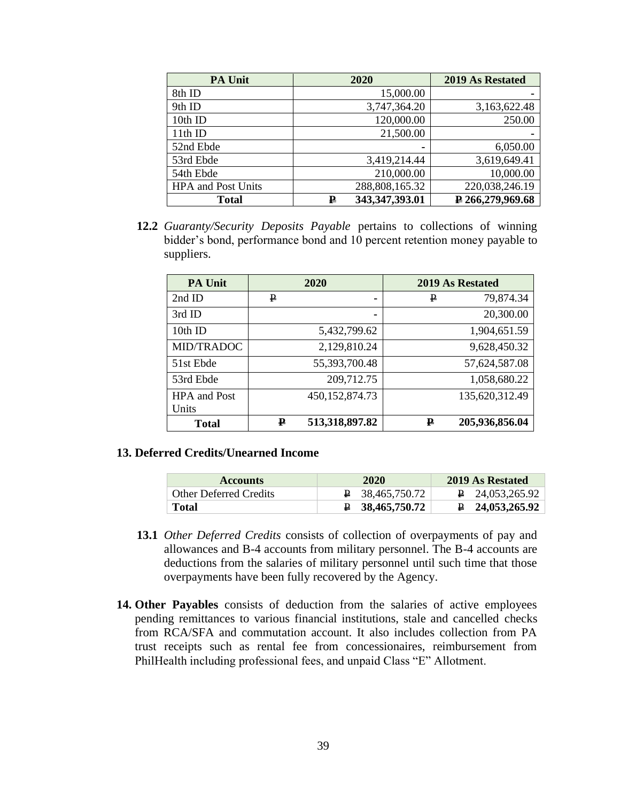| <b>PA Unit</b>            | 2020                | 2019 As Restated        |
|---------------------------|---------------------|-------------------------|
| 8th ID                    | 15,000.00           |                         |
| 9th ID                    | 3,747,364.20        | 3,163,622.48            |
| 10th ID                   | 120,000.00          | 250.00                  |
| 11th ID                   | 21,500.00           |                         |
| 52nd Ebde                 |                     | 6,050.00                |
| 53rd Ebde                 | 3,419,214.44        | 3,619,649.41            |
| 54th Ebde                 | 210,000.00          | 10,000.00               |
| <b>HPA</b> and Post Units | 288,808,165.32      | 220,038,246.19          |
| <b>Total</b>              | 343,347,393.01<br>₽ | $\sqrt{266,279,969.68}$ |

**12.2** *Guaranty/Security Deposits Payable* pertains to collections of winning bidder's bond, performance bond and 10 percent retention money payable to suppliers.

| <b>PA Unit</b>               | 2020 |                   |   | 2019 As Restated |
|------------------------------|------|-------------------|---|------------------|
| 2nd ID                       | ₽    | ۰                 | P | 79,874.34        |
| 3rd ID                       |      |                   |   | 20,300.00        |
| 10th ID                      |      | 5,432,799.62      |   | 1,904,651.59     |
| MID/TRADOC                   |      | 2,129,810.24      |   | 9,628,450.32     |
| 51st Ebde                    |      | 55,393,700.48     |   | 57,624,587.08    |
| 53rd Ebde                    |      | 209,712.75        |   | 1,058,680.22     |
| <b>HPA</b> and Post<br>Units |      | 450, 152, 874. 73 |   | 135,620,312.49   |
| <b>Total</b>                 | ₽    | 513,318,897.82    | ₽ | 205,936,856.04   |

### **13. Deferred Credits/Unearned Income**

| <b>Accounts</b>               | 2020                         | 2019 As Restated         |
|-------------------------------|------------------------------|--------------------------|
| <b>Other Deferred Credits</b> | $\overline{P}$ 38.465.750.72 | $\uparrow$ 24.053.265.92 |
| Total                         | $\uparrow$ 38,465,750.72     | $\uparrow$ 24,053,265.92 |

- **13.1** *Other Deferred Credits* consists of collection of overpayments of pay and allowances and B-4 accounts from military personnel. The B-4 accounts are deductions from the salaries of military personnel until such time that those overpayments have been fully recovered by the Agency.
- **14. Other Payables** consists of deduction from the salaries of active employees pending remittances to various financial institutions, stale and cancelled checks from RCA/SFA and commutation account. It also includes collection from PA trust receipts such as rental fee from concessionaires, reimbursement from PhilHealth including professional fees, and unpaid Class "E" Allotment.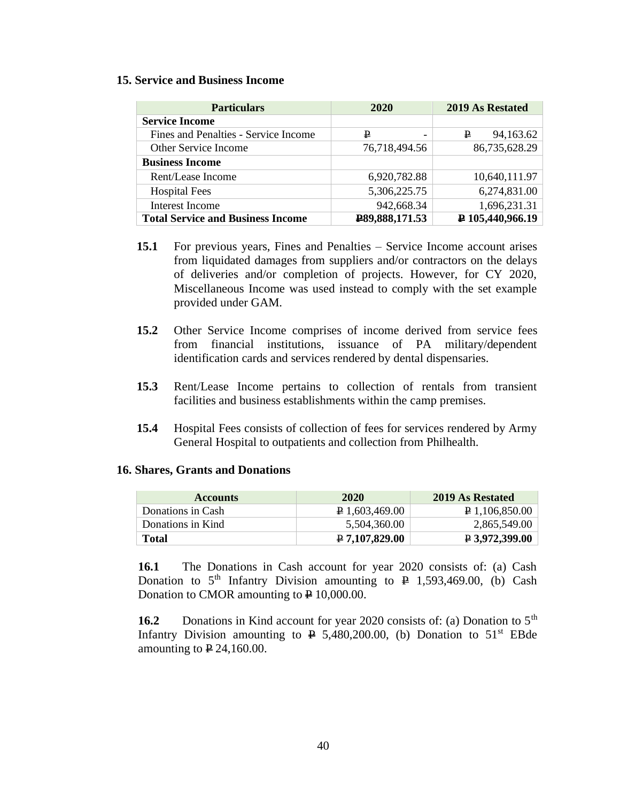#### **15. Service and Business Income**

| <b>Particulars</b>                       | 2020           | 2019 As Restated          |
|------------------------------------------|----------------|---------------------------|
| <b>Service Income</b>                    |                |                           |
| Fines and Penalties - Service Income     | ₽              | 94,163.62<br>₽            |
| Other Service Income                     | 76,718,494.56  | 86,735,628.29             |
| <b>Business Income</b>                   |                |                           |
| Rent/Lease Income                        | 6,920,782.88   | 10,640,111.97             |
| <b>Hospital Fees</b>                     | 5,306,225.75   | 6,274,831.00              |
| <b>Interest Income</b>                   | 942,668.34     | 1,696,231.31              |
| <b>Total Service and Business Income</b> | P89,888,171.53 | $\sqrt{2}$ 105,440,966.19 |

- **15.1** For previous years, Fines and Penalties Service Income account arises from liquidated damages from suppliers and/or contractors on the delays of deliveries and/or completion of projects. However, for CY 2020, Miscellaneous Income was used instead to comply with the set example provided under GAM.
- **15.2** Other Service Income comprises of income derived from service fees from financial institutions, issuance of PA military/dependent identification cards and services rendered by dental dispensaries.
- **15.3** Rent/Lease Income pertains to collection of rentals from transient facilities and business establishments within the camp premises.
- **15.4** Hospital Fees consists of collection of fees for services rendered by Army General Hospital to outpatients and collection from Philhealth.

#### **16. Shares, Grants and Donations**

| <b>Accounts</b>   | 2020                    | 2019 As Restated        |
|-------------------|-------------------------|-------------------------|
| Donations in Cash | $\sqrt{P}$ 1,603,469.00 | $\uparrow$ 1,106,850.00 |
| Donations in Kind | 5.504.360.00            | 2,865,549.00            |
| Total             | $P$ 7,107,829.00        | $P$ 3,972,399.00        |

**16.1** The Donations in Cash account for year 2020 consists of: (a) Cash Donation to  $5<sup>th</sup>$  Infantry Division amounting to  $\overline{P}$  1,593,469.00, (b) Cash Donation to CMOR amounting to  $\overline{P}$  10,000.00.

**16.2** Donations in Kind account for year 2020 consists of: (a) Donation to 5<sup>th</sup> Infantry Division amounting to  $\overline{P}$  5,480,200.00, (b) Donation to 51<sup>st</sup> EBde amounting to  $\textbf{\texttt{P}} 24,160.00$ .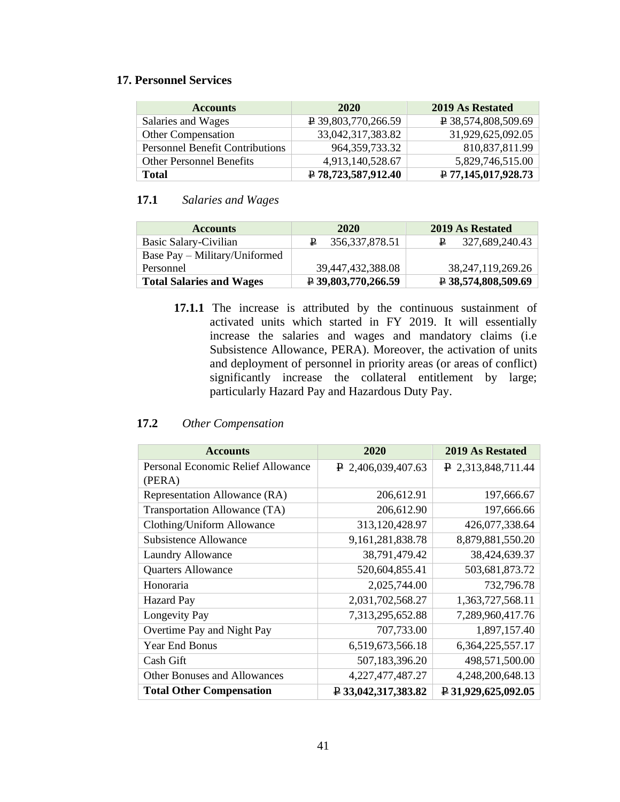# **17. Personnel Services**

| <b>Accounts</b>                        | 2020                             | 2019 As Restated      |
|----------------------------------------|----------------------------------|-----------------------|
| Salaries and Wages                     | $\overline{P}$ 39,803,770,266.59 | ₽ 38,574,808,509.69   |
| Other Compensation                     | 33,042,317,383.82                | 31,929,625,092.05     |
| <b>Personnel Benefit Contributions</b> | 964, 359, 733. 32                | 810,837,811.99        |
| <b>Other Personnel Benefits</b>        | 4,913,140,528.67                 | 5,829,746,515.00      |
| <b>Total</b>                           | ₽ 78,723,587,912.40              | $P$ 77,145,017,928.73 |

# **17.1** *Salaries and Wages*

| <b>Accounts</b>                 | 2020                             | 2019 As Restated                 |
|---------------------------------|----------------------------------|----------------------------------|
| Basic Salary-Civilian           | $\uparrow$ 356,337,878.51        | 327,689,240.43                   |
| Base Pay – Military/Uniformed   |                                  |                                  |
| Personnel                       | 39,447,432,388.08                | 38, 247, 119, 269. 26            |
| <b>Total Salaries and Wages</b> | $\overline{P}$ 39,803,770,266.59 | $\overline{P}$ 38,574,808,509.69 |

**17.1.1** The increase is attributed by the continuous sustainment of activated units which started in FY 2019. It will essentially increase the salaries and wages and mandatory claims (i.e Subsistence Allowance, PERA). Moreover, the activation of units and deployment of personnel in priority areas (or areas of conflict) significantly increase the collateral entitlement by large; particularly Hazard Pay and Hazardous Duty Pay.

## **17.2** *Other Compensation*

| <b>Accounts</b>                              | 2020                             | 2019 As Restated                 |
|----------------------------------------------|----------------------------------|----------------------------------|
| Personal Economic Relief Allowance<br>(PERA) | $\uparrow$ 2,406,039,407.63      | $\uparrow$ 2,313,848,711.44      |
| Representation Allowance (RA)                | 206,612.91                       | 197,666.67                       |
| Transportation Allowance (TA)                | 206,612.90                       | 197,666.66                       |
| Clothing/Uniform Allowance                   | 313,120,428.97                   | 426,077,338.64                   |
| <b>Subsistence Allowance</b>                 | 9, 161, 281, 838. 78             | 8,879,881,550.20                 |
| Laundry Allowance                            | 38,791,479.42                    | 38,424,639.37                    |
| <b>Quarters Allowance</b>                    | 520,604,855.41                   | 503,681,873.72                   |
| Honoraria                                    | 2,025,744.00                     | 732,796.78                       |
| <b>Hazard Pay</b>                            | 2,031,702,568.27                 | 1,363,727,568.11                 |
| Longevity Pay                                | 7,313,295,652.88                 | 7,289,960,417.76                 |
| Overtime Pay and Night Pay                   | 707,733.00                       | 1,897,157.40                     |
| Year End Bonus                               | 6,519,673,566.18                 | 6, 364, 225, 557. 17             |
| Cash Gift                                    | 507,183,396.20                   | 498,571,500.00                   |
| <b>Other Bonuses and Allowances</b>          | 4, 227, 477, 487. 27             | 4,248,200,648.13                 |
| <b>Total Other Compensation</b>              | $\overline{P}$ 33,042,317,383.82 | $\overline{P}$ 31,929,625,092.05 |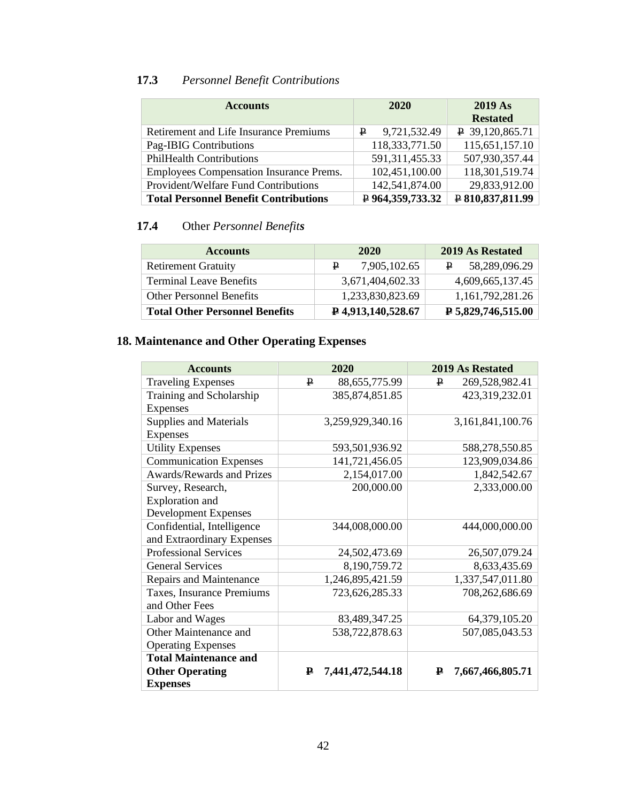# **17.3** *Personnel Benefit Contributions*

| <b>Accounts</b>                                | 2020               | <b>2019 As</b><br><b>Restated</b> |
|------------------------------------------------|--------------------|-----------------------------------|
| <b>Retirement and Life Insurance Premiums</b>  | 9,721,532.49<br>₽  | $\sqrt{P}$ 39,120,865.71          |
| Pag-IBIG Contributions                         | 118,333,771.50     | 115,651,157.10                    |
| <b>PhilHealth Contributions</b>                | 591, 311, 455. 33  | 507,930,357.44                    |
| <b>Employees Compensation Insurance Prems.</b> | 102,451,100.00     | 118,301,519.74                    |
| Provident/Welfare Fund Contributions           | 142,541,874.00     | 29,833,912.00                     |
| <b>Total Personnel Benefit Contributions</b>   | $P$ 964,359,733.32 | ₽ 810,837,811.99                  |

# **17.4** Other *Personnel Benefits*

| <b>Accounts</b>                       | 2020                            | <b>2019 As Restated</b>         |
|---------------------------------------|---------------------------------|---------------------------------|
| <b>Retirement Gratuity</b>            | 7,905,102.65<br>₽.              | 58,289,096.29                   |
| <b>Terminal Leave Benefits</b>        | 3,671,404,602.33                | 4,609,665,137.45                |
| <b>Other Personnel Benefits</b>       | 1,233,830,823.69                | 1,161,792,281.26                |
| <b>Total Other Personnel Benefits</b> | $\overline{P}$ 4,913,140,528.67 | $\overline{P}$ 5,829,746,515.00 |

# **18. Maintenance and Other Operating Expenses**

| <b>Accounts</b>                  | 2020                  | 2019 As Restated      |
|----------------------------------|-----------------------|-----------------------|
| <b>Traveling Expenses</b>        | ₽<br>88,655,775.99    | 269,528,982.41<br>₽   |
| Training and Scholarship         | 385, 874, 851. 85     | 423,319,232.01        |
| <b>Expenses</b>                  |                       |                       |
| <b>Supplies and Materials</b>    | 3,259,929,340.16      | 3,161,841,100.76      |
| Expenses                         |                       |                       |
| <b>Utility Expenses</b>          | 593,501,936.92        | 588,278,550.85        |
| <b>Communication Expenses</b>    | 141,721,456.05        | 123,909,034.86        |
| <b>Awards/Rewards and Prizes</b> | 2,154,017.00          | 1,842,542.67          |
| Survey, Research,                | 200,000.00            | 2,333,000.00          |
| Exploration and                  |                       |                       |
| <b>Development Expenses</b>      |                       |                       |
| Confidential, Intelligence       | 344,008,000.00        | 444,000,000.00        |
| and Extraordinary Expenses       |                       |                       |
| <b>Professional Services</b>     | 24,502,473.69         | 26,507,079.24         |
| <b>General Services</b>          | 8,190,759.72          | 8,633,435.69          |
| Repairs and Maintenance          | 1,246,895,421.59      | 1,337,547,011.80      |
| Taxes, Insurance Premiums        | 723,626,285.33        | 708,262,686.69        |
| and Other Fees                   |                       |                       |
| Labor and Wages                  | 83,489,347.25         | 64,379,105.20         |
| Other Maintenance and            | 538,722,878.63        | 507,085,043.53        |
| <b>Operating Expenses</b>        |                       |                       |
| <b>Total Maintenance and</b>     |                       |                       |
| <b>Other Operating</b>           | ₽<br>7,441,472,544.18 | 7,667,466,805.71<br>₽ |
| <b>Expenses</b>                  |                       |                       |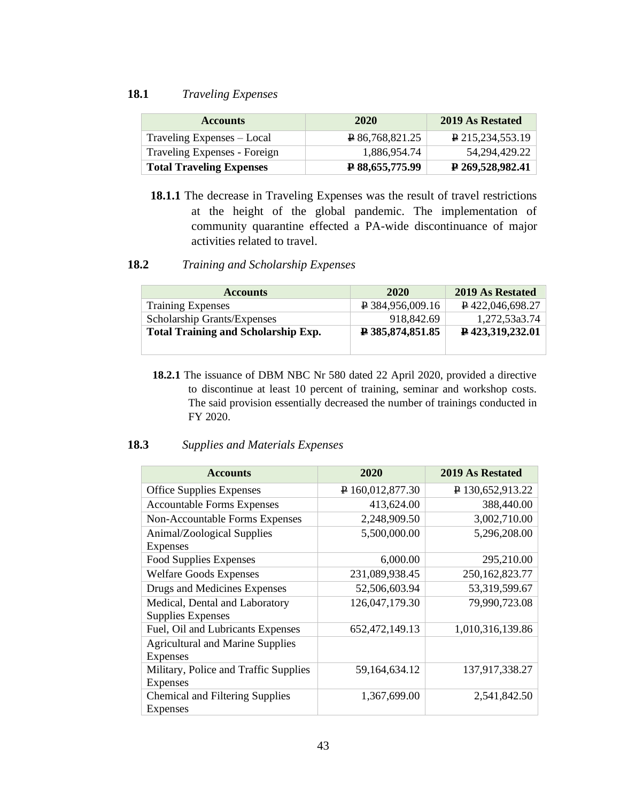#### **18.1** *Traveling Expenses*

| <b>Accounts</b>                 | 2020              | 2019 As Restated          |
|---------------------------------|-------------------|---------------------------|
| Traveling Expenses – Local      | $R$ 86.768.821.25 | P 215, 234, 553. 19       |
| Traveling Expenses - Foreign    | 1.886.954.74      | 54.294.429.22             |
| <b>Total Traveling Expenses</b> | P 88,655,775.99   | $\sqrt{2}$ 269,528,982.41 |

**18.1.1** The decrease in Traveling Expenses was the result of travel restrictions at the height of the global pandemic. The implementation of community quarantine effected a PA-wide discontinuance of major activities related to travel.

### **18.2** *Training and Scholarship Expenses*

| <b>Accounts</b>                            | 2020                          | 2019 As Restated                |
|--------------------------------------------|-------------------------------|---------------------------------|
| <b>Training Expenses</b>                   | $\overline{P}$ 384,956,009.16 | $\sqrt{P}$ 422,046,698.27       |
| Scholarship Grants/Expenses                | 918,842.69                    | 1,272,53a3.74                   |
| <b>Total Training and Scholarship Exp.</b> | $\sqrt{2}$ 385,874,851.85     | $\triangleright$ 423,319,232.01 |
|                                            |                               |                                 |

**18.2.1** The issuance of DBM NBC Nr 580 dated 22 April 2020, provided a directive to discontinue at least 10 percent of training, seminar and workshop costs. The said provision essentially decreased the number of trainings conducted in FY 2020.

#### **18.3** *Supplies and Materials Expenses*

| <b>Accounts</b>                                          | 2020             | 2019 As Restated  |
|----------------------------------------------------------|------------------|-------------------|
| <b>Office Supplies Expenses</b>                          | P 160,012,877.30 | P 130,652,913.22  |
| <b>Accountable Forms Expenses</b>                        | 413,624.00       | 388,440.00        |
| Non-Accountable Forms Expenses                           | 2,248,909.50     | 3,002,710.00      |
| Animal/Zoological Supplies<br><b>Expenses</b>            | 5,500,000.00     | 5,296,208.00      |
| <b>Food Supplies Expenses</b>                            | 6,000.00         | 295,210.00        |
| <b>Welfare Goods Expenses</b>                            | 231,089,938.45   | 250, 162, 823. 77 |
| Drugs and Medicines Expenses                             | 52,506,603.94    | 53,319,599.67     |
| Medical, Dental and Laboratory<br>Supplies Expenses      | 126,047,179.30   | 79,990,723.08     |
| Fuel, Oil and Lubricants Expenses                        | 652,472,149.13   | 1,010,316,139.86  |
| <b>Agricultural and Marine Supplies</b><br>Expenses      |                  |                   |
| Military, Police and Traffic Supplies<br><b>Expenses</b> | 59,164,634.12    | 137,917,338.27    |
| <b>Chemical and Filtering Supplies</b><br>Expenses       | 1,367,699.00     | 2,541,842.50      |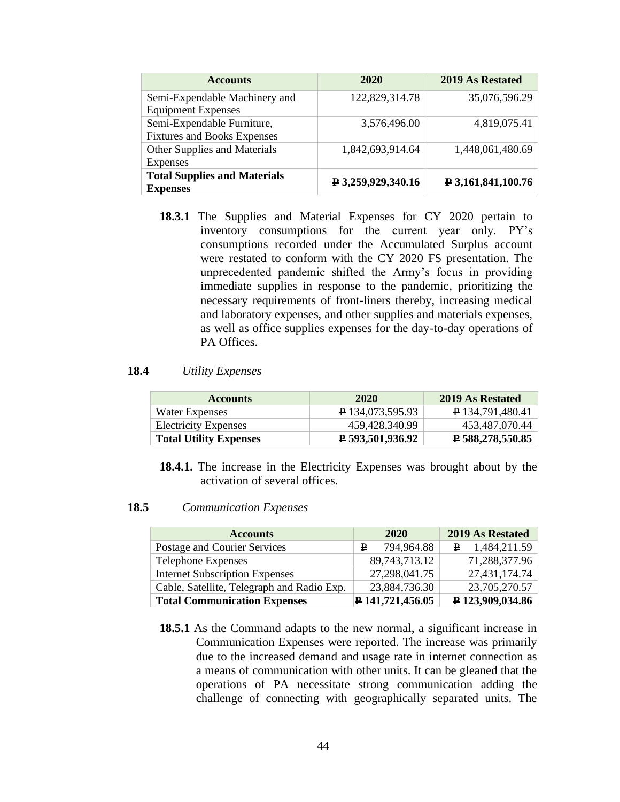| <b>Accounts</b>                     | 2020                        | 2019 As Restated   |
|-------------------------------------|-----------------------------|--------------------|
| Semi-Expendable Machinery and       | 122,829,314.78              | 35,076,596.29      |
| <b>Equipment Expenses</b>           |                             |                    |
| Semi-Expendable Furniture,          | 3,576,496.00                | 4,819,075.41       |
| <b>Fixtures and Books Expenses</b>  |                             |                    |
| Other Supplies and Materials        | 1,842,693,914.64            | 1,448,061,480.69   |
| Expenses                            |                             |                    |
| <b>Total Supplies and Materials</b> | $\sqrt{2}$ 3,259,929,340.16 | ₽ 3,161,841,100.76 |
| <b>Expenses</b>                     |                             |                    |

**18.3.1** The Supplies and Material Expenses for CY 2020 pertain to inventory consumptions for the current year only. PY's consumptions recorded under the Accumulated Surplus account were restated to conform with the CY 2020 FS presentation. The unprecedented pandemic shifted the Army's focus in providing immediate supplies in response to the pandemic, prioritizing the necessary requirements of front-liners thereby, increasing medical and laboratory expenses, and other supplies and materials expenses, as well as office supplies expenses for the day-to-day operations of PA Offices.

#### **18.4** *Utility Expenses*

| <b>Accounts</b>               | 2020                      | 2019 As Restated              |
|-------------------------------|---------------------------|-------------------------------|
| Water Expenses                | P 134,073,595.93          | $\overline{P}$ 134,791,480.41 |
| <b>Electricity Expenses</b>   | 459.428.340.99            | 453,487,070.44                |
| <b>Total Utility Expenses</b> | $\sqrt{2}$ 593,501,936.92 | $\overline{P}$ 588,278,550.85 |

**18.4.1.** The increase in the Electricity Expenses was brought about by the activation of several offices.

#### **18.5** *Communication Expenses*

| <b>Accounts</b>                            | 2020                            | 2019 As Restated          |
|--------------------------------------------|---------------------------------|---------------------------|
| Postage and Courier Services               | 794,964.88<br>₽                 | $\mathbf{P}$ 1,484,211.59 |
| <b>Telephone Expenses</b>                  | 89,743,713.12                   | 71,288,377.96             |
| <b>Internet Subscription Expenses</b>      | 27,298,041.75                   | 27,431,174.74             |
| Cable, Satellite, Telegraph and Radio Exp. | 23,884,736.30                   | 23,705,270.57             |
| <b>Total Communication Expenses</b>        | $\triangleright$ 141,721,456.05 | P 123,909,034.86          |

**18.5.1** As the Command adapts to the new normal, a significant increase in Communication Expenses were reported. The increase was primarily due to the increased demand and usage rate in internet connection as a means of communication with other units. It can be gleaned that the operations of PA necessitate strong communication adding the challenge of connecting with geographically separated units. The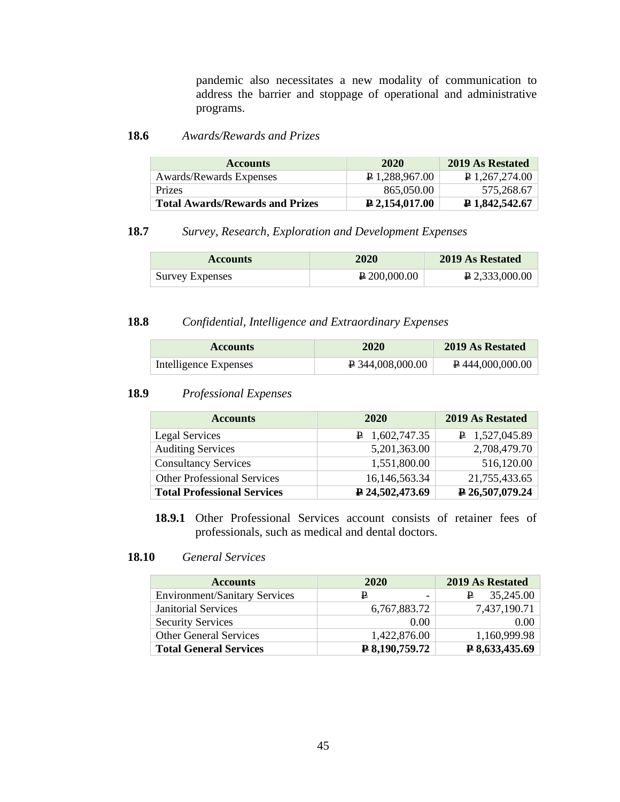pandemic also necessitates a new modality of communication to address the barrier and stoppage of operational and administrative programs.

# **18.6** *Awards/Rewards and Prizes*

| <b>Accounts</b>                        | 2020                     | 2019 As Restated |
|----------------------------------------|--------------------------|------------------|
| Awards/Rewards Expenses                | $\sqrt{24}$ 1.288.967.00 | P 1,267,274.00   |
| <b>Prizes</b>                          | 865,050.00               | 575.268.67       |
| <b>Total Awards/Rewards and Prizes</b> | $\geq 2.154.017.00$      | P 1,842,542.67   |

# **18.7** *Survey, Research, Exploration and Development Expenses*

| <b>Accounts</b>        | 2020         | 2019 As Restated |
|------------------------|--------------|------------------|
| <b>Survey Expenses</b> | P 200,000,00 | $P$ 2,333,000.00 |

#### **18.8** *Confidential, Intelligence and Extraordinary Expenses*

| <b>Accounts</b>       | 2020                      | 2019 As Restated                |
|-----------------------|---------------------------|---------------------------------|
| Intelligence Expenses | $\uparrow$ 344,008,000.00 | $\triangleright$ 444,000,000.00 |

#### **18.9** *Professional Expenses*

| <b>Accounts</b>                    | 2020                   | 2019 As Restated          |
|------------------------------------|------------------------|---------------------------|
| Legal Services                     | $P$ 1,602,747.35       | $\mathbf{P}$ 1,527,045.89 |
| <b>Auditing Services</b>           | 5,201,363.00           | 2,708,479.70              |
| <b>Consultancy Services</b>        | 1,551,800.00           | 516,120.00                |
| <b>Other Professional Services</b> | 16,146,563.34          | 21,755,433.65             |
| <b>Total Professional Services</b> | $\sqrt{24,502,473.69}$ | $\sqrt{26,507,079.24}$    |

**18.9.1** Other Professional Services account consists of retainer fees of professionals, such as medical and dental doctors.

#### **18.10** *General Services*

| <b>Accounts</b>                      | 2020           | 2019 As Restated |
|--------------------------------------|----------------|------------------|
| <b>Environment/Sanitary Services</b> | ₽<br>-         | 35,245.00<br>₽   |
| <b>Janitorial Services</b>           | 6,767,883.72   | 7,437,190.71     |
| <b>Security Services</b>             | 0.00           | 0.00             |
| <b>Other General Services</b>        | 1,422,876.00   | 1,160,999.98     |
| <b>Total General Services</b>        | ₽ 8,190,759.72 | ₽ 8,633,435.69   |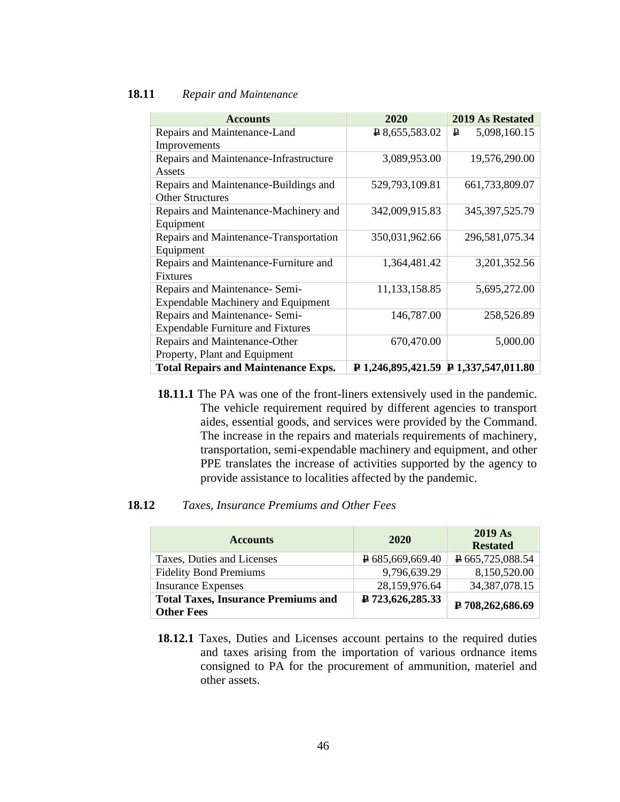#### **18.11** *Repair and Maintenance*

| <b>Accounts</b>                            | 2020                                              | <b>2019 As Restated</b> |
|--------------------------------------------|---------------------------------------------------|-------------------------|
| Repairs and Maintenance-Land               | $R$ 8,655,583.02                                  | 5,098,160.15<br>₽       |
| Improvements                               |                                                   |                         |
| Repairs and Maintenance-Infrastructure     | 3,089,953.00                                      | 19,576,290.00           |
| Assets                                     |                                                   |                         |
| Repairs and Maintenance-Buildings and      | 529,793,109.81                                    | 661,733,809.07          |
| <b>Other Structures</b>                    |                                                   |                         |
| Repairs and Maintenance-Machinery and      | 342,009,915.83                                    | 345, 397, 525. 79       |
| Equipment                                  |                                                   |                         |
| Repairs and Maintenance-Transportation     | 350,031,962.66                                    | 296,581,075.34          |
| Equipment                                  |                                                   |                         |
| Repairs and Maintenance-Furniture and      | 1,364,481.42                                      | 3,201,352.56            |
| <b>Fixtures</b>                            |                                                   |                         |
| Repairs and Maintenance- Semi-             | 11, 133, 158.85                                   | 5,695,272.00            |
| <b>Expendable Machinery and Equipment</b>  |                                                   |                         |
| Repairs and Maintenance- Semi-             | 146,787.00                                        | 258,526.89              |
| <b>Expendable Furniture and Fixtures</b>   |                                                   |                         |
| Repairs and Maintenance-Other              | 670,470.00                                        | 5,000.00                |
| Property, Plant and Equipment              |                                                   |                         |
| <b>Total Repairs and Maintenance Exps.</b> | $\upmu$ 1,246,895,421.59 $\upmu$ 1,337,547,011.80 |                         |

**18.11.1** The PA was one of the front-liners extensively used in the pandemic. The vehicle requirement required by different agencies to transport aides, essential goods, and services were provided by the Command. The increase in the repairs and materials requirements of machinery, transportation, semi-expendable machinery and equipment, and other PPE translates the increase of activities supported by the agency to provide assistance to localities affected by the pandemic.

#### **18.12** *Taxes, Insurance Premiums and Other Fees*

| <b>Accounts</b>                                                 | 2020                          | 2019 As<br><b>Restated</b> |
|-----------------------------------------------------------------|-------------------------------|----------------------------|
| Taxes, Duties and Licenses                                      | $\overline{P}$ 685,669,669.40 | P665,725,088.54            |
| <b>Fidelity Bond Premiums</b>                                   | 9,796,639.29                  | 8,150,520.00               |
| <b>Insurance Expenses</b>                                       | 28,159,976.64                 | 34, 387, 078. 15           |
| <b>Total Taxes, Insurance Premiums and</b><br><b>Other Fees</b> | ₽ 723,626,285.33              | ₽ 708,262,686.69           |

**18.12.1** Taxes, Duties and Licenses account pertains to the required duties and taxes arising from the importation of various ordnance items consigned to PA for the procurement of ammunition, materiel and other assets.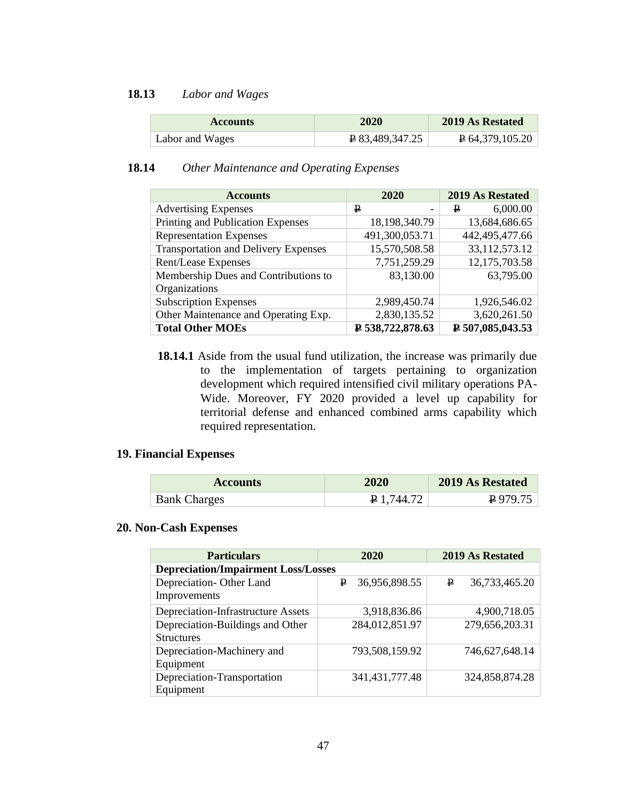#### **18.13** *Labor and Wages*

| <b>Accounts</b> | 2020            | 2019 As Restated             |
|-----------------|-----------------|------------------------------|
| Labor and Wages | P 83,489,347.25 | $\overline{P}$ 64,379,105.20 |

# **18.14** *Other Maintenance and Operating Expenses*

| <b>Accounts</b>                             | 2020             | 2019 As Restated          |
|---------------------------------------------|------------------|---------------------------|
| <b>Advertising Expenses</b>                 | ₽                | 6,000.00<br>₽             |
| Printing and Publication Expenses           | 18,198,340.79    | 13,684,686.65             |
| <b>Representation Expenses</b>              | 491,300,053.71   | 442,495,477.66            |
| <b>Transportation and Delivery Expenses</b> | 15,570,508.58    | 33,112,573.12             |
| Rent/Lease Expenses                         | 7,751,259.29     | 12,175,703.58             |
| Membership Dues and Contributions to        | 83,130.00        | 63,795.00                 |
| Organizations                               |                  |                           |
| <b>Subscription Expenses</b>                | 2,989,450.74     | 1,926,546.02              |
| Other Maintenance and Operating Exp.        | 2,830,135.52     | 3,620,261.50              |
| <b>Total Other MOEs</b>                     | ₽ 538,722,878.63 | $\sqrt{2}$ 507,085,043.53 |

**18.14.1** Aside from the usual fund utilization, the increase was primarily due to the implementation of targets pertaining to organization development which required intensified civil military operations PA-Wide. Moreover, FY 2020 provided a level up capability for territorial defense and enhanced combined arms capability which required representation.

# **19. Financial Expenses**

| <b>Accounts</b>     | 2020              | 2019 As Restated |
|---------------------|-------------------|------------------|
| <b>Bank Charges</b> | <b>P</b> 1.744.72 | $P$ 979.75       |

#### **20. Non-Cash Expenses**

| <b>Particulars</b>                         | 2020               | 2019 As Restated   |  |  |  |  |
|--------------------------------------------|--------------------|--------------------|--|--|--|--|
| <b>Depreciation/Impairment Loss/Losses</b> |                    |                    |  |  |  |  |
| Depreciation-Other Land                    | 36,956,898.55<br>₽ | P<br>36,733,465.20 |  |  |  |  |
| Improvements                               |                    |                    |  |  |  |  |
| <b>Depreciation-Infrastructure Assets</b>  | 3,918,836.86       | 4,900,718.05       |  |  |  |  |
| Depreciation-Buildings and Other           | 284,012,851.97     | 279,656,203.31     |  |  |  |  |
| <b>Structures</b>                          |                    |                    |  |  |  |  |
| Depreciation-Machinery and                 | 793,508,159.92     | 746,627,648.14     |  |  |  |  |
| Equipment                                  |                    |                    |  |  |  |  |
| Depreciation-Transportation                | 341, 431, 777. 48  | 324,858,874.28     |  |  |  |  |
| Equipment                                  |                    |                    |  |  |  |  |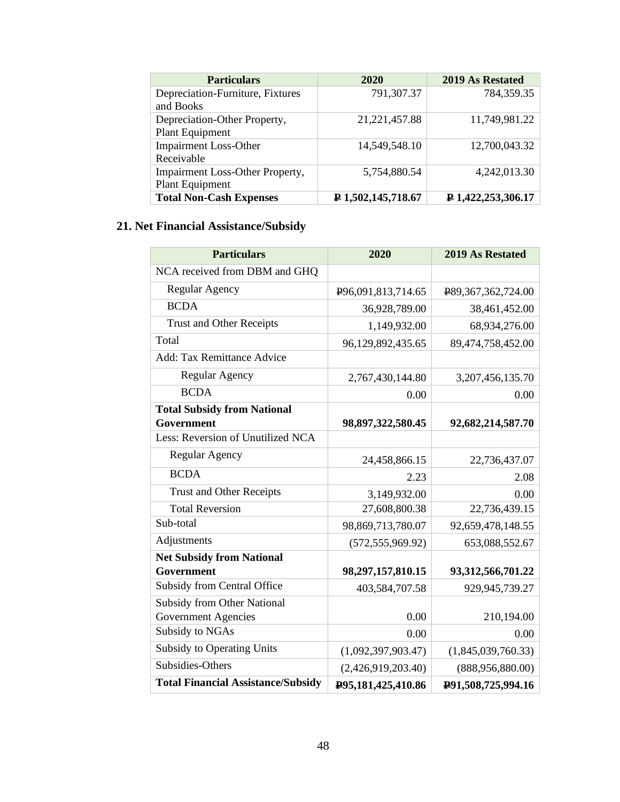| <b>Particulars</b>                     | 2020               | 2019 As Restated            |
|----------------------------------------|--------------------|-----------------------------|
| Depreciation-Furniture, Fixtures       | 791,307.37         | 784,359.35                  |
| and Books                              |                    |                             |
| Depreciation-Other Property,           | 21, 221, 457.88    | 11,749,981.22               |
| <b>Plant Equipment</b>                 |                    |                             |
| <b>Impairment Loss-Other</b>           | 14,549,548.10      | 12,700,043.32               |
| Receivable                             |                    |                             |
| <b>Impairment Loss-Other Property,</b> | 5,754,880.54       | 4,242,013.30                |
| <b>Plant Equipment</b>                 |                    |                             |
| <b>Total Non-Cash Expenses</b>         | P 1,502,145,718.67 | $\sqrt{P}$ 1,422,253,306.17 |

# **21. Net Financial Assistance/Subsidy**

| <b>Particulars</b>                        | 2020                            | 2019 As Restated     |
|-------------------------------------------|---------------------------------|----------------------|
| NCA received from DBM and GHQ             |                                 |                      |
| <b>Regular Agency</b>                     | P <sub>96</sub> ,091,813,714.65 | P89,367,362,724.00   |
| <b>BCDA</b>                               | 36,928,789.00                   | 38,461,452.00        |
| <b>Trust and Other Receipts</b>           | 1,149,932.00                    | 68,934,276.00        |
| Total                                     | 96,129,892,435.65               | 89,474,758,452.00    |
| <b>Add: Tax Remittance Advice</b>         |                                 |                      |
| <b>Regular Agency</b>                     | 2,767,430,144.80                | 3, 207, 456, 135. 70 |
| <b>BCDA</b>                               | 0.00                            | 0.00                 |
| <b>Total Subsidy from National</b>        |                                 |                      |
| Government                                | 98,897,322,580.45               | 92,682,214,587.70    |
| Less: Reversion of Unutilized NCA         |                                 |                      |
| <b>Regular Agency</b>                     | 24,458,866.15                   | 22,736,437.07        |
| <b>BCDA</b>                               | 2.23                            | 2.08                 |
| <b>Trust and Other Receipts</b>           | 3,149,932.00                    | 0.00                 |
| <b>Total Reversion</b>                    | 27,608,800.38                   | 22,736,439.15        |
| Sub-total                                 | 98,869,713,780.07               | 92,659,478,148.55    |
| Adjustments                               | (572, 555, 969.92)              | 653,088,552.67       |
| <b>Net Subsidy from National</b>          |                                 |                      |
| Government                                | 98,297,157,810.15               | 93,312,566,701.22    |
| <b>Subsidy from Central Office</b>        | 403,584,707.58                  | 929,945,739.27       |
| <b>Subsidy from Other National</b>        |                                 |                      |
| <b>Government Agencies</b>                | 0.00                            | 210,194.00           |
| Subsidy to NGAs                           | 0.00                            | 0.00                 |
| <b>Subsidy to Operating Units</b>         | (1,092,397,903.47)              | (1,845,039,760.33)   |
| Subsidies-Others                          | (2,426,919,203.40)              | (888, 956, 880.00)   |
| <b>Total Financial Assistance/Subsidy</b> | P95,181,425,410.86              | P91,508,725,994.16   |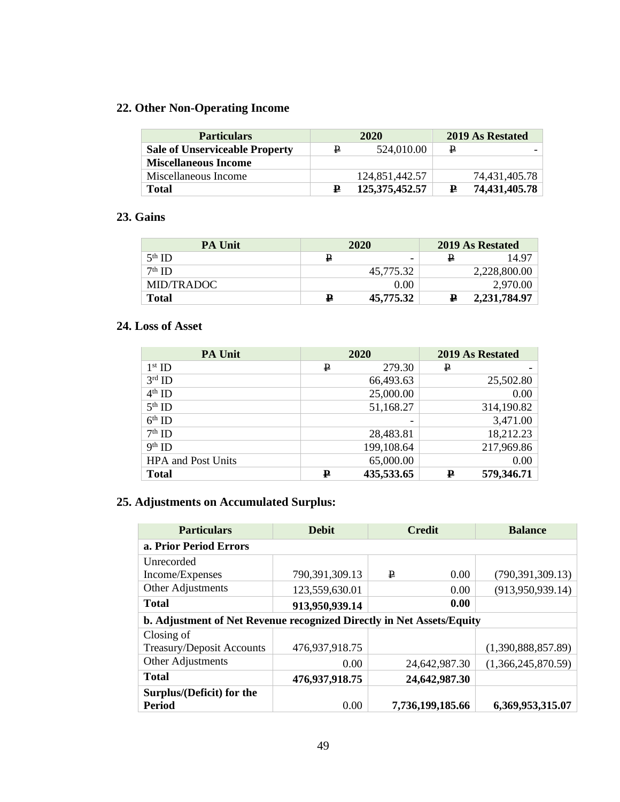# **22. Other Non-Operating Income**

| <b>Particulars</b>                    | 2020 |                   |   |               | 2019 As Restated |
|---------------------------------------|------|-------------------|---|---------------|------------------|
| <b>Sale of Unserviceable Property</b> | ₽    | 524,010.00        | ₽ |               |                  |
| <b>Miscellaneous Income</b>           |      |                   |   |               |                  |
| Miscellaneous Income                  |      | 124,851,442.57    |   | 74,431,405.78 |                  |
| <b>Total</b>                          | ₽    | 125, 375, 452. 57 | ₽ | 74,431,405.78 |                  |

# **23. Gains**

| <b>PA Unit</b> | 2020 |           |   |              | 2019 As Restated |
|----------------|------|-----------|---|--------------|------------------|
| $5th$ ID       | ₽    |           | ₽ | 14.97        |                  |
| $7th$ ID       |      | 45,775.32 |   | 2,228,800.00 |                  |
| MID/TRADOC     |      | 0.00      |   | 2,970.00     |                  |
| Total          | ₽    | 45,775.32 | ₽ | 2,231,784.97 |                  |

# **24. Loss of Asset**

| <b>PA Unit</b>            | 2020        |            |   | 2019 As Restated |
|---------------------------|-------------|------------|---|------------------|
| $1st$ ID                  | ₽           | 279.30     | ₽ |                  |
| $3rd$ ID                  |             | 66,493.63  |   | 25,502.80        |
| $4th$ ID                  |             | 25,000.00  |   | 0.00             |
| $5th$ ID                  |             | 51,168.27  |   | 314,190.82       |
| $6th$ ID                  |             |            |   | 3,471.00         |
| $7th$ ID                  |             | 28,483.81  |   | 18,212.23        |
| $9th$ ID                  |             | 199,108.64 |   | 217,969.86       |
| <b>HPA</b> and Post Units |             | 65,000.00  |   | 0.00             |
| <b>Total</b>              | $\mathbf P$ | 435,533.65 | ₽ | 579,346.71       |

# **25. Adjustments on Accumulated Surplus:**

| <b>Particulars</b>                                                    | <b>Debit</b>   |   | <b>Credit</b>    | <b>Balance</b>     |
|-----------------------------------------------------------------------|----------------|---|------------------|--------------------|
| a. Prior Period Errors                                                |                |   |                  |                    |
| Unrecorded                                                            |                |   |                  |                    |
| Income/Expenses                                                       | 790,391,309.13 | ₽ | 0.00             | (790, 391, 309.13) |
| Other Adjustments                                                     | 123,559,630.01 |   | 0.00             | (913, 950, 939.14) |
| <b>Total</b>                                                          | 913,950,939.14 |   | 0.00             |                    |
| b. Adjustment of Net Revenue recognized Directly in Net Assets/Equity |                |   |                  |                    |
| Closing of                                                            |                |   |                  |                    |
| Treasury/Deposit Accounts                                             | 476,937,918.75 |   |                  | (1,390,888,857.89) |
| Other Adjustments                                                     | 0.00           |   | 24,642,987.30    | (1,366,245,870.59) |
| <b>Total</b>                                                          | 476,937,918.75 |   | 24,642,987.30    |                    |
| Surplus/(Deficit) for the                                             |                |   |                  |                    |
| Period                                                                | 0.00           |   | 7,736,199,185.66 | 6,369,953,315.07   |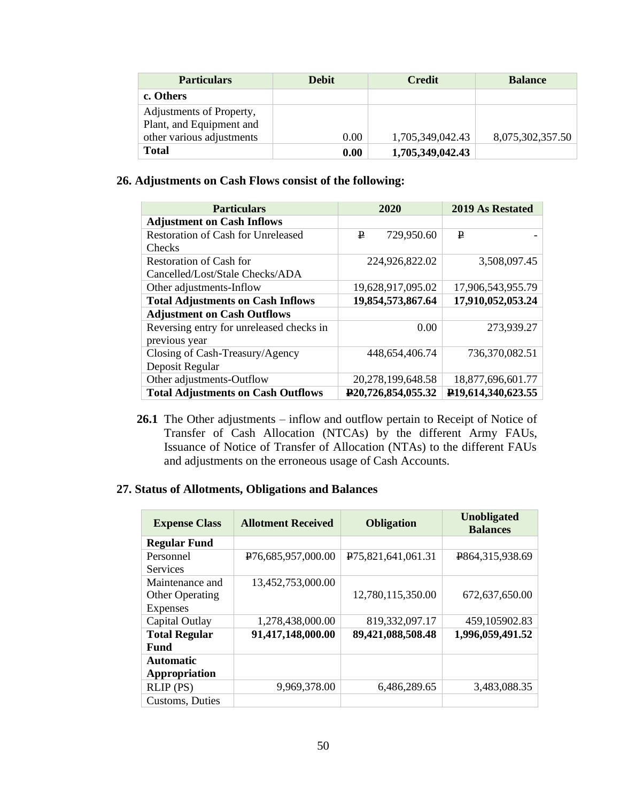| <b>Particulars</b>                                   | <b>Debit</b> | <b>Credit</b>    | <b>Balance</b>   |
|------------------------------------------------------|--------------|------------------|------------------|
| c. Others                                            |              |                  |                  |
| Adjustments of Property,<br>Plant, and Equipment and |              |                  |                  |
| other various adjustments                            | 0.00         | 1,705,349,042.43 | 8,075,302,357.50 |
| <b>Total</b>                                         | 0.00         | 1,705,349,042.43 |                  |

# **26. Adjustments on Cash Flows consist of the following:**

| <b>Particulars</b>                        | 2020                            | 2019 As Restated                |
|-------------------------------------------|---------------------------------|---------------------------------|
| <b>Adjustment on Cash Inflows</b>         |                                 |                                 |
| <b>Restoration of Cash for Unreleased</b> | 729,950.60<br>₽                 | ₽                               |
| <b>Checks</b>                             |                                 |                                 |
| Restoration of Cash for                   | 224,926,822.02                  | 3,508,097.45                    |
| Cancelled/Lost/Stale Checks/ADA           |                                 |                                 |
| Other adjustments-Inflow                  | 19,628,917,095.02               | 17,906,543,955.79               |
| <b>Total Adjustments on Cash Inflows</b>  | 19,854,573,867.64               | 17,910,052,053.24               |
| <b>Adjustment on Cash Outflows</b>        |                                 |                                 |
| Reversing entry for unreleased checks in  | 0.00                            | 273,939.27                      |
| previous year                             |                                 |                                 |
| Closing of Cash-Treasury/Agency           | 448,654,406.74                  | 736,370,082.51                  |
| Deposit Regular                           |                                 |                                 |
| Other adjustments-Outflow                 | 20,278,199,648.58               | 18,877,696,601.77               |
| <b>Total Adjustments on Cash Outflows</b> | P <sub>20</sub> ,726,854,055.32 | P <sub>19</sub> ,614,340,623.55 |

**26.1** The Other adjustments – inflow and outflow pertain to Receipt of Notice of Transfer of Cash Allocation (NTCAs) by the different Army FAUs, Issuance of Notice of Transfer of Allocation (NTAs) to the different FAUs and adjustments on the erroneous usage of Cash Accounts.

# **27. Status of Allotments, Obligations and Balances**

| <b>Expense Class</b>   | <b>Allotment Received</b>       | <b>Obligation</b>               | <b>Unobligated</b><br><b>Balances</b> |
|------------------------|---------------------------------|---------------------------------|---------------------------------------|
| <b>Regular Fund</b>    |                                 |                                 |                                       |
| Personnel              | P <sub>76</sub> ,685,957,000.00 | P <sub>75</sub> ,821,641,061.31 | P864,315,938.69                       |
| <b>Services</b>        |                                 |                                 |                                       |
| Maintenance and        | 13,452,753,000.00               |                                 |                                       |
| <b>Other Operating</b> |                                 | 12,780,115,350.00               | 672,637,650.00                        |
| <b>Expenses</b>        |                                 |                                 |                                       |
| Capital Outlay         | 1,278,438,000.00                | 819,332,097.17                  | 459,105902.83                         |
| <b>Total Regular</b>   | 91,417,148,000.00               | 89,421,088,508.48               | 1,996,059,491.52                      |
| <b>Fund</b>            |                                 |                                 |                                       |
| <b>Automatic</b>       |                                 |                                 |                                       |
| Appropriation          |                                 |                                 |                                       |
| $RLIP$ (PS)            | 9,969,378.00                    | 6,486,289.65                    | 3,483,088.35                          |
| Customs, Duties        |                                 |                                 |                                       |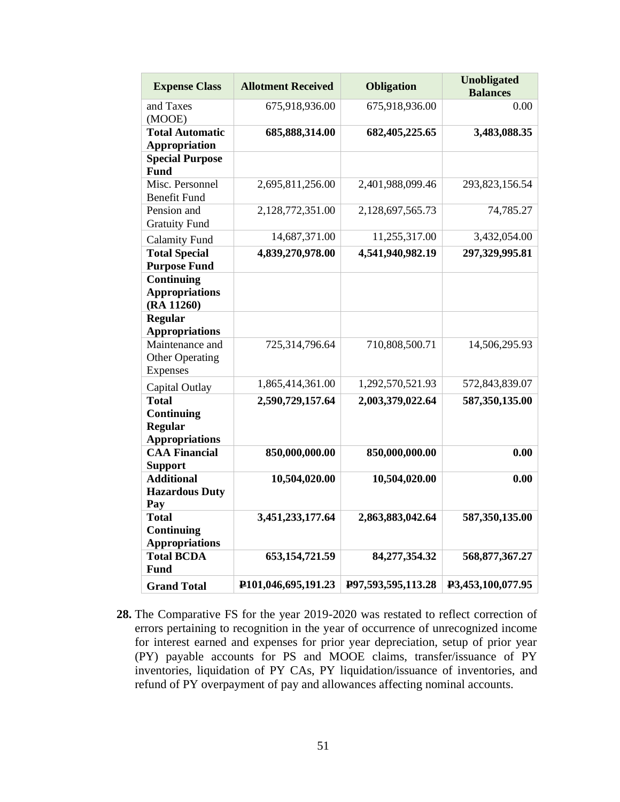| <b>Expense Class</b>                                                  | <b>Allotment Received</b>        | <b>Obligation</b>  | <b>Unobligated</b><br><b>Balances</b> |
|-----------------------------------------------------------------------|----------------------------------|--------------------|---------------------------------------|
| and Taxes<br>(MOOE)                                                   | 675,918,936.00                   | 675,918,936.00     | 0.00                                  |
| <b>Total Automatic</b><br><b>Appropriation</b>                        | 685, 888, 314.00                 | 682,405,225.65     | 3,483,088.35                          |
| <b>Special Purpose</b><br><b>Fund</b>                                 |                                  |                    |                                       |
| Misc. Personnel<br><b>Benefit Fund</b>                                | 2,695,811,256.00                 | 2,401,988,099.46   | 293,823,156.54                        |
| Pension and<br><b>Gratuity Fund</b>                                   | 2,128,772,351.00                 | 2,128,697,565.73   | 74,785.27                             |
| <b>Calamity Fund</b>                                                  | 14,687,371.00                    | 11,255,317.00      | 3,432,054.00                          |
| <b>Total Special</b><br><b>Purpose Fund</b>                           | 4,839,270,978.00                 | 4,541,940,982.19   | 297,329,995.81                        |
| Continuing<br><b>Appropriations</b><br>(RA 11260)                     |                                  |                    |                                       |
| <b>Regular</b><br><b>Appropriations</b>                               |                                  |                    |                                       |
| Maintenance and<br><b>Other Operating</b><br>Expenses                 | 725,314,796.64                   | 710,808,500.71     | 14,506,295.93                         |
| Capital Outlay                                                        | 1,865,414,361.00                 | 1,292,570,521.93   | 572,843,839.07                        |
| <b>Total</b><br>Continuing<br><b>Regular</b><br><b>Appropriations</b> | 2,590,729,157.64                 | 2,003,379,022.64   | 587,350,135.00                        |
| <b>CAA Financial</b><br><b>Support</b>                                | 850,000,000.00                   | 850,000,000.00     | 0.00                                  |
| <b>Additional</b><br><b>Hazardous Duty</b><br>Pay                     | 10,504,020.00                    | 10,504,020.00      | 0.00                                  |
| <b>Total</b><br>Continuing<br><b>Appropriations</b>                   | 3,451,233,177.64                 | 2,863,883,042.64   | 587,350,135.00                        |
| <b>Total BCDA</b><br>Fund                                             | 653, 154, 721.59                 | 84,277,354.32      | 568, 877, 367. 27                     |
| <b>Grand Total</b>                                                    | P <sub>101</sub> ,046,695,191.23 | P97,593,595,113.28 | P3,453,100,077.95                     |

**28.** The Comparative FS for the year 2019-2020 was restated to reflect correction of errors pertaining to recognition in the year of occurrence of unrecognized income for interest earned and expenses for prior year depreciation, setup of prior year (PY) payable accounts for PS and MOOE claims, transfer/issuance of PY inventories, liquidation of PY CAs, PY liquidation/issuance of inventories, and refund of PY overpayment of pay and allowances affecting nominal accounts.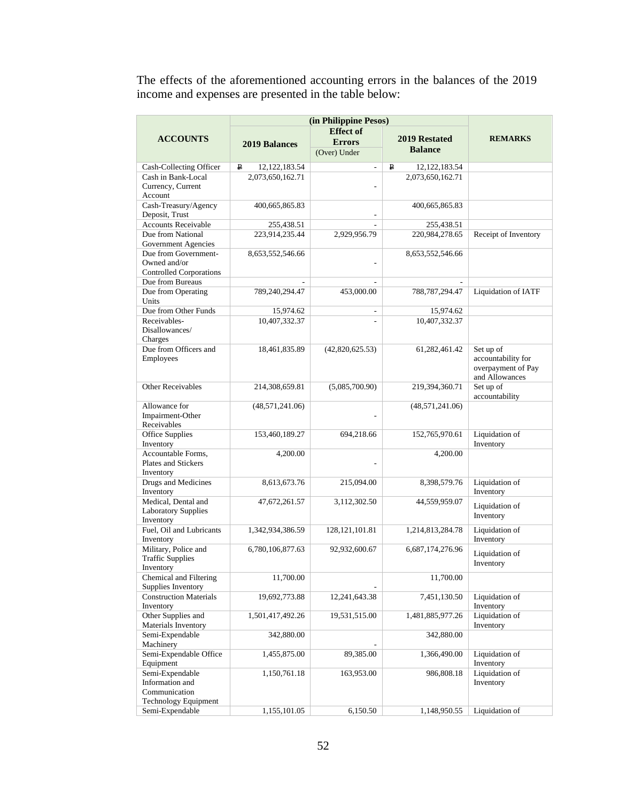The effects of the aforementioned accounting errors in the balances of the 2019 income and expenses are presented in the table below:

|                                                     | (in Philippine Pesos)           |                          |                      |                                 |
|-----------------------------------------------------|---------------------------------|--------------------------|----------------------|---------------------------------|
|                                                     |                                 | <b>Effect of</b>         |                      |                                 |
| <b>ACCOUNTS</b>                                     | <b>2019 Balances</b>            | <b>Errors</b>            | <b>2019 Restated</b> | <b>REMARKS</b>                  |
|                                                     |                                 | (Over) Under             | <b>Balance</b>       |                                 |
| Cash-Collecting Officer                             | $\mathbf{p}$<br>12, 122, 183.54 | $\overline{a}$           | ₽<br>12.122.183.54   |                                 |
| Cash in Bank-Local                                  | 2,073,650,162.71                |                          | 2,073,650,162.71     |                                 |
| Currency, Current                                   |                                 |                          |                      |                                 |
| Account                                             |                                 |                          |                      |                                 |
| Cash-Treasury/Agency                                | 400,665,865.83                  |                          | 400,665,865.83       |                                 |
| Deposit, Trust                                      |                                 |                          |                      |                                 |
| <b>Accounts Receivable</b>                          | 255,438.51                      |                          | 255,438.51           |                                 |
| Due from National                                   | 223.914.235.44                  | 2,929,956.79             | 220,984,278.65       | Receipt of Inventory            |
| Government Agencies                                 |                                 |                          |                      |                                 |
| Due from Government-<br>Owned and/or                | 8,653,552,546.66                |                          | 8,653,552,546.66     |                                 |
| <b>Controlled Corporations</b>                      |                                 |                          |                      |                                 |
| Due from Bureaus                                    | $\overline{a}$                  | $\overline{a}$           | $\overline{a}$       |                                 |
| Due from Operating                                  | 789,240,294.47                  | 453,000.00               | 788, 787, 294. 47    | Liquidation of IATF             |
| Units                                               |                                 |                          |                      |                                 |
| Due from Other Funds                                | 15,974.62                       | $\overline{\phantom{a}}$ | 15,974.62            |                                 |
| Receivables-                                        | 10,407,332.37                   | $\overline{a}$           | 10,407,332.37        |                                 |
| Disallowances/                                      |                                 |                          |                      |                                 |
| Charges                                             |                                 |                          |                      |                                 |
| Due from Officers and                               | 18,461,835.89                   | (42,820,625.53)          | 61,282,461.42        | Set up of<br>accountability for |
| Employees                                           |                                 |                          |                      | overpayment of Pay              |
|                                                     |                                 |                          |                      | and Allowances                  |
| <b>Other Receivables</b>                            | 214,308,659.81                  | (5,085,700.90)           | 219,394,360.71       | Set up of                       |
|                                                     |                                 |                          |                      | accountability                  |
| Allowance for                                       | (48,571,241.06)                 |                          | (48, 571, 241.06)    |                                 |
| Impairment-Other                                    |                                 |                          |                      |                                 |
| Receivables                                         |                                 |                          |                      |                                 |
| Office Supplies<br>Inventory                        | 153,460,189.27                  | 694,218.66               | 152,765,970.61       | Liquidation of<br>Inventory     |
| Accountable Forms,                                  | 4,200.00                        |                          | 4,200.00             |                                 |
| Plates and Stickers                                 |                                 |                          |                      |                                 |
| Inventory                                           |                                 |                          |                      |                                 |
| Drugs and Medicines                                 | 8,613,673.76                    | 215,094.00               | 8,398,579.76         | Liquidation of                  |
| Inventory                                           |                                 |                          |                      | Inventory                       |
| Medical, Dental and                                 | 47,672,261.57                   | 3,112,302.50             | 44,559,959.07        | Liquidation of                  |
| <b>Laboratory Supplies</b><br>Inventory             |                                 |                          |                      | Inventory                       |
| Fuel, Oil and Lubricants                            | 1,342,934,386.59                | 128, 121, 101.81         | 1,214,813,284.78     | Liquidation of                  |
| Inventory                                           |                                 |                          |                      | Inventory                       |
| Military, Police and                                | 6,780,106,877.63                | 92,932,600.67            | 6,687,174,276.96     |                                 |
| <b>Traffic Supplies</b>                             |                                 |                          |                      | Liquidation of<br>Inventory     |
| Inventory                                           |                                 |                          |                      |                                 |
| Chemical and Filtering                              | 11,700.00                       |                          | 11,700.00            |                                 |
| Supplies Inventory<br><b>Construction Materials</b> |                                 |                          |                      | Liquidation of                  |
| Inventory                                           | 19,692,773.88                   | 12,241,643.38            | 7,451,130.50         | Inventory                       |
| Other Supplies and                                  | 1,501,417,492.26                | 19,531,515.00            | 1,481,885,977.26     | Liquidation of                  |
| Materials Inventory                                 |                                 |                          |                      | Inventory                       |
| Semi-Expendable                                     | 342,880.00                      |                          | 342,880.00           |                                 |
| Machinery                                           |                                 |                          |                      |                                 |
| Semi-Expendable Office                              | 1,455,875.00                    | 89,385.00                | 1,366,490.00         | Liquidation of                  |
| Equipment                                           |                                 |                          |                      | Inventory                       |
| Semi-Expendable<br>Information and                  | 1,150,761.18                    | 163,953.00               | 986,808.18           | Liquidation of<br>Inventory     |
| Communication                                       |                                 |                          |                      |                                 |
| <b>Technology Equipment</b>                         |                                 |                          |                      |                                 |
| Semi-Expendable                                     | 1,155,101.05                    | 6,150.50                 | 1,148,950.55         | Liquidation of                  |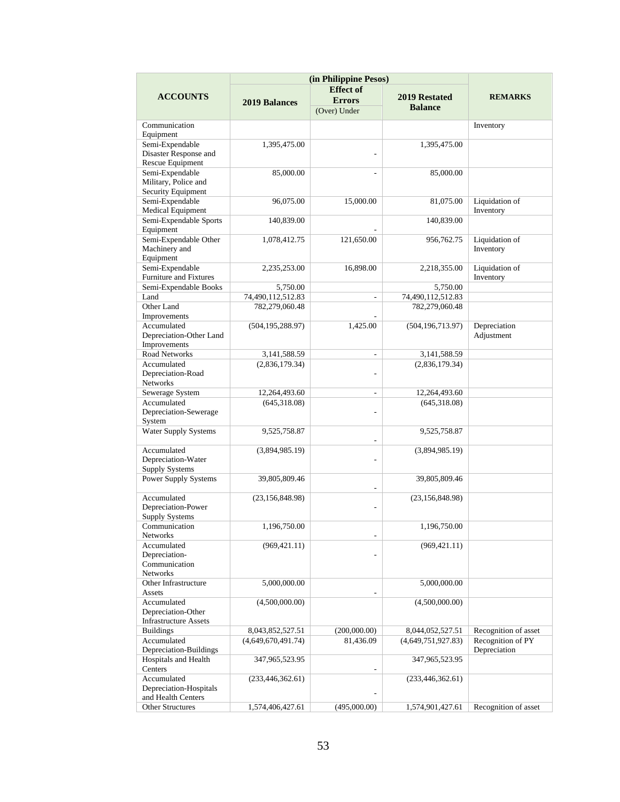|                                       |                      | (in Philippine Pesos)<br><b>Effect of</b> |                    |                      |
|---------------------------------------|----------------------|-------------------------------------------|--------------------|----------------------|
| <b>ACCOUNTS</b>                       | <b>2019 Balances</b> | <b>Errors</b>                             | 2019 Restated      | <b>REMARKS</b>       |
|                                       |                      | (Over) Under                              | <b>Balance</b>     |                      |
|                                       |                      |                                           |                    |                      |
| Communication                         |                      |                                           |                    | Inventory            |
| Equipment                             |                      |                                           |                    |                      |
| Semi-Expendable                       | 1,395,475.00         |                                           | 1,395,475.00       |                      |
| Disaster Response and                 |                      |                                           |                    |                      |
| Rescue Equipment                      |                      |                                           |                    |                      |
| Semi-Expendable                       | 85,000.00            |                                           | 85,000.00          |                      |
| Military, Police and                  |                      |                                           |                    |                      |
| Security Equipment                    |                      |                                           |                    |                      |
| Semi-Expendable                       | 96,075.00            | 15,000.00                                 | 81,075.00          | Liquidation of       |
| <b>Medical Equipment</b>              |                      |                                           |                    | Inventory            |
| Semi-Expendable Sports                | 140,839.00           |                                           | 140,839.00         |                      |
| Equipment                             |                      |                                           |                    |                      |
| Semi-Expendable Other                 | 1,078,412.75         | 121,650.00                                | 956,762.75         | Liquidation of       |
| Machinery and                         |                      |                                           |                    | Inventory            |
| Equipment                             |                      |                                           |                    |                      |
| Semi-Expendable                       | 2,235,253.00         | 16,898.00                                 | 2,218,355.00       | Liquidation of       |
| Furniture and Fixtures                |                      |                                           |                    | Inventory            |
| Semi-Expendable Books                 | 5,750.00             |                                           | 5,750.00           |                      |
| Land                                  | 74,490,112,512.83    |                                           | 74,490,112,512.83  |                      |
| Other Land                            | 782,279,060.48       |                                           | 782,279,060.48     |                      |
| Improvements                          |                      |                                           |                    |                      |
| Accumulated                           | (504, 195, 288.97)   | 1,425.00                                  | (504, 196, 713.97) | Depreciation         |
| Depreciation-Other Land               |                      |                                           |                    | Adjustment           |
| Improvements                          |                      |                                           |                    |                      |
| Road Networks                         | 3,141,588.59         | ÷.                                        | 3,141,588.59       |                      |
| Accumulated                           | (2,836,179.34)       |                                           | (2,836,179.34)     |                      |
| Depreciation-Road                     |                      |                                           |                    |                      |
| Networks                              |                      |                                           |                    |                      |
| Sewerage System                       | 12,264,493.60        | $\overline{\phantom{a}}$                  | 12,264,493.60      |                      |
| Accumulated                           | (645,318.08)         |                                           | (645,318.08)       |                      |
| Depreciation-Sewerage                 |                      | L,                                        |                    |                      |
| System<br><b>Water Supply Systems</b> |                      |                                           |                    |                      |
|                                       | 9,525,758.87         | L,                                        | 9,525,758.87       |                      |
| Accumulated                           | (3,894,985.19)       |                                           | (3,894,985.19)     |                      |
| Depreciation-Water                    |                      | ٠                                         |                    |                      |
| <b>Supply Systems</b>                 |                      |                                           |                    |                      |
| Power Supply Systems                  | 39,805,809.46        |                                           | 39,805,809.46      |                      |
|                                       |                      |                                           |                    |                      |
| Accumulated                           | (23, 156, 848.98)    |                                           | (23, 156, 848.98)  |                      |
| Depreciation-Power                    |                      |                                           |                    |                      |
| <b>Supply Systems</b>                 |                      |                                           |                    |                      |
| Communication                         | 1,196,750.00         |                                           | 1,196,750.00       |                      |
| Networks                              |                      |                                           |                    |                      |
| Accumulated                           | (969, 421.11)        |                                           | (969, 421.11)      |                      |
| Depreciation-                         |                      |                                           |                    |                      |
| Communication                         |                      |                                           |                    |                      |
| Networks                              |                      |                                           |                    |                      |
| Other Infrastructure                  | 5,000,000.00         |                                           | 5,000,000.00       |                      |
| Assets                                |                      |                                           |                    |                      |
| Accumulated                           | (4,500,000.00)       |                                           | (4,500,000.00)     |                      |
| Depreciation-Other                    |                      |                                           |                    |                      |
| <b>Infrastructure Assets</b>          |                      |                                           |                    |                      |
| <b>Buildings</b>                      | 8,043,852,527.51     | (200,000.00)                              | 8,044,052,527.51   | Recognition of asset |
| Accumulated                           | (4,649,670,491.74)   | 81,436.09                                 | (4,649,751,927.83) | Recognition of PY    |
| Depreciation-Buildings                |                      |                                           |                    | Depreciation         |
| Hospitals and Health                  | 347,965,523.95       |                                           | 347,965,523.95     |                      |
| Centers                               |                      |                                           |                    |                      |
| Accumulated                           | (233, 446, 362.61)   |                                           | (233, 446, 362.61) |                      |
| Depreciation-Hospitals                |                      |                                           |                    |                      |
| and Health Centers                    |                      |                                           |                    |                      |
| <b>Other Structures</b>               | 1,574,406,427.61     | (495,000.00)                              | 1,574,901,427.61   | Recognition of asset |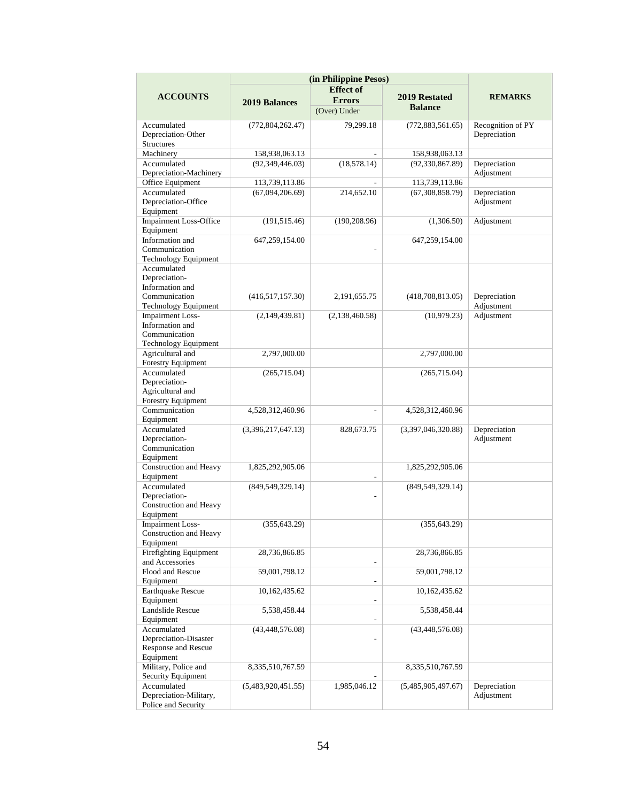|                                        | (in Philippine Pesos) |                          |                    |                   |
|----------------------------------------|-----------------------|--------------------------|--------------------|-------------------|
|                                        |                       | <b>Effect of</b>         |                    |                   |
| <b>ACCOUNTS</b>                        | <b>2019 Balances</b>  | <b>Errors</b>            | 2019 Restated      | <b>REMARKS</b>    |
|                                        |                       | (Over) Under             | <b>Balance</b>     |                   |
| Accumulated                            | (772, 804, 262.47)    | 79,299.18                | (772,883,561.65)   | Recognition of PY |
| Depreciation-Other                     |                       |                          |                    | Depreciation      |
| <b>Structures</b>                      |                       |                          |                    |                   |
| Machinery                              | 158,938,063.13        |                          | 158,938,063.13     |                   |
| Accumulated                            | (92, 349, 446.03)     | (18, 578.14)             | (92, 330, 867.89)  | Depreciation      |
| Depreciation-Machinery                 |                       |                          |                    | Adjustment        |
| Office Equipment                       | 113,739,113.86        |                          | 113,739,113.86     |                   |
| Accumulated                            | (67,094,206.69)       | 214,652.10               | (67,308,858.79)    | Depreciation      |
| Depreciation-Office                    |                       |                          |                    | Adjustment        |
| Equipment                              |                       |                          |                    |                   |
| <b>Impairment Loss-Office</b>          | (191, 515.46)         | (190, 208.96)            | (1,306.50)         | Adjustment        |
| Equipment                              |                       |                          |                    |                   |
| Information and<br>Communication       | 647,259,154.00        |                          | 647,259,154.00     |                   |
| <b>Technology Equipment</b>            |                       |                          |                    |                   |
| Accumulated                            |                       |                          |                    |                   |
| Depreciation-                          |                       |                          |                    |                   |
| Information and                        |                       |                          |                    |                   |
| Communication                          | (416,517,157.30)      | 2, 191, 655. 75          | (418,708,813.05)   | Depreciation      |
| Technology Equipment                   |                       |                          |                    | Adjustment        |
| <b>Impairment Loss-</b>                | (2,149,439.81)        | (2,138,460.58)           | (10,979.23)        | Adjustment        |
| Information and                        |                       |                          |                    |                   |
| Communication                          |                       |                          |                    |                   |
| <b>Technology Equipment</b>            |                       |                          |                    |                   |
| Agricultural and<br>Forestry Equipment | 2,797,000.00          |                          | 2,797,000.00       |                   |
| Accumulated                            |                       |                          |                    |                   |
| Depreciation-                          | (265,715.04)          |                          | (265, 715.04)      |                   |
| Agricultural and                       |                       |                          |                    |                   |
| Forestry Equipment                     |                       |                          |                    |                   |
| Communication                          | 4,528,312,460.96      | $\overline{\phantom{a}}$ | 4,528,312,460.96   |                   |
| Equipment                              |                       |                          |                    |                   |
| Accumulated                            | (3,396,217,647.13)    | 828,673.75               | (3,397,046,320.88) | Depreciation      |
| Depreciation-                          |                       |                          |                    | Adjustment        |
| Communication                          |                       |                          |                    |                   |
| Equipment                              |                       |                          |                    |                   |
| Construction and Heavy                 | 1,825,292,905.06      |                          | 1,825,292,905.06   |                   |
| Equipment<br>Accumulated               | (849, 549, 329.14)    |                          | (849, 549, 329.14) |                   |
| Depreciation-                          |                       | $\overline{a}$           |                    |                   |
| Construction and Heavy                 |                       |                          |                    |                   |
| Equipment                              |                       |                          |                    |                   |
| <b>Impairment Loss-</b>                | (355, 643.29)         |                          | (355, 643.29)      |                   |
| Construction and Heavy                 |                       |                          |                    |                   |
| Equipment                              |                       |                          |                    |                   |
| Firefighting Equipment                 | 28,736,866.85         |                          | 28,736,866.85      |                   |
| and Accessories                        |                       |                          |                    |                   |
| Flood and Rescue                       | 59,001,798.12         |                          | 59,001,798.12      |                   |
| Equipment                              |                       |                          |                    |                   |
| <b>Earthquake Rescue</b>               | 10,162,435.62         |                          | 10,162,435.62      |                   |
| Equipment<br>Landslide Rescue          |                       |                          |                    |                   |
| Equipment                              | 5,538,458.44          |                          | 5,538,458.44       |                   |
| Accumulated                            | (43, 448, 576.08)     |                          | (43, 448, 576.08)  |                   |
| Depreciation-Disaster                  |                       |                          |                    |                   |
| Response and Rescue                    |                       |                          |                    |                   |
| Equipment                              |                       |                          |                    |                   |
| Military, Police and                   | 8,335,510,767.59      |                          | 8,335,510,767.59   |                   |
| Security Equipment                     |                       |                          |                    |                   |
| Accumulated                            | (5,483,920,451.55)    | 1,985,046.12             | (5,485,905,497.67) | Depreciation      |
| Depreciation-Military,                 |                       |                          |                    | Adjustment        |
| Police and Security                    |                       |                          |                    |                   |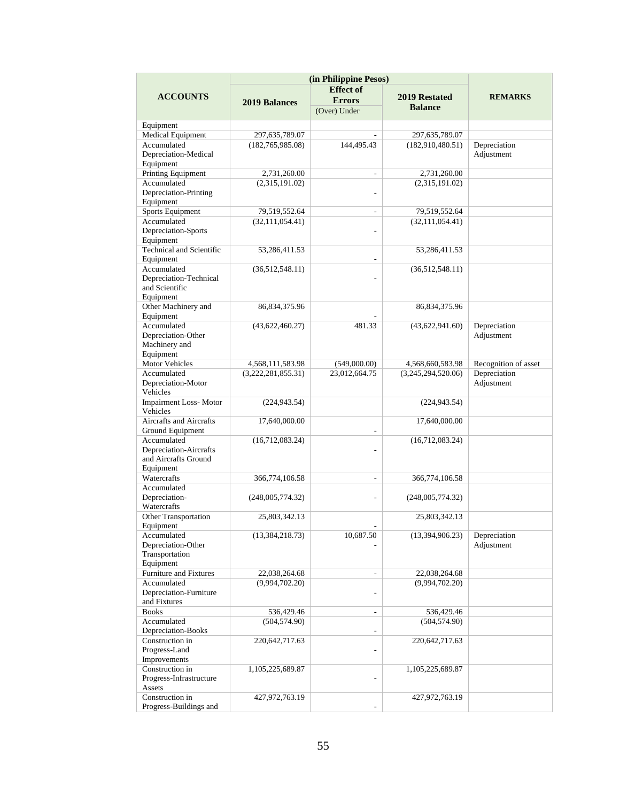|                                       | (in Philippine Pesos) |                          |                      |                      |
|---------------------------------------|-----------------------|--------------------------|----------------------|----------------------|
|                                       |                       | <b>Effect of</b>         |                      |                      |
| <b>ACCOUNTS</b>                       | <b>2019 Balances</b>  | <b>Errors</b>            | 2019 Restated        | <b>REMARKS</b>       |
|                                       |                       | (Over) Under             | <b>Balance</b>       |                      |
|                                       |                       |                          |                      |                      |
| Equipment                             |                       |                          |                      |                      |
| <b>Medical Equipment</b>              | 297,635,789.07        |                          | 297,635,789.07       |                      |
| Accumulated                           | (182, 765, 985.08)    | 144,495.43               | (182,910,480.51)     | Depreciation         |
| Depreciation-Medical                  |                       |                          |                      | Adjustment           |
| Equipment                             |                       |                          |                      |                      |
| Printing Equipment                    | 2,731,260.00          | $\frac{1}{2}$            | 2,731,260.00         |                      |
| Accumulated                           | (2,315,191.02)        |                          | (2,315,191.02)       |                      |
| Depreciation-Printing                 |                       | ٠                        |                      |                      |
| Equipment                             |                       |                          |                      |                      |
| Sports Equipment                      | 79,519,552.64         | ÷.                       | 79,519,552.64        |                      |
| Accumulated                           | (32, 111, 054.41)     |                          | (32, 111, 054.41)    |                      |
| Depreciation-Sports                   |                       |                          |                      |                      |
| Equipment                             |                       |                          |                      |                      |
| Technical and Scientific<br>Equipment | 53,286,411.53         | ٠                        | 53,286,411.53        |                      |
| Accumulated                           |                       |                          |                      |                      |
| Depreciation-Technical                | (36,512,548.11)       |                          | (36,512,548.11)      |                      |
| and Scientific                        |                       |                          |                      |                      |
| Equipment                             |                       |                          |                      |                      |
| Other Machinery and                   | 86, 834, 375. 96      |                          | 86,834,375.96        |                      |
| Equipment                             |                       |                          |                      |                      |
| Accumulated                           | (43,622,460.27)       | 481.33                   | (43,622,941.60)      | Depreciation         |
| Depreciation-Other                    |                       |                          |                      | Adjustment           |
| Machinery and                         |                       |                          |                      |                      |
| Equipment                             |                       |                          |                      |                      |
| <b>Motor Vehicles</b>                 | 4,568,111,583.98      | (549,000.00)             | 4,568,660,583.98     | Recognition of asset |
| Accumulated                           | (3,222,281,855.31)    | 23,012,664.75            | (3,245,294,520.06)   | Depreciation         |
| Depreciation-Motor                    |                       |                          |                      | Adjustment           |
| Vehicles                              |                       |                          |                      |                      |
| <b>Impairment Loss-Motor</b>          | (224, 943.54)         |                          | (224, 943.54)        |                      |
| Vehicles                              |                       |                          |                      |                      |
| Aircrafts and Aircrafts               | 17,640,000.00         |                          | 17,640,000.00        |                      |
| Ground Equipment                      |                       |                          |                      |                      |
| Accumulated                           | (16,712,083.24)       |                          | (16,712,083.24)      |                      |
| Depreciation-Aircrafts                |                       |                          |                      |                      |
| and Aircrafts Ground                  |                       |                          |                      |                      |
| Equipment                             |                       |                          |                      |                      |
| Watercrafts                           | 366,774,106.58        | $\overline{\phantom{a}}$ | 366,774,106.58       |                      |
| Accumulated                           |                       |                          |                      |                      |
| Depreciation-                         | (248,005,774.32)      | L.                       | (248,005,774.32)     |                      |
| Watercrafts                           |                       |                          |                      |                      |
| Other Transportation                  | 25,803,342.13         |                          | 25,803,342.13        |                      |
| Equipment                             |                       |                          |                      |                      |
| Accumulated                           | (13, 384, 218.73)     | 10,687.50                | (13,394,906.23)      | Depreciation         |
| Depreciation-Other                    |                       |                          |                      | Adjustment           |
| Transportation                        |                       |                          |                      |                      |
| Equipment                             |                       |                          |                      |                      |
| Furniture and Fixtures                | 22,038,264.68         | $\frac{1}{2}$            | 22,038,264.68        |                      |
| Accumulated                           | (9,994,702.20)        |                          | (9,994,702.20)       |                      |
| Depreciation-Furniture                |                       |                          |                      |                      |
| and Fixtures                          |                       |                          |                      |                      |
| <b>Books</b>                          | 536,429.46            | $\overline{\phantom{0}}$ | 536,429.46           |                      |
| Accumulated                           | (504, 574.90)         |                          | (504, 574.90)        |                      |
| Depreciation-Books                    |                       | ÷.                       |                      |                      |
| Construction in                       | 220,642,717.63        |                          | 220, 642, 717. 63    |                      |
| Progress-Land                         |                       |                          |                      |                      |
| Improvements                          |                       |                          |                      |                      |
| Construction in                       | 1, 105, 225, 689. 87  |                          | 1, 105, 225, 689. 87 |                      |
| Progress-Infrastructure<br>Assets     |                       |                          |                      |                      |
| Construction in                       | 427,972,763.19        |                          | 427,972,763.19       |                      |
| Progress-Buildings and                |                       |                          |                      |                      |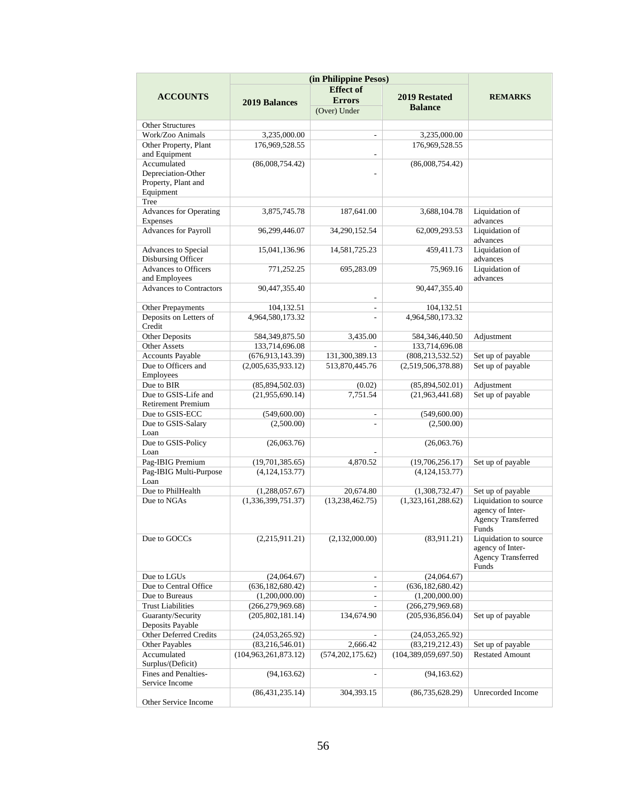|                                       |                         | (in Philippine Pesos)<br><b>Effect</b> of |                         |                           |
|---------------------------------------|-------------------------|-------------------------------------------|-------------------------|---------------------------|
| <b>ACCOUNTS</b>                       | <b>2019 Balances</b>    | <b>Errors</b>                             | <b>2019 Restated</b>    | <b>REMARKS</b>            |
|                                       |                         | (Over) Under                              | <b>Balance</b>          |                           |
| <b>Other Structures</b>               |                         |                                           |                         |                           |
| Work/Zoo Animals                      | 3,235,000.00            | L.                                        | 3,235,000.00            |                           |
| Other Property, Plant                 | 176,969,528.55          |                                           | 176,969,528.55          |                           |
| and Equipment                         |                         |                                           |                         |                           |
| Accumulated                           | (86,008,754.42)         |                                           | (86,008,754.42)         |                           |
| Depreciation-Other                    |                         |                                           |                         |                           |
| Property, Plant and                   |                         |                                           |                         |                           |
| Equipment                             |                         |                                           |                         |                           |
| Tree                                  |                         |                                           |                         |                           |
| <b>Advances for Operating</b>         | 3,875,745.78            | 187,641.00                                | 3,688,104.78            | Liquidation of            |
| <b>Expenses</b>                       |                         |                                           |                         | advances                  |
| Advances for Payroll                  | 96,299,446.07           | 34,290,152.54                             | 62,009,293.53           | Liquidation of            |
|                                       |                         |                                           |                         | advances                  |
| Advances to Special                   | 15,041,136.96           | 14,581,725.23                             | 459,411.73              | Liquidation of            |
| Disbursing Officer                    |                         |                                           |                         | advances                  |
| <b>Advances to Officers</b>           | 771,252.25              | 695,283.09                                | 75,969.16               | Liquidation of            |
| and Employees                         |                         |                                           |                         | advances                  |
| <b>Advances to Contractors</b>        | 90,447,355.40           |                                           | 90,447,355.40           |                           |
|                                       |                         |                                           |                         |                           |
| Other Prepayments                     | 104,132.51              | ÷.                                        | 104,132.51              |                           |
| Deposits on Letters of                | 4,964,580,173.32        | ÷                                         | 4,964,580,173.32        |                           |
| Credit                                |                         |                                           |                         |                           |
| <b>Other Deposits</b>                 | 584, 349, 875.50        | 3,435.00                                  | 584,346,440.50          | Adjustment                |
| <b>Other Assets</b>                   | 133,714,696.08          |                                           | 133,714,696.08          |                           |
| <b>Accounts Payable</b>               | (676, 913, 143.39)      | 131,300,389.13                            | (808, 213, 532.52)      | Set up of payable         |
| Due to Officers and                   | (2,005,635,933.12)      | 513,870,445.76                            | (2,519,506,378.88)      | Set up of payable         |
| Employees                             |                         |                                           |                         |                           |
| Due to BIR<br>Due to GSIS-Life and    | (85,894,502.03)         | (0.02)                                    | (85,894,502.01)         | Adjustment                |
| <b>Retirement Premium</b>             | (21,955,690.14)         | 7,751.54                                  | (21,963,441.68)         | Set up of payable         |
| Due to GSIS-ECC                       | (549,600.00)            | $\overline{\phantom{0}}$                  | (549,600.00)            |                           |
| Due to GSIS-Salary                    | (2,500.00)              |                                           | (2,500.00)              |                           |
| Loan                                  |                         |                                           |                         |                           |
| Due to GSIS-Policy                    | (26,063.76)             |                                           | (26,063.76)             |                           |
| Loan                                  |                         |                                           |                         |                           |
| Pag-IBIG Premium                      | (19,701,385.65)         | 4,870.52                                  | (19,706,256.17)         | Set up of payable         |
| Pag-IBIG Multi-Purpose                | (4, 124, 153, 77)       |                                           | (4, 124, 153.77)        |                           |
| Loan                                  |                         |                                           |                         |                           |
| Due to PhilHealth                     | (1,288,057.67)          | 20.674.80                                 | (1,308,732.47)          | Set up of payable         |
| Due to NGAs                           | (1,336,399,751.37)      | (13, 238, 462.75)                         | (1,323,161,288.62)      | Liquidation to source     |
|                                       |                         |                                           |                         | agency of Inter-          |
|                                       |                         |                                           |                         | <b>Agency Transferred</b> |
|                                       |                         |                                           |                         | Funds                     |
| Due to GOCCs                          | (2,215,911.21)          | (2,132,000.00)                            | (83,911.21)             | Liquidation to source     |
|                                       |                         |                                           |                         | agency of Inter-          |
|                                       |                         |                                           |                         | Agency Transferred        |
|                                       |                         |                                           |                         | Funds                     |
| Due to LGUs                           | (24,064.67)             |                                           | (24,064.67)             |                           |
| Due to Central Office                 | (636, 182, 680.42)      | ÷,                                        | (636, 182, 680.42)      |                           |
| Due to Bureaus                        | (1,200,000.00)          | $\overline{\phantom{0}}$                  | (1,200,000.00)          |                           |
| <b>Trust Liabilities</b>              | (266, 279, 969.68)      |                                           | (266, 279, 969.68)      |                           |
| Guaranty/Security<br>Deposits Payable | (205, 802, 181.14)      | 134,674.90                                | (205,936,856.04)        | Set up of payable         |
| Other Deferred Credits                | (24,053,265.92)         |                                           | (24,053,265.92)         |                           |
| Other Payables                        | (83,216,546.01)         | 2,666.42                                  | (83, 219, 212.43)       | Set up of payable         |
| Accumulated                           | (104, 963, 261, 873.12) | (574, 202, 175.62)                        | (104, 389, 059, 697.50) | <b>Restated Amount</b>    |
| Surplus/(Deficit)                     |                         |                                           |                         |                           |
| Fines and Penalties-                  | (94, 163.62)            |                                           | (94, 163.62)            |                           |
| Service Income                        |                         |                                           |                         |                           |
|                                       | (86, 431, 235.14)       | 304,393.15                                | (86, 735, 628.29)       | Unrecorded Income         |
| Other Service Income                  |                         |                                           |                         |                           |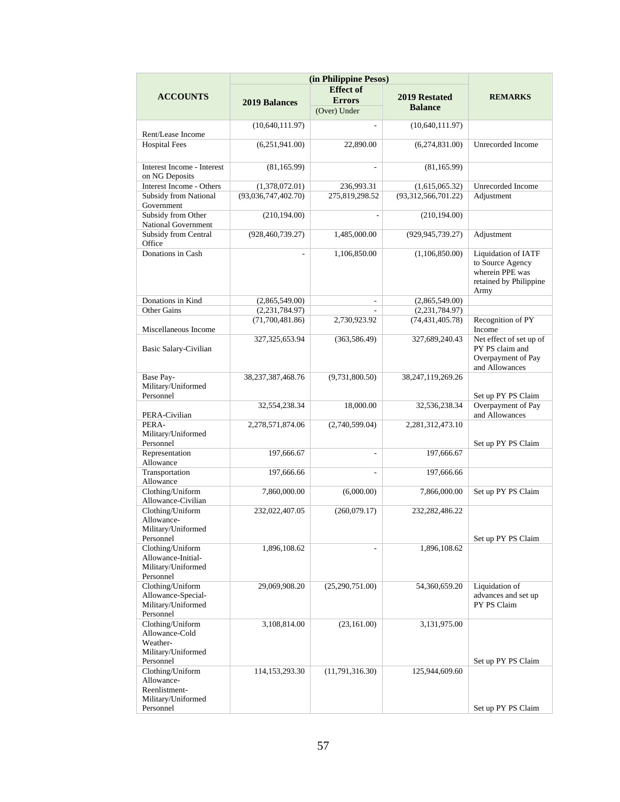|                                                                           | (in Philippine Pesos) |                          |                                 |                                                                                                     |
|---------------------------------------------------------------------------|-----------------------|--------------------------|---------------------------------|-----------------------------------------------------------------------------------------------------|
|                                                                           |                       | <b>Effect</b> of         |                                 |                                                                                                     |
| <b>ACCOUNTS</b>                                                           | <b>2019 Balances</b>  | <b>Errors</b>            | 2019 Restated<br><b>Balance</b> | <b>REMARKS</b>                                                                                      |
|                                                                           |                       | (Over) Under             |                                 |                                                                                                     |
| Rent/Lease Income                                                         | (10,640,111.97)       | ÷.                       | (10,640,111.97)                 |                                                                                                     |
| <b>Hospital Fees</b>                                                      | (6,251,941.00)        | 22,890.00                | (6,274,831.00)                  | Unrecorded Income                                                                                   |
| Interest Income - Interest<br>on NG Deposits                              | (81, 165.99)          | $\overline{\phantom{a}}$ | (81, 165.99)                    |                                                                                                     |
| Interest Income - Others                                                  | (1,378,072.01)        | 236,993.31               | (1,615,065.32)                  | Unrecorded Income                                                                                   |
| Subsidy from National<br>Government                                       | (93,036,747,402.70)   | 275,819,298.52           | (93,312,566,701.22)             | Adjustment                                                                                          |
| Subsidy from Other<br>National Government                                 | (210, 194.00)         |                          | (210, 194.00)                   |                                                                                                     |
| Subsidy from Central<br>Office                                            | (928, 460, 739.27)    | 1,485,000.00             | (929, 945, 739.27)              | Adjustment                                                                                          |
| Donations in Cash                                                         |                       | 1,106,850.00             | (1,106,850.00)                  | <b>Liquidation of IATF</b><br>to Source Agency<br>wherein PPE was<br>retained by Philippine<br>Army |
| Donations in Kind                                                         | (2,865,549.00)        | $\overline{\phantom{a}}$ | (2,865,549.00)                  |                                                                                                     |
| <b>Other Gains</b>                                                        | (2, 231, 784.97)      |                          | (2,231,784.97)                  |                                                                                                     |
| Miscellaneous Income                                                      | (71,700,481.86)       | 2,730,923.92             | (74, 431, 405.78)               | Recognition of PY<br>Income                                                                         |
| Basic Salary-Civilian                                                     | 327, 325, 653. 94     | (363, 586.49)            | 327,689,240.43                  | Net effect of set up of<br>PY PS claim and<br>Overpayment of Pay<br>and Allowances                  |
| Base Pay-<br>Military/Uniformed<br>Personnel                              | 38, 237, 387, 468. 76 | (9,731,800.50)           | 38, 247, 119, 269. 26           | Set up PY PS Claim                                                                                  |
| PERA-Civilian                                                             | 32,554,238.34         | 18,000.00                | 32,536,238.34                   | Overpayment of Pay<br>and Allowances                                                                |
| PERA-<br>Military/Uniformed<br>Personnel                                  | 2,278,571,874.06      | (2,740,599.04)           | 2,281,312,473.10                | Set up PY PS Claim                                                                                  |
| Representation<br>Allowance                                               | 197,666.67            | $\overline{\phantom{a}}$ | 197,666.67                      |                                                                                                     |
| Transportation<br>Allowance                                               | 197,666.66            | L.                       | 197,666.66                      |                                                                                                     |
| Clothing/Uniform<br>Allowance-Civilian                                    | 7,860,000.00          | (6,000.00)               | 7,866,000.00                    | Set up PY PS Claim                                                                                  |
| Clothing/Uniform<br>Allowance-<br>Military/Uniformed<br>Personnel         | 232,022,407.05        | (260,079.17)             | 232, 282, 486. 22               | Set up PY PS Claim                                                                                  |
| Clothing/Uniform<br>Allowance-Initial-<br>Military/Uniformed<br>Personnel | 1,896,108.62          |                          | 1,896,108.62                    |                                                                                                     |
| Clothing/Uniform<br>Allowance-Special-<br>Military/Uniformed<br>Personnel | 29,069,908.20         | (25,290,751.00)          | 54,360,659.20                   | Liquidation of<br>advances and set up<br>PY PS Claim                                                |
| Clothing/Uniform<br>Allowance-Cold<br>Weather-<br>Military/Uniformed      | 3,108,814.00          | (23, 161.00)             | 3,131,975.00                    |                                                                                                     |
| Clothing/Uniform<br>Allowance-<br>Reenlistment-<br>Military/Uniformed     | 114, 153, 293. 30     | (11,791,316.30)          | 125,944,609.60                  |                                                                                                     |
| Personnel<br>Personnel                                                    |                       |                          |                                 | Set up PY PS Claim<br>Set up PY PS Claim                                                            |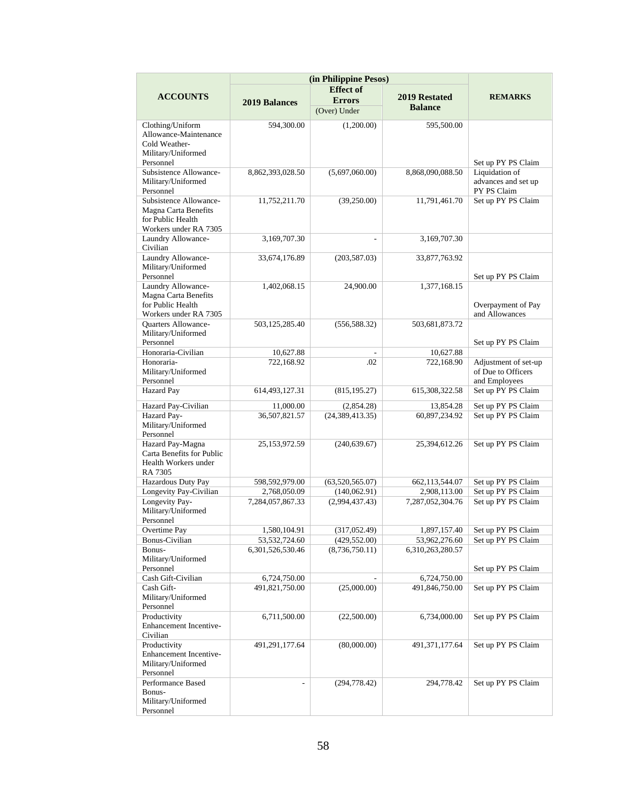|                                                                                               | (in Philippine Pesos) |                          |                   |                                     |
|-----------------------------------------------------------------------------------------------|-----------------------|--------------------------|-------------------|-------------------------------------|
|                                                                                               |                       | <b>Effect</b> of         |                   |                                     |
| <b>ACCOUNTS</b>                                                                               | <b>2019 Balances</b>  | <b>Errors</b>            | 2019 Restated     | <b>REMARKS</b>                      |
|                                                                                               |                       | (Over) Under             | <b>Balance</b>    |                                     |
|                                                                                               |                       |                          |                   |                                     |
| Clothing/Uniform<br>Allowance-Maintenance<br>Cold Weather-<br>Military/Uniformed<br>Personnel | 594,300.00            | (1,200.00)               | 595,500.00        | Set up PY PS Claim                  |
| Subsistence Allowance-                                                                        | 8,862,393,028.50      | (5,697,060.00)           | 8,868,090,088.50  | Liquidation of                      |
| Military/Uniformed<br>Personnel                                                               |                       |                          |                   | advances and set up<br>PY PS Claim  |
| Subsistence Allowance-                                                                        | 11,752,211.70         | (39,250.00)              | 11,791,461.70     | Set up PY PS Claim                  |
| Magna Carta Benefits<br>for Public Health                                                     |                       |                          |                   |                                     |
| Workers under RA 7305<br>Laundry Allowance-<br>Civilian                                       | 3,169,707.30          | $\overline{\phantom{a}}$ | 3,169,707.30      |                                     |
| Laundry Allowance-                                                                            | 33,674,176.89         | (203, 587.03)            | 33,877,763.92     |                                     |
| Military/Uniformed<br>Personnel                                                               |                       |                          |                   | Set up PY PS Claim                  |
| Laundry Allowance-<br>Magna Carta Benefits<br>for Public Health                               | 1,402,068.15          | 24,900.00                | 1,377,168.15      | Overpayment of Pay                  |
| Workers under RA 7305                                                                         |                       |                          |                   | and Allowances                      |
| Quarters Allowance-<br>Military/Uniformed<br>Personnel                                        | 503,125,285.40        | (556, 588.32)            | 503,681,873.72    | Set up PY PS Claim                  |
| Honoraria-Civilian                                                                            | 10,627.88             |                          | 10,627.88         |                                     |
| Honoraria-                                                                                    | 722,168.92            | .02                      | 722,168.90        | Adjustment of set-up                |
| Military/Uniformed<br>Personnel                                                               |                       |                          |                   | of Due to Officers<br>and Employees |
| <b>Hazard Pay</b>                                                                             | 614,493,127.31        | (815, 195.27)            | 615,308,322.58    | Set up PY PS Claim                  |
| Hazard Pay-Civilian                                                                           | 11,000.00             | (2,854.28)               | 13,854.28         | Set up PY PS Claim                  |
| Hazard Pay-                                                                                   | 36,507,821.57         | (24, 389, 413.35)        | 60,897,234.92     | Set up PY PS Claim                  |
| Military/Uniformed<br>Personnel                                                               |                       |                          |                   |                                     |
| Hazard Pay-Magna<br>Carta Benefits for Public<br>Health Workers under<br>RA 7305              | 25,153,972.59         | (240, 639.67)            | 25,394,612.26     | Set up PY PS Claim                  |
| Hazardous Duty Pay                                                                            | 598,592,979.00        | (63,520,565.07)          | 662, 113, 544. 07 | Set up PY PS Claim                  |
| Longevity Pay-Civilian                                                                        | 2,768,050.09          | (140, 062.91)            | 2,908,113.00      | Set up PY PS Claim                  |
| Longevity Pay-<br>Military/Uniformed<br>Personnel                                             | 7,284,057,867.33      | (2,994,437.43)           | 7,287,052,304.76  | Set up PY PS Claim                  |
| Overtime Pay                                                                                  | 1,580,104.91          | (317, 052.49)            | 1,897,157.40      | Set up PY PS Claim                  |
| Bonus-Civilian                                                                                | 53,532,724.60         | (429, 552.00)            | 53,962,276.60     | Set up PY PS Claim                  |
| Bonus-<br>Military/Uniformed<br>Personnel                                                     | 6,301,526,530.46      | (8,736,750.11)           | 6,310,263,280.57  | Set up PY PS Claim                  |
| Cash Gift-Civilian                                                                            | 6,724,750.00          |                          | 6,724,750.00      |                                     |
| Cash Gift-                                                                                    | 491,821,750.00        | (25,000.00)              | 491,846,750.00    | Set up PY PS Claim                  |
| Military/Uniformed<br>Personnel                                                               |                       |                          |                   |                                     |
| Productivity<br>Enhancement Incentive-<br>Civilian                                            | 6,711,500.00          | (22,500.00)              | 6,734,000.00      | Set up PY PS Claim                  |
| Productivity<br><b>Enhancement Incentive-</b><br>Military/Uniformed<br>Personnel              | 491,291,177.64        | (80,000.00)              | 491, 371, 177. 64 | Set up PY PS Claim                  |
| Performance Based<br>Bonus-<br>Military/Uniformed<br>Personnel                                |                       | (294, 778.42)            | 294,778.42        | Set up PY PS Claim                  |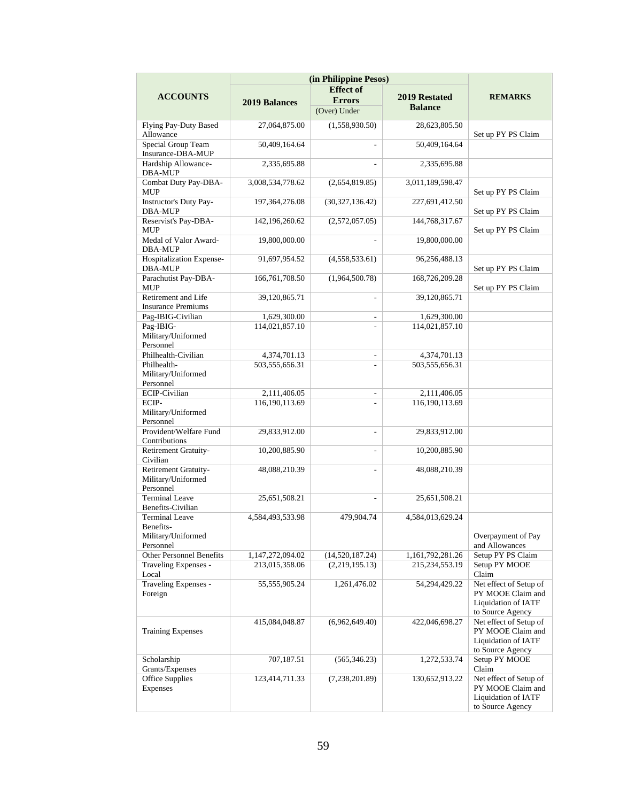|                                                                | (in Philippine Pesos)              |                                   |                                    |                                                                                               |
|----------------------------------------------------------------|------------------------------------|-----------------------------------|------------------------------------|-----------------------------------------------------------------------------------------------|
|                                                                |                                    | <b>Effect of</b>                  |                                    |                                                                                               |
| <b>ACCOUNTS</b>                                                | <b>2019 Balances</b>               | <b>Errors</b>                     | <b>2019 Restated</b>               | <b>REMARKS</b>                                                                                |
|                                                                |                                    | (Over) Under                      | <b>Balance</b>                     |                                                                                               |
| Flying Pay-Duty Based                                          | 27,064,875.00                      | (1,558,930.50)                    | 28,623,805.50                      |                                                                                               |
| Allowance                                                      |                                    |                                   |                                    | Set up PY PS Claim                                                                            |
| Special Group Team<br>Insurance-DBA-MUP                        | 50,409,164.64                      |                                   | 50,409,164.64                      |                                                                                               |
| Hardship Allowance-<br>DBA-MUP                                 | 2,335,695.88                       |                                   | 2,335,695.88                       |                                                                                               |
| Combat Duty Pay-DBA-<br><b>MUP</b>                             | 3,008,534,778.62                   | (2,654,819.85)                    | 3,011,189,598.47                   | Set up PY PS Claim                                                                            |
| <b>Instructor's Duty Pay-</b><br><b>DBA-MUP</b>                | 197, 364, 276.08                   | (30,327,136.42)                   | 227,691,412.50                     | Set up PY PS Claim                                                                            |
| Reservist's Pay-DBA-<br>MUP                                    | 142,196,260.62                     | (2,572,057.05)                    | 144,768,317.67                     | Set up PY PS Claim                                                                            |
| Medal of Valor Award-<br><b>DBA-MUP</b>                        | 19,800,000.00                      |                                   | 19,800,000.00                      |                                                                                               |
| Hospitalization Expense-<br>DBA-MUP                            | 91,697,954.52                      | (4,558,533.61)                    | 96,256,488.13                      | Set up PY PS Claim                                                                            |
| Parachutist Pay-DBA-<br><b>MUP</b>                             | 166,761,708.50                     | (1,964,500.78)                    | 168,726,209.28                     | Set up PY PS Claim                                                                            |
| Retirement and Life<br><b>Insurance Premiums</b>               | 39,120,865.71                      | L,                                | 39,120,865.71                      |                                                                                               |
| Pag-IBIG-Civilian                                              | 1,629,300.00                       | $\overline{\phantom{0}}$          | 1,629,300.00                       |                                                                                               |
| Pag-IBIG-                                                      | 114,021,857.10                     |                                   | 114,021,857.10                     |                                                                                               |
| Military/Uniformed<br>Personnel                                |                                    |                                   |                                    |                                                                                               |
| Philhealth-Civilian                                            | 4,374,701.13                       | $\overline{\phantom{a}}$          | 4,374,701.13                       |                                                                                               |
| Philhealth-                                                    | 503,555,656.31                     | ٠                                 | 503,555,656.31                     |                                                                                               |
| Military/Uniformed<br>Personnel                                |                                    |                                   |                                    |                                                                                               |
| <b>ECIP-Civilian</b>                                           | 2,111,406.05                       | $\overline{\phantom{a}}$          | 2,111,406.05                       |                                                                                               |
| ECIP-                                                          | 116,190,113.69                     |                                   | 116,190,113.69                     |                                                                                               |
| Military/Uniformed<br>Personnel                                |                                    |                                   |                                    |                                                                                               |
| Provident/Welfare Fund<br>Contributions                        | 29,833,912.00                      | ä,                                | 29,833,912.00                      |                                                                                               |
| <b>Retirement Gratuity-</b><br>Civilian                        | 10,200,885.90                      | L.                                | 10,200,885.90                      |                                                                                               |
| <b>Retirement Gratuity-</b><br>Military/Uniformed<br>Personnel | 48,088,210.39                      | $\overline{a}$                    | 48,088,210.39                      |                                                                                               |
| <b>Terminal Leave</b><br>Benefits-Civilian                     | 25,651,508.21                      |                                   | 25,651,508.21                      |                                                                                               |
| <b>Terminal Leave</b><br>Benefits-                             | 4,584,493,533.98                   | 479,904.74                        | 4,584,013,629.24                   |                                                                                               |
| Military/Uniformed                                             |                                    |                                   |                                    | Overpayment of Pay                                                                            |
| Personnel                                                      |                                    |                                   |                                    | and Allowances                                                                                |
| Other Personnel Benefits<br>Traveling Expenses -               | 1,147,272,094.02<br>213,015,358.06 | (14,520,187.24)<br>(2,219,195.13) | 1,161,792,281.26<br>215,234,553.19 | Setup PY PS Claim<br>Setup PY MOOE                                                            |
| Local                                                          |                                    |                                   |                                    | Claim                                                                                         |
| Traveling Expenses -<br>Foreign                                | 55, 555, 905. 24                   | 1,261,476.02                      | 54,294,429.22                      | Net effect of Setup of<br>PY MOOE Claim and<br><b>Liquidation of IATF</b><br>to Source Agency |
| <b>Training Expenses</b>                                       | 415,084,048.87                     | (6,962,649.40)                    | 422,046,698.27                     | Net effect of Setup of<br>PY MOOE Claim and<br><b>Liquidation of IATF</b><br>to Source Agency |
| Scholarship<br>Grants/Expenses                                 | 707,187.51                         | (565, 346.23)                     | 1,272,533.74                       | Setup PY MOOE<br>Claim                                                                        |
| Office Supplies<br>Expenses                                    | 123,414,711.33                     | (7,238,201.89)                    | 130,652,913.22                     | Net effect of Setup of<br>PY MOOE Claim and<br>Liquidation of IATF<br>to Source Agency        |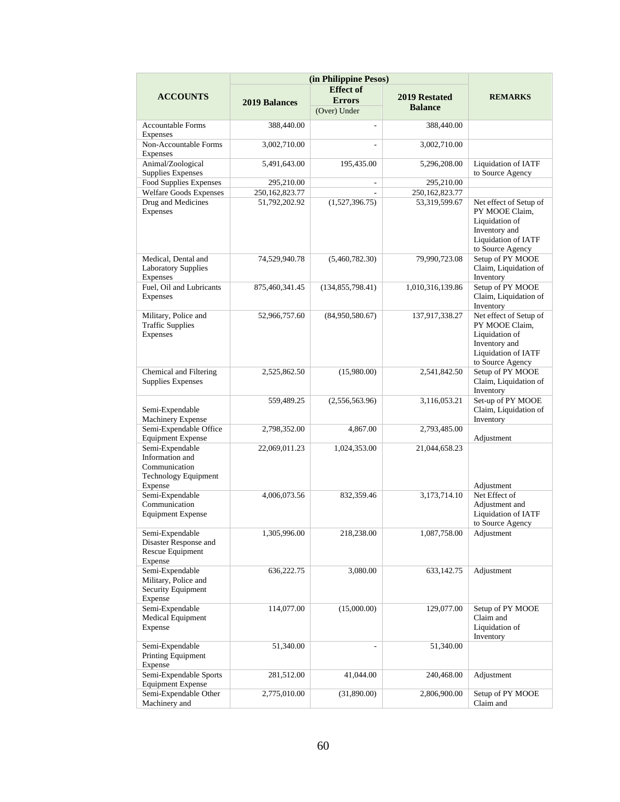|                                                                                               | (in Philippine Pesos) |                    |                   |                                                                                                                               |
|-----------------------------------------------------------------------------------------------|-----------------------|--------------------|-------------------|-------------------------------------------------------------------------------------------------------------------------------|
|                                                                                               |                       | <b>Effect of</b>   |                   |                                                                                                                               |
| <b>ACCOUNTS</b>                                                                               | <b>2019 Balances</b>  | <b>Errors</b>      | 2019 Restated     | <b>REMARKS</b>                                                                                                                |
|                                                                                               |                       | (Over) Under       | <b>Balance</b>    |                                                                                                                               |
| <b>Accountable Forms</b><br>Expenses                                                          | 388,440.00            | ÷.                 | 388,440.00        |                                                                                                                               |
| Non-Accountable Forms<br><b>Expenses</b>                                                      | 3,002,710.00          | ÷.                 | 3,002,710.00      |                                                                                                                               |
| Animal/Zoological<br><b>Supplies Expenses</b>                                                 | 5,491,643.00          | 195,435.00         | 5,296,208.00      | <b>Liquidation of IATF</b><br>to Source Agency                                                                                |
| Food Supplies Expenses                                                                        | 295,210.00            |                    | 295,210.00        |                                                                                                                               |
| <b>Welfare Goods Expenses</b>                                                                 | 250,162,823.77        |                    | 250, 162, 823. 77 |                                                                                                                               |
| Drug and Medicines<br>Expenses                                                                | 51,792,202.92         | (1,527,396.75)     | 53,319,599.67     | Net effect of Setup of<br>PY MOOE Claim,<br>Liquidation of<br>Inventory and<br><b>Liquidation of IATF</b><br>to Source Agency |
| Medical, Dental and<br><b>Laboratory Supplies</b><br>Expenses                                 | 74,529,940.78         | (5,460,782.30)     | 79,990,723.08     | Setup of PY MOOE<br>Claim, Liquidation of<br>Inventory                                                                        |
| Fuel, Oil and Lubricants<br>Expenses                                                          | 875,460,341.45        | (134, 855, 798.41) | 1,010,316,139.86  | Setup of PY MOOE<br>Claim, Liquidation of<br>Inventory                                                                        |
| Military, Police and<br><b>Traffic Supplies</b><br>Expenses                                   | 52,966,757.60         | (84,950,580.67)    | 137,917,338.27    | Net effect of Setup of<br>PY MOOE Claim,<br>Liquidation of<br>Inventory and<br>Liquidation of IATF<br>to Source Agency        |
| Chemical and Filtering<br><b>Supplies Expenses</b>                                            | 2,525,862.50          | (15,980.00)        | 2,541,842.50      | Setup of PY MOOE<br>Claim, Liquidation of<br>Inventory                                                                        |
| Semi-Expendable<br><b>Machinery Expense</b>                                                   | 559,489.25            | (2,556,563.96)     | 3,116,053.21      | Set-up of PY MOOE<br>Claim, Liquidation of<br>Inventory                                                                       |
| Semi-Expendable Office<br><b>Equipment Expense</b>                                            | 2,798,352.00          | 4,867.00           | 2,793,485.00      | Adjustment                                                                                                                    |
| Semi-Expendable<br>Information and<br>Communication<br><b>Technology Equipment</b><br>Expense | 22,069,011.23         | 1,024,353.00       | 21,044,658.23     | Adjustment                                                                                                                    |
| Semi-Expendable<br>Communication<br><b>Equipment Expense</b>                                  | 4,006,073.56          | 832,359.46         | 3,173,714.10      | Net Effect of<br>Adjustment and<br>Liquidation of IATF<br>to Source Agency                                                    |
| Semi-Expendable<br>Disaster Response and<br>Rescue Equipment<br>Expense                       | 1,305,996.00          | 218,238.00         | 1,087,758.00      | Adjustment                                                                                                                    |
| Semi-Expendable<br>Military, Police and<br>Security Equipment<br>Expense                      | 636,222.75            | 3,080.00           | 633,142.75        | Adjustment                                                                                                                    |
| Semi-Expendable<br>Medical Equipment<br>Expense                                               | 114,077.00            | (15,000.00)        | 129,077.00        | Setup of PY MOOE<br>Claim and<br>Liquidation of<br>Inventory                                                                  |
| Semi-Expendable<br>Printing Equipment<br>Expense                                              | 51,340.00             | $\overline{a}$     | 51,340.00         |                                                                                                                               |
| Semi-Expendable Sports<br><b>Equipment Expense</b>                                            | 281,512.00            | 41,044.00          | 240,468.00        | Adjustment                                                                                                                    |
| Semi-Expendable Other<br>Machinery and                                                        | 2,775,010.00          | (31,890.00)        | 2,806,900.00      | Setup of PY MOOE<br>Claim and                                                                                                 |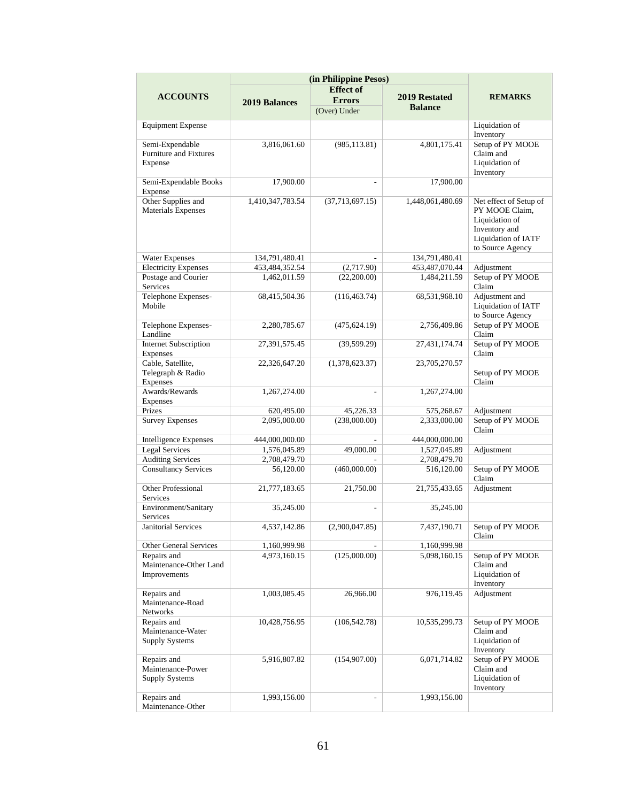|                                            |                      | (in Philippine Pesos)<br><b>Effect of</b> |                  |                             |
|--------------------------------------------|----------------------|-------------------------------------------|------------------|-----------------------------|
| <b>ACCOUNTS</b>                            | <b>2019 Balances</b> | <b>Errors</b>                             | 2019 Restated    | <b>REMARKS</b>              |
|                                            |                      | (Over) Under                              | <b>Balance</b>   |                             |
|                                            |                      |                                           |                  |                             |
| <b>Equipment Expense</b>                   |                      |                                           |                  | Liquidation of<br>Inventory |
| Semi-Expendable                            | 3,816,061.60         | (985, 113.81)                             | 4,801,175.41     | Setup of PY MOOE            |
| Furniture and Fixtures                     |                      |                                           |                  | Claim and                   |
| Expense                                    |                      |                                           |                  | Liquidation of              |
|                                            |                      |                                           |                  | Inventory                   |
| Semi-Expendable Books<br>Expense           | 17,900.00            |                                           | 17,900.00        |                             |
| Other Supplies and                         | 1,410,347,783.54     | (37,713,697.15)                           | 1,448,061,480.69 | Net effect of Setup of      |
| <b>Materials Expenses</b>                  |                      |                                           |                  | PY MOOE Claim,              |
|                                            |                      |                                           |                  | Liquidation of              |
|                                            |                      |                                           |                  | Inventory and               |
|                                            |                      |                                           |                  | Liquidation of IATF         |
|                                            |                      |                                           |                  | to Source Agency            |
| Water Expenses                             | 134,791,480.41       |                                           | 134,791,480.41   |                             |
| <b>Electricity Expenses</b>                | 453,484,352.54       | (2,717.90)                                | 453,487,070.44   | Adjustment                  |
| Postage and Courier                        | 1,462,011.59         | (22,200.00)                               | 1,484,211.59     | Setup of PY MOOE            |
| Services<br>Telephone Expenses-            | 68,415,504.36        | (116, 463.74)                             | 68,531,968.10    | Claim<br>Adjustment and     |
| Mobile                                     |                      |                                           |                  | Liquidation of IATF         |
|                                            |                      |                                           |                  | to Source Agency            |
| Telephone Expenses-                        | 2,280,785.67         | (475, 624.19)                             | 2,756,409.86     | Setup of PY MOOE            |
| Landline                                   |                      |                                           |                  | Claim                       |
| <b>Internet Subscription</b>               | 27,391,575.45        | (39, 599.29)                              | 27,431,174.74    | Setup of PY MOOE            |
| Expenses                                   |                      |                                           |                  | Claim                       |
| Cable, Satellite,                          | 22,326,647.20        | (1,378,623.37)                            | 23,705,270.57    |                             |
| Telegraph & Radio                          |                      |                                           |                  | Setup of PY MOOE            |
| Expenses                                   |                      |                                           |                  | Claim                       |
| Awards/Rewards                             | 1,267,274.00         | ÷                                         | 1,267,274.00     |                             |
| Expenses<br>Prizes                         | 620,495.00           | 45,226.33                                 | 575,268.67       | Adjustment                  |
| <b>Survey Expenses</b>                     | 2,095,000.00         | (238,000.00)                              | 2,333,000.00     | Setup of PY MOOE            |
|                                            |                      |                                           |                  | Claim                       |
| <b>Intelligence Expenses</b>               | 444,000,000.00       |                                           | 444,000,000.00   |                             |
| <b>Legal Services</b>                      | 1,576,045.89         | 49,000.00                                 | 1,527,045.89     | Adjustment                  |
| <b>Auditing Services</b>                   | 2,708,479.70         |                                           | 2,708,479.70     |                             |
| <b>Consultancy Services</b>                | 56,120.00            | (460,000.00)                              | 516,120.00       | Setup of PY MOOE            |
|                                            |                      |                                           |                  | Claim                       |
| Other Professional<br>Services             | 21,777,183.65        | 21,750.00                                 | 21,755,433.65    | Adjustment                  |
| Environment/Sanitary                       | 35,245.00            |                                           | 35,245.00        |                             |
| Services                                   |                      |                                           |                  |                             |
| Janitorial Services                        | 4,537,142.86         | (2,900,047.85)                            | 7,437,190.71     | Setup of PY MOOE            |
|                                            |                      |                                           |                  | Claim                       |
| Other General Services                     | 1,160,999.98         |                                           | 1,160,999.98     |                             |
| Repairs and                                | 4,973,160.15         | (125,000.00)                              | 5,098,160.15     | Setup of PY MOOE            |
| Maintenance-Other Land<br>Improvements     |                      |                                           |                  | Claim and<br>Liquidation of |
|                                            |                      |                                           |                  | Inventory                   |
| Repairs and                                | 1,003,085.45         | 26,966.00                                 | 976,119.45       | Adjustment                  |
| Maintenance-Road                           |                      |                                           |                  |                             |
| Networks                                   |                      |                                           |                  |                             |
| Repairs and                                | 10,428,756.95        | (106, 542.78)                             | 10,535,299.73    | Setup of PY MOOE            |
| Maintenance-Water                          |                      |                                           |                  | Claim and                   |
| <b>Supply Systems</b>                      |                      |                                           |                  | Liquidation of              |
|                                            |                      |                                           |                  | Inventory                   |
| Repairs and                                | 5,916,807.82         | (154,907.00)                              | 6,071,714.82     | Setup of PY MOOE            |
| Maintenance-Power<br><b>Supply Systems</b> |                      |                                           |                  | Claim and<br>Liquidation of |
|                                            |                      |                                           |                  | Inventory                   |
| Repairs and                                | 1,993,156.00         | ÷.                                        | 1,993,156.00     |                             |
| Maintenance-Other                          |                      |                                           |                  |                             |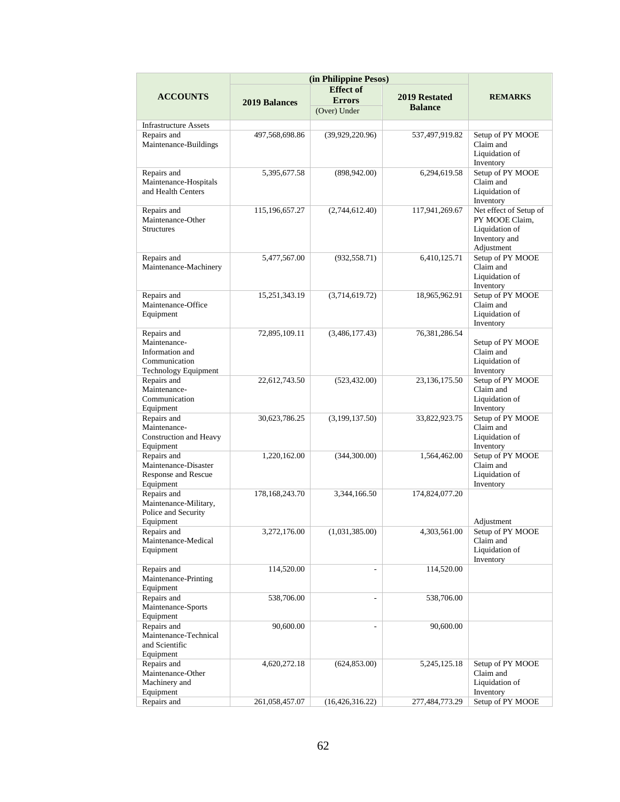|                                                                                         | (in Philippine Pesos) |                                                   |                                 |                                                                                           |
|-----------------------------------------------------------------------------------------|-----------------------|---------------------------------------------------|---------------------------------|-------------------------------------------------------------------------------------------|
| <b>ACCOUNTS</b>                                                                         | <b>2019 Balances</b>  | <b>Effect of</b><br><b>Errors</b><br>(Over) Under | 2019 Restated<br><b>Balance</b> | <b>REMARKS</b>                                                                            |
| <b>Infrastructure Assets</b>                                                            |                       |                                                   |                                 |                                                                                           |
| Repairs and<br>Maintenance-Buildings                                                    | 497,568,698.86        | (39,929,220.96)                                   | 537,497,919.82                  | Setup of PY MOOE<br>Claim and<br>Liquidation of<br>Inventory                              |
| Repairs and<br>Maintenance-Hospitals<br>and Health Centers                              | 5,395,677.58          | (898, 942.00)                                     | 6,294,619.58                    | Setup of PY MOOE<br>Claim and<br>Liquidation of<br>Inventory                              |
| Repairs and<br>Maintenance-Other<br><b>Structures</b>                                   | 115, 196, 657. 27     | (2,744,612.40)                                    | 117,941,269.67                  | Net effect of Setup of<br>PY MOOE Claim,<br>Liquidation of<br>Inventory and<br>Adjustment |
| Repairs and<br>Maintenance-Machinery                                                    | 5,477,567.00          | (932, 558.71)                                     | 6,410,125.71                    | Setup of PY MOOE<br>Claim and<br>Liquidation of<br>Inventory                              |
| Repairs and<br>Maintenance-Office<br>Equipment                                          | 15,251,343.19         | (3,714,619.72)                                    | 18,965,962.91                   | Setup of PY MOOE<br>Claim and<br>Liquidation of<br>Inventory                              |
| Repairs and<br>Maintenance-<br>Information and<br>Communication<br>Technology Equipment | 72,895,109.11         | (3,486,177,43)                                    | 76, 381, 286. 54                | Setup of PY MOOE<br>Claim and<br>Liquidation of<br>Inventory                              |
| Repairs and<br>Maintenance-<br>Communication<br>Equipment                               | 22,612,743.50         | (523, 432.00)                                     | 23, 136, 175.50                 | Setup of PY MOOE<br>Claim and<br>Liquidation of<br>Inventory                              |
| Repairs and<br>Maintenance-<br>Construction and Heavy<br>Equipment                      | 30,623,786.25         | (3,199,137.50)                                    | 33,822,923.75                   | Setup of PY MOOE<br>Claim and<br>Liquidation of<br>Inventory                              |
| Repairs and<br>Maintenance-Disaster<br>Response and Rescue<br>Equipment                 | 1,220,162.00          | (344,300.00)                                      | 1,564,462.00                    | Setup of PY MOOE<br>Claim and<br>Liquidation of<br>Inventory                              |
| Repairs and<br>Maintenance-Military,<br>Police and Security<br>Equipment                | 178, 168, 243. 70     | 3,344,166.50                                      | 174,824,077.20                  | Adjustment                                                                                |
| Repairs and<br>Maintenance-Medical<br>Equipment                                         | 3,272,176.00          | (1,031,385.00)                                    | 4,303,561.00                    | Setup of PY MOOE<br>Claim and<br>Liquidation of<br>Inventory                              |
| Repairs and<br>Maintenance-Printing<br>Equipment                                        | 114,520.00            | $\overline{\phantom{a}}$                          | 114,520.00                      |                                                                                           |
| Repairs and<br>Maintenance-Sports<br>Equipment                                          | 538,706.00            | $\overline{\phantom{a}}$                          | 538,706.00                      |                                                                                           |
| Repairs and<br>Maintenance-Technical<br>and Scientific<br>Equipment                     | 90,600.00             |                                                   | 90,600.00                       |                                                                                           |
| Repairs and<br>Maintenance-Other<br>Machinery and<br>Equipment                          | 4,620,272.18          | (624, 853.00)                                     | 5, 245, 125. 18                 | Setup of PY MOOE<br>Claim and<br>Liquidation of<br>Inventory                              |
| Repairs and                                                                             | 261,058,457.07        | (16, 426, 316.22)                                 | 277,484,773.29                  | Setup of PY MOOE                                                                          |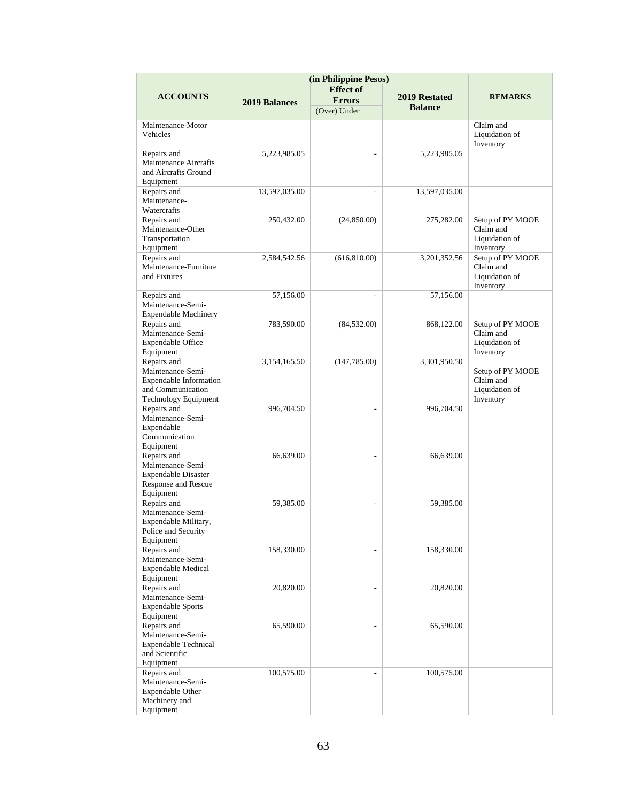|                                                                                                                | (in Philippine Pesos) |                          |                                        |                                                              |
|----------------------------------------------------------------------------------------------------------------|-----------------------|--------------------------|----------------------------------------|--------------------------------------------------------------|
|                                                                                                                |                       | <b>Effect of</b>         |                                        |                                                              |
| <b>ACCOUNTS</b>                                                                                                | 2019 Balances         | <b>Errors</b>            | <b>2019 Restated</b><br><b>Balance</b> | <b>REMARKS</b>                                               |
|                                                                                                                |                       | (Over) Under             |                                        |                                                              |
| Maintenance-Motor<br>Vehicles                                                                                  |                       |                          |                                        | Claim and<br>Liquidation of<br>Inventory                     |
| Repairs and<br><b>Maintenance Aircrafts</b><br>and Aircrafts Ground<br>Equipment                               | 5,223,985.05          | $\overline{\phantom{a}}$ | 5,223,985.05                           |                                                              |
| Repairs and<br>Maintenance-<br>Watercrafts                                                                     | 13,597,035.00         | $\frac{1}{2}$            | 13,597,035.00                          |                                                              |
| Repairs and<br>Maintenance-Other<br>Transportation<br>Equipment                                                | 250,432.00            | (24,850.00)              | 275,282.00                             | Setup of PY MOOE<br>Claim and<br>Liquidation of<br>Inventory |
| Repairs and<br>Maintenance-Furniture<br>and Fixtures                                                           | 2,584,542.56          | (616, 810.00)            | 3,201,352.56                           | Setup of PY MOOE<br>Claim and<br>Liquidation of<br>Inventory |
| Repairs and<br>Maintenance-Semi-<br><b>Expendable Machinery</b>                                                | 57,156.00             | ٠                        | 57,156.00                              |                                                              |
| Repairs and<br>Maintenance-Semi-<br><b>Expendable Office</b><br>Equipment                                      | 783,590.00            | (84, 532.00)             | 868,122.00                             | Setup of PY MOOE<br>Claim and<br>Liquidation of<br>Inventory |
| Repairs and<br>Maintenance-Semi-<br><b>Expendable Information</b><br>and Communication<br>Technology Equipment | 3,154,165.50          | (147, 785.00)            | 3,301,950.50                           | Setup of PY MOOE<br>Claim and<br>Liquidation of<br>Inventory |
| Repairs and<br>Maintenance-Semi-<br>Expendable<br>Communication<br>Equipment                                   | 996,704.50            | $\overline{a}$           | 996,704.50                             |                                                              |
| Repairs and<br>Maintenance-Semi-<br><b>Expendable Disaster</b><br>Response and Rescue<br>Equipment             | 66,639.00             |                          | 66,639.00                              |                                                              |
| Repairs and<br>Maintenance-Semi-<br>Expendable Military,<br>Police and Security<br>Equipment                   | 59,385.00             | ÷.                       | 59,385.00                              |                                                              |
| Repairs and<br>Maintenance-Semi-<br><b>Expendable Medical</b><br>Equipment                                     | 158,330.00            |                          | 158,330.00                             |                                                              |
| Repairs and<br>Maintenance-Semi-<br><b>Expendable Sports</b><br>Equipment                                      | 20,820.00             | L.                       | 20,820.00                              |                                                              |
| Repairs and<br>Maintenance-Semi-<br><b>Expendable Technical</b><br>and Scientific<br>Equipment                 | 65,590.00             |                          | 65,590.00                              |                                                              |
| Repairs and<br>Maintenance-Semi-<br><b>Expendable Other</b><br>Machinery and<br>Equipment                      | 100,575.00            | $\overline{\phantom{0}}$ | 100,575.00                             |                                                              |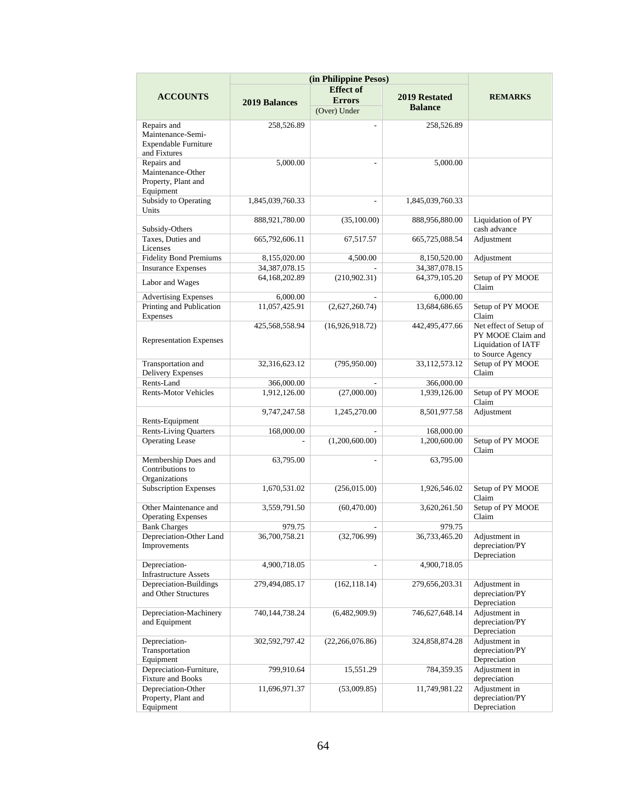|                                                                                 | (in Philippine Pesos) |                   |                  |                                                                                               |
|---------------------------------------------------------------------------------|-----------------------|-------------------|------------------|-----------------------------------------------------------------------------------------------|
|                                                                                 |                       | <b>Effect of</b>  |                  |                                                                                               |
| <b>ACCOUNTS</b>                                                                 | <b>2019 Balances</b>  | <b>Errors</b>     | 2019 Restated    | <b>REMARKS</b>                                                                                |
|                                                                                 |                       | (Over) Under      | <b>Balance</b>   |                                                                                               |
| Repairs and<br>Maintenance-Semi-<br><b>Expendable Furniture</b><br>and Fixtures | 258,526.89            | ٠                 | 258,526.89       |                                                                                               |
| Repairs and<br>Maintenance-Other<br>Property, Plant and<br>Equipment            | 5,000.00              |                   | 5,000.00         |                                                                                               |
| Subsidy to Operating<br>Units                                                   | 1,845,039,760.33      |                   | 1,845,039,760.33 |                                                                                               |
| Subsidy-Others                                                                  | 888,921,780.00        | (35,100.00)       | 888,956,880.00   | Liquidation of PY<br>cash advance                                                             |
| Taxes, Duties and<br>Licenses                                                   | 665,792,606.11        | 67,517.57         | 665,725,088.54   | Adjustment                                                                                    |
| <b>Fidelity Bond Premiums</b>                                                   | 8,155,020.00          | 4,500.00          | 8,150,520.00     | Adjustment                                                                                    |
| <b>Insurance Expenses</b>                                                       | 34, 387, 078. 15      |                   | 34, 387, 078. 15 |                                                                                               |
| Labor and Wages                                                                 | 64,168,202.89         | (210,902.31)      | 64,379,105.20    | Setup of PY MOOE<br>Claim                                                                     |
| <b>Advertising Expenses</b>                                                     | 6,000.00              |                   | 6,000.00         |                                                                                               |
| Printing and Publication<br>Expenses                                            | 11,057,425.91         | (2,627,260.74)    | 13,684,686.65    | Setup of PY MOOE<br>Claim                                                                     |
| <b>Representation Expenses</b>                                                  | 425,568,558.94        | (16,926,918.72)   | 442,495,477.66   | Net effect of Setup of<br>PY MOOE Claim and<br><b>Liquidation of IATF</b><br>to Source Agency |
| Transportation and<br><b>Delivery Expenses</b>                                  | 32,316,623.12         | (795, 950.00)     | 33,112,573.12    | Setup of PY MOOE<br>Claim                                                                     |
| Rents-Land                                                                      | 366,000.00            |                   | 366,000.00       |                                                                                               |
| <b>Rents-Motor Vehicles</b>                                                     | 1,912,126.00          | (27,000.00)       | 1,939,126.00     | Setup of PY MOOE<br>Claim                                                                     |
| Rents-Equipment                                                                 | 9,747,247.58          | 1,245,270.00      | 8,501,977.58     | Adjustment                                                                                    |
| <b>Rents-Living Quarters</b>                                                    | 168,000.00            |                   | 168,000.00       |                                                                                               |
| <b>Operating Lease</b>                                                          |                       | (1,200,600.00)    | 1,200,600.00     | Setup of PY MOOE<br>Claim                                                                     |
| Membership Dues and<br>Contributions to<br>Organizations                        | 63,795.00             | $\overline{a}$    | 63,795.00        |                                                                                               |
| <b>Subscription Expenses</b>                                                    | 1,670,531.02          | (256, 015.00)     | 1,926,546.02     | Setup of PY MOOE<br>Claim                                                                     |
| Other Maintenance and<br><b>Operating Expenses</b>                              | 3,559,791.50          | (60, 470.00)      | 3,620,261.50     | Setup of PY MOOE<br>Claim                                                                     |
| <b>Bank Charges</b>                                                             | 979.75                |                   | 979.75           |                                                                                               |
| Depreciation-Other Land<br>Improvements                                         | 36,700,758.21         | (32,706.99)       | 36,733,465.20    | Adjustment in<br>depreciation/PY<br>Depreciation                                              |
| Depreciation-<br><b>Infrastructure Assets</b>                                   | 4,900,718.05          |                   | 4,900,718.05     |                                                                                               |
| Depreciation-Buildings<br>and Other Structures                                  | 279,494,085.17        | (162, 118.14)     | 279,656,203.31   | Adjustment in<br>depreciation/PY<br>Depreciation                                              |
| Depreciation-Machinery<br>and Equipment                                         | 740,144,738.24        | (6,482,909.9)     | 746,627,648.14   | Adjustment in<br>depreciation/PY<br>Depreciation                                              |
| Depreciation-<br>Transportation<br>Equipment                                    | 302,592,797.42        | (22, 266, 076.86) | 324,858,874.28   | Adjustment in<br>depreciation/PY<br>Depreciation                                              |
| Depreciation-Furniture,<br>Fixture and Books                                    | 799,910.64            | 15,551.29         | 784,359.35       | Adjustment in<br>depreciation                                                                 |
| Depreciation-Other<br>Property, Plant and<br>Equipment                          | 11,696,971.37         | (53,009.85)       | 11,749,981.22    | Adjustment in<br>depreciation/PY<br>Depreciation                                              |